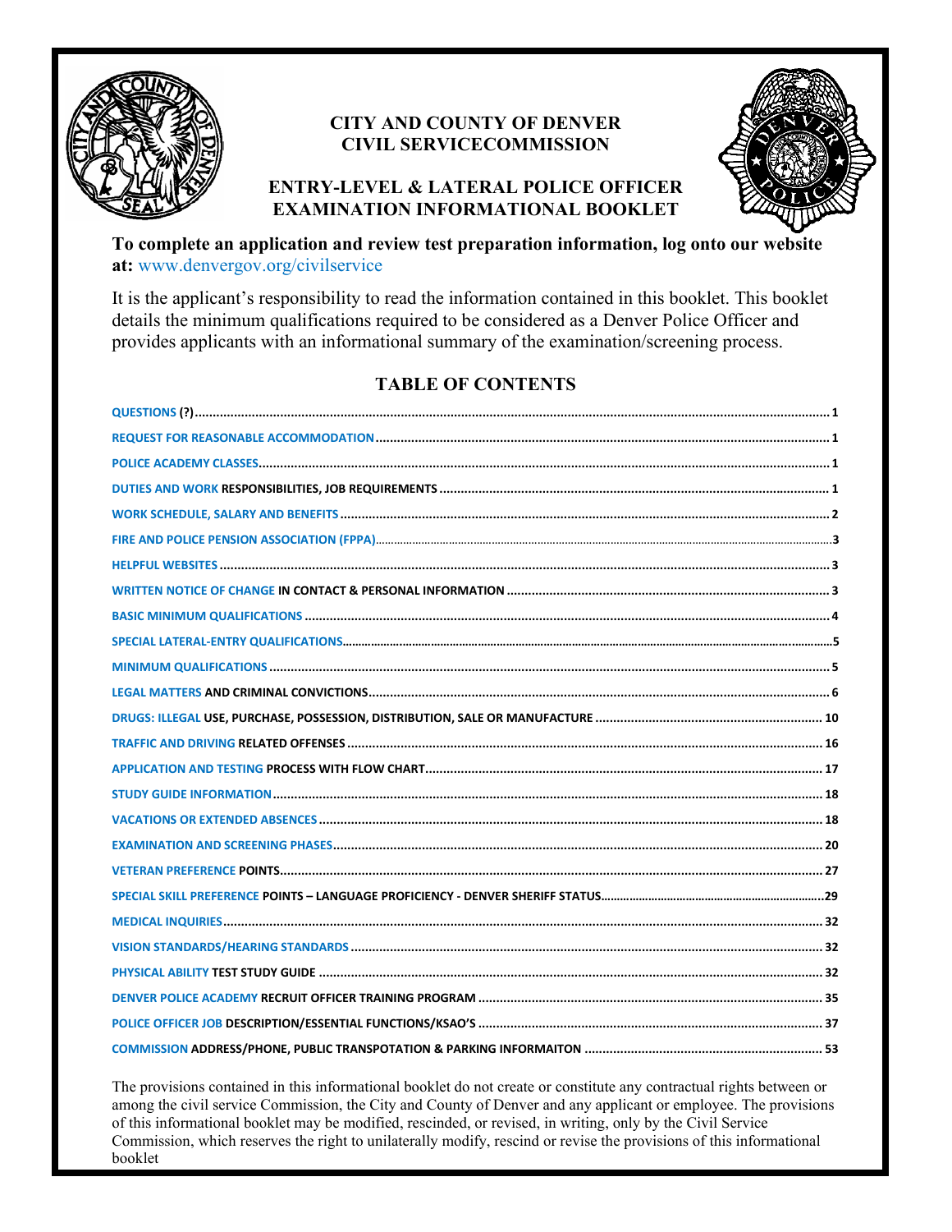

### **CITY AND COUNTY OF DENVER CIVIL SERVICECOMMISSION**





**To complete an application and review test preparation information, log onto our website at:** [www.denvergov.org/civilservice](http://www.denvergov.org/civilservice)

It is the applicant's responsibility to read the information contained in this booklet. This booklet details the minimum qualifications required to be considered as a Denver Police Officer and provides applicants with an informational summary of the examination/screening process.

### **TABLE OF CONTENTS**

The provisions contained in this informational booklet do not create or constitute any contractual rights between or among the civil service Commission, the City and County of Denver and any applicant or employee. The provisions of this informational booklet may be modified, rescinded, or revised, in writing, only by the Civil Service Commission, which reserves the right to unilaterally modify, rescind or revise the provisions of this informational booklet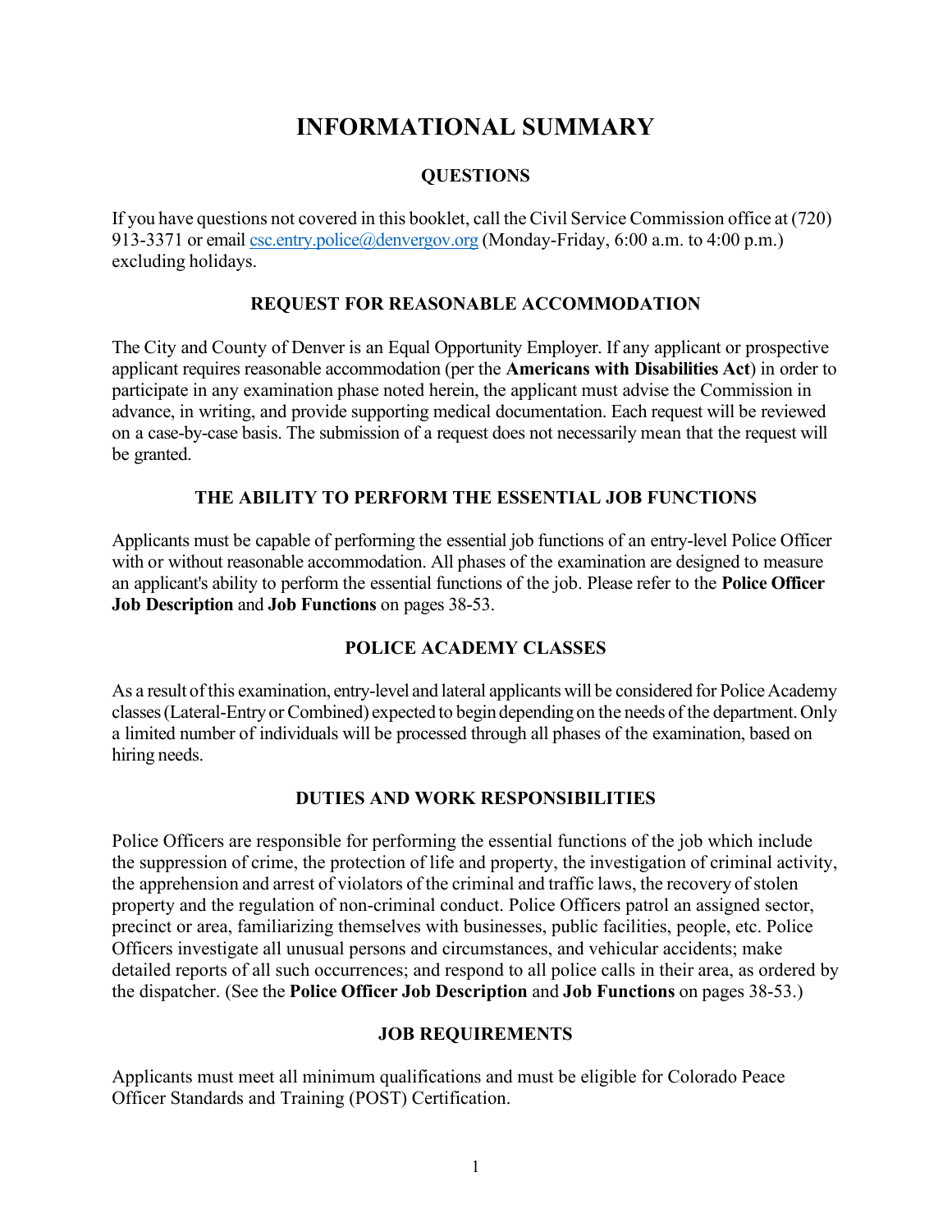# **INFORMATIONAL SUMMARY**

### **QUESTIONS**

<span id="page-1-0"></span>If you have questions not covered in this booklet, call the Civil Service Commission office at (720) 913-3371 or emai[l csc.entry.police@denvergov.org](mailto:csc.entry.police@denvergov.org) (Monday-Friday, 6:00 a.m. to 4:00 p.m.) excluding holidays.

#### **REQUEST FOR REASONABLE ACCOMMODATION**

<span id="page-1-1"></span>The City and County of Denver is an Equal Opportunity Employer. If any applicant or prospective applicant requires reasonable accommodation (per the **Americans with Disabilities Act**) in order to participate in any examination phase noted herein, the applicant must advise the Commission in advance, in writing, and provide supporting medical documentation. Each request will be reviewed on a case-by-case basis. The submission of a request does not necessarily mean that the request will be granted.

#### **THE ABILITY TO PERFORM THE ESSENTIAL JOB FUNCTIONS**

Applicants must be capable of performing the essential job functions of an entry-level Police Officer with or without reasonable accommodation. All phases of the examination are designed to measure an applicant's ability to perform the essential functions of the job. Please refer to the **Police Officer Job Description** and **Job Functions** on pages 38-53.

### **POLICE ACADEMY CLASSES**

<span id="page-1-2"></span>As a result ofthis examination, entry-level and lateral applicantswill be considered for Police Academy classes(Lateral-Entry or Combined) expected to begin depending on the needs of the department.Only a limited number of individuals will be processed through all phases of the examination, based on hiring needs.

#### **DUTIES AND WORK RESPONSIBILITIES**

<span id="page-1-3"></span>Police Officers are responsible for performing the essential functions of the job which include the suppression of crime, the protection of life and property, the investigation of criminal activity, the apprehension and arrest of violators of the criminal and traffic laws, the recovery of stolen property and the regulation of non-criminal conduct. Police Officers patrol an assigned sector, precinct or area, familiarizing themselves with businesses, public facilities, people, etc. Police Officers investigate all unusual persons and circumstances, and vehicular accidents; make detailed reports of all such occurrences; and respond to all police calls in their area, as ordered by the dispatcher. (See the **Police Officer Job Description** and **Job Functions** on pages 38-53.)

#### **JOB REQUIREMENTS**

Applicants must meet all minimum qualifications and must be eligible for Colorado Peace Officer Standards and Training (POST) Certification.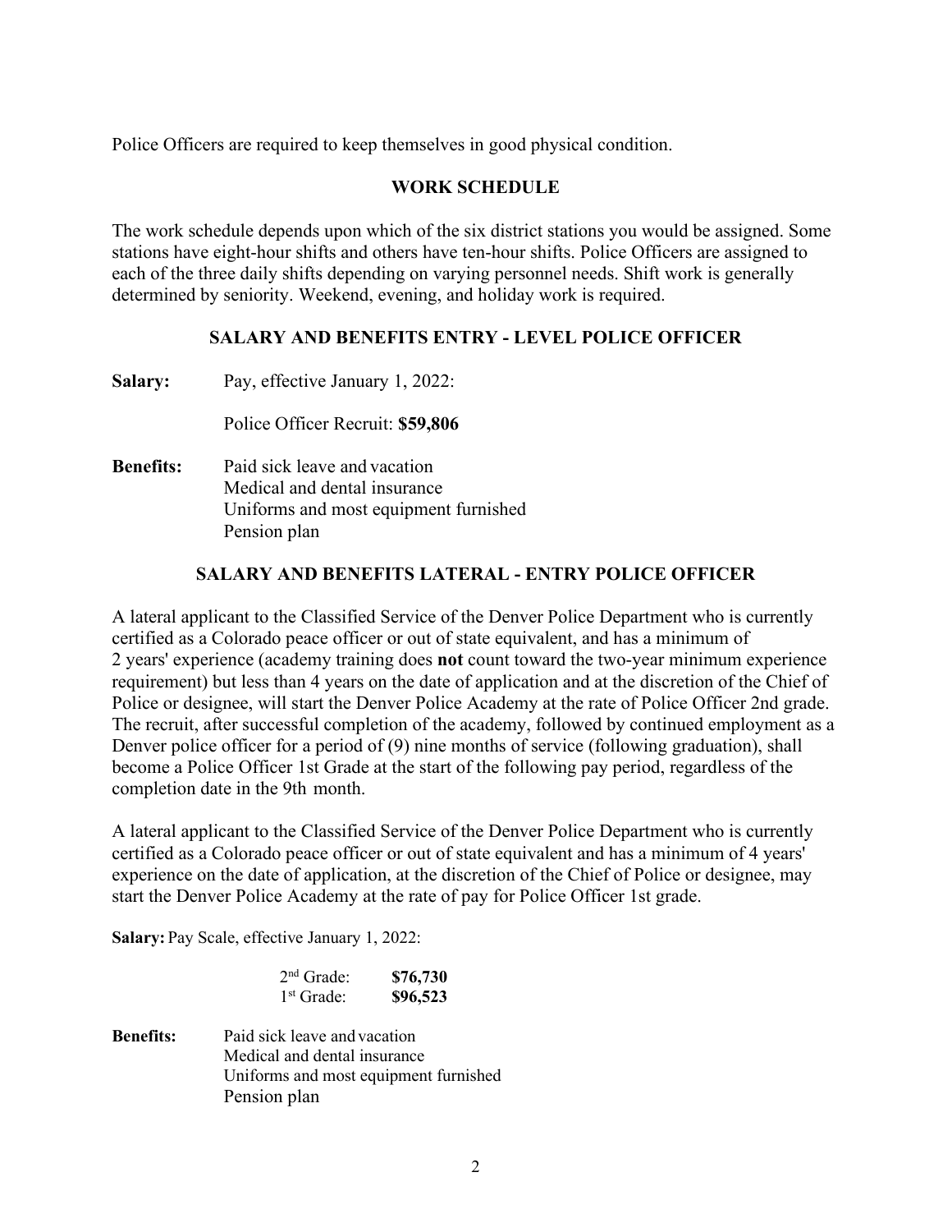<span id="page-2-0"></span>Police Officers are required to keep themselves in good physical condition.

#### **WORK SCHEDULE**

The work schedule depends upon which of the six district stations you would be assigned. Some stations have eight-hour shifts and others have ten-hour shifts. Police Officers are assigned to each of the three daily shifts depending on varying personnel needs. Shift work is generally determined by seniority. Weekend, evening, and holiday work is required.

### **SALARY AND BENEFITS ENTRY - LEVEL POLICE OFFICER**

**Salary:** Pay, effective January 1, 2022:

Police Officer Recruit: **\$59,806**

**Benefits:** Paid sick leave and vacation Medical and dental insurance Uniforms and most equipment furnished Pension plan

#### **SALARY AND BENEFITS LATERAL - ENTRY POLICE OFFICER**

A lateral applicant to the Classified Service of the Denver Police Department who is currently certified as a Colorado peace officer or out of state equivalent, and has a minimum of 2 years' experience (academy training does **not** count toward the two-year minimum experience requirement) but less than 4 years on the date of application and at the discretion of the Chief of Police or designee, will start the Denver Police Academy at the rate of Police Officer 2nd grade. The recruit, after successful completion of the academy, followed by continued employment as a Denver police officer for a period of (9) nine months of service (following graduation), shall become a Police Officer 1st Grade at the start of the following pay period, regardless of the completion date in the 9th month.

A lateral applicant to the Classified Service of the Denver Police Department who is currently certified as a Colorado peace officer or out of state equivalent and has a minimum of 4 years' experience on the date of application, at the discretion of the Chief of Police or designee, may start the Denver Police Academy at the rate of pay for Police Officer 1st grade.

**Salary:** Pay Scale, effective January 1, 2022:

<span id="page-2-1"></span>

| $2nd$ Grade: | \$76,730 |
|--------------|----------|
| $1st$ Grade: | \$96,523 |

**Benefits:** Paid sick leave and vacation Medical and dental insurance Uniforms and most equipment furnished Pension plan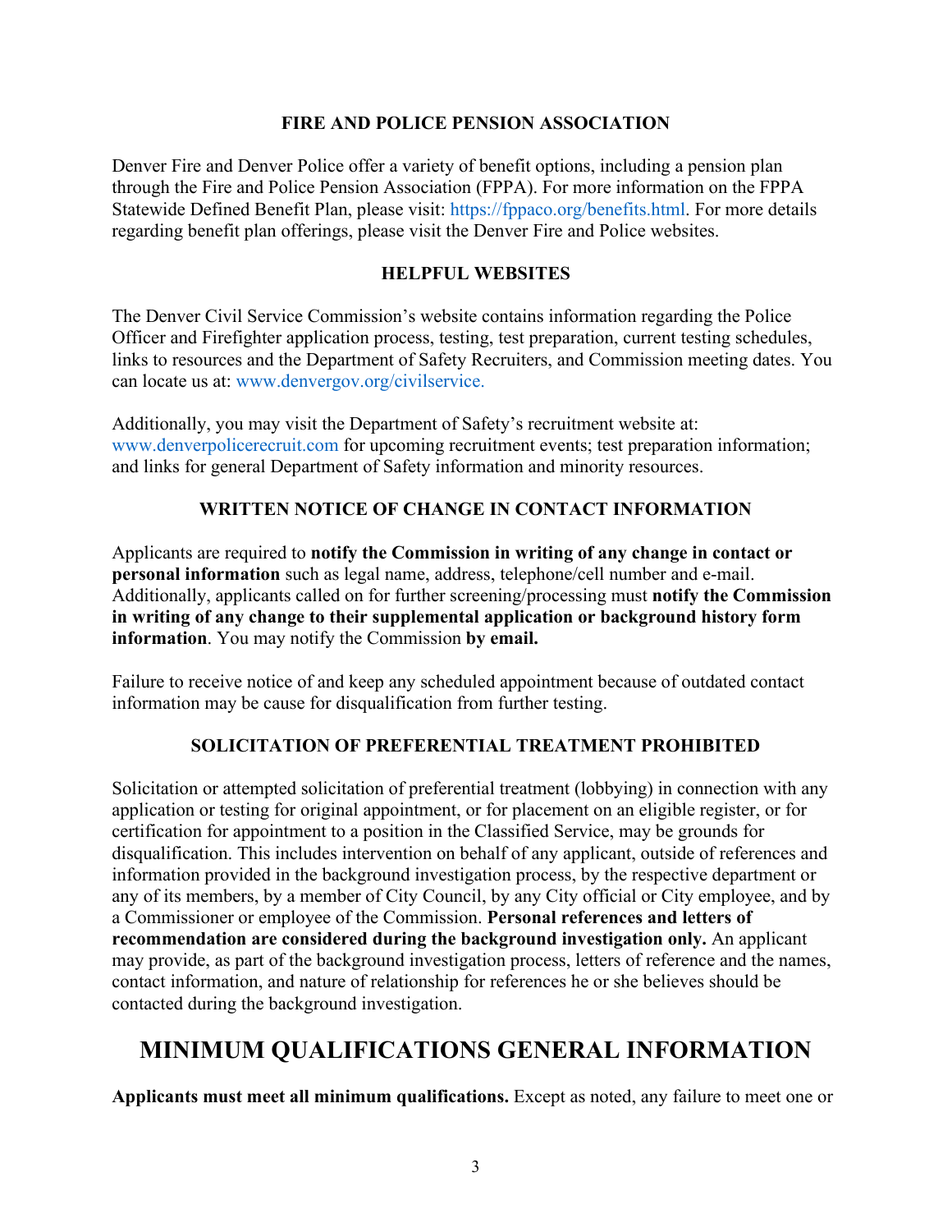#### **FIRE AND POLICE PENSION ASSOCIATION**

<span id="page-3-0"></span>Denver Fire and Denver Police offer a variety of benefit options, including a pension plan through the Fire and Police Pension Association (FPPA). For more information on the FPPA Statewide Defined Benefit Plan, please visit: [https://fppaco.org/benefits.html.](https://fppaco.org/benefits.html) For more details regarding benefit plan offerings, please visit the Denver Fire and Police websites.

#### **HELPFUL WEBSITES**

The Denver Civil Service Commission's website contains information regarding the Police Officer and Firefighter application process, testing, test preparation, current testing schedules, links to resources and the Department of Safety Recruiters, and Commission meeting dates. You can locate us at: [www.denvergov.org/civilservice.](http://www.denvergov.org/civilservice.)

Additionally, you may visit the Department of Safety's recruitment website at: [www.denverpolicerecruit.com](http://www.denverpolicerecruit.com/) for upcoming recruitment events; test preparation information; and links for general Department of Safety information and minority resources.

### **WRITTEN NOTICE OF CHANGE IN CONTACT INFORMATION**

<span id="page-3-1"></span>Applicants are required to **notify the Commission in writing of any change in contact or personal information** such as legal name, address, telephone/cell number and e-mail. Additionally, applicants called on for further screening/processing must **notify the Commission in writing of any change to their supplemental application or background history form information**. You may notify the Commission **by email.**

Failure to receive notice of and keep any scheduled appointment because of outdated contact information may be cause for disqualification from further testing.

### **SOLICITATION OF PREFERENTIAL TREATMENT PROHIBITED**

Solicitation or attempted solicitation of preferential treatment (lobbying) in connection with any application or testing for original appointment, or for placement on an eligible register, or for certification for appointment to a position in the Classified Service, may be grounds for disqualification. This includes intervention on behalf of any applicant, outside of references and information provided in the background investigation process, by the respective department or any of its members, by a member of City Council, by any City official or City employee, and by a Commissioner or employee of the Commission. **Personal references and letters of recommendation are considered during the background investigation only.** An applicant may provide, as part of the background investigation process, letters of reference and the names, contact information, and nature of relationship for references he or she believes should be contacted during the background investigation.

# **MINIMUM QUALIFICATIONS GENERAL INFORMATION**

**Applicants must meet all minimum qualifications.** Except as noted, any failure to meet one or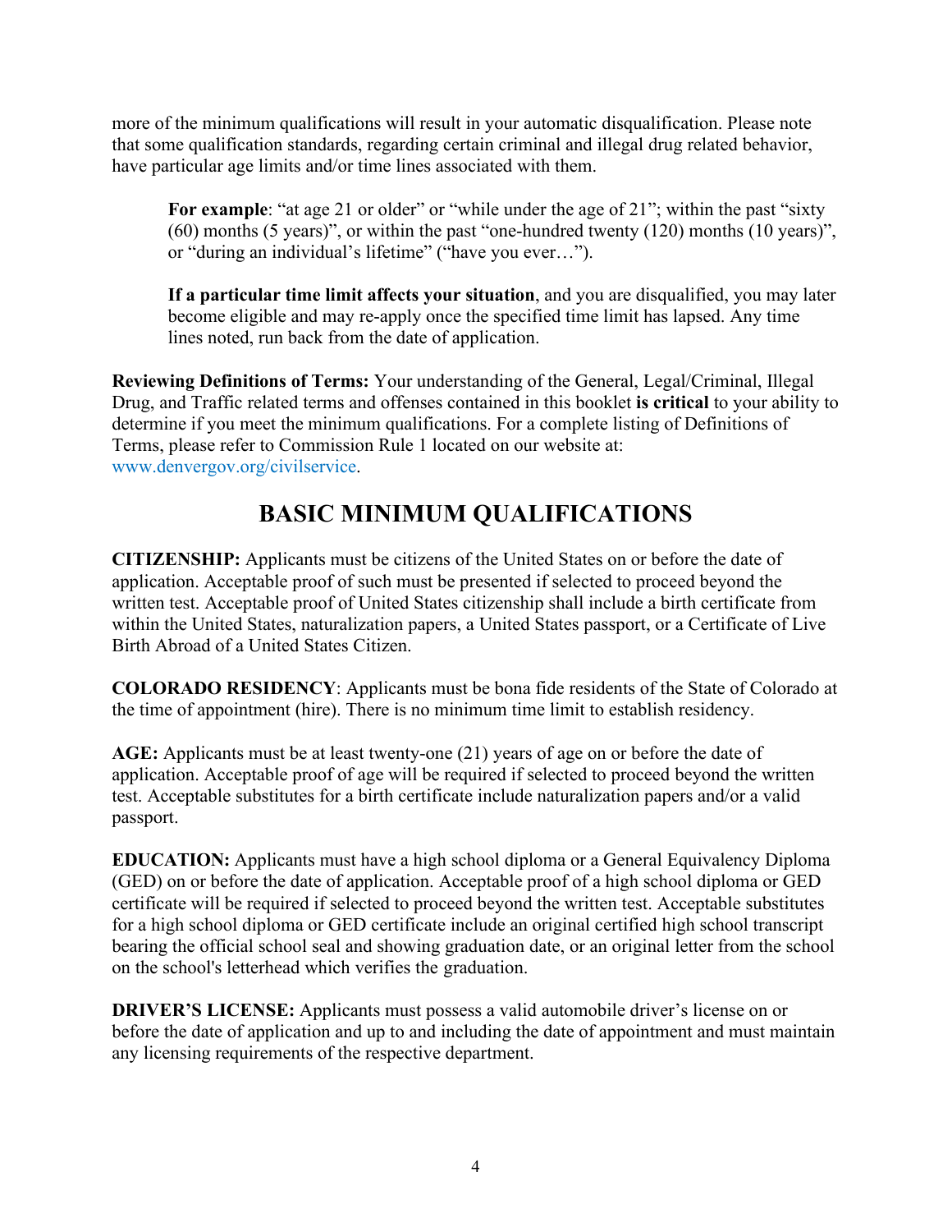more of the minimum qualifications will result in your automatic disqualification. Please note that some qualification standards, regarding certain criminal and illegal drug related behavior, have particular age limits and/or time lines associated with them.

For example: "at age 21 or older" or "while under the age of 21"; within the past "sixty" (60) months (5 years)", or within the past "one-hundred twenty (120) months (10 years)", or "during an individual's lifetime" ("have you ever…").

**If a particular time limit affects your situation**, and you are disqualified, you may later become eligible and may re-apply once the specified time limit has lapsed. Any time lines noted, run back from the date of application.

**Reviewing Definitions of Terms:** Your understanding of the General, Legal/Criminal, Illegal Drug, and Traffic related terms and offenses contained in this booklet **is critical** to your ability to determine if you meet the minimum qualifications. For a complete listing of Definitions of Terms, please refer to Commission Rule 1 located on our website at: [www.denvergov.org/civilservice.](https://www.denvergov.org/content/denvergov/en/civil-service-commission/CommissionRules/table-of-contents.html)

# **BASIC MINIMUM QUALIFICATIONS**

<span id="page-4-0"></span>**CITIZENSHIP:** Applicants must be citizens of the United States on or before the date of application. Acceptable proof of such must be presented if selected to proceed beyond the written test. Acceptable proof of United States citizenship shall include a birth certificate from within the United States, naturalization papers, a United States passport, or a Certificate of Live Birth Abroad of a United States Citizen.

**COLORADO RESIDENCY**: Applicants must be bona fide residents of the State of Colorado at the time of appointment (hire). There is no minimum time limit to establish residency.

**AGE:** Applicants must be at least twenty-one (21) years of age on or before the date of application. Acceptable proof of age will be required if selected to proceed beyond the written test. Acceptable substitutes for a birth certificate include naturalization papers and/or a valid passport.

**EDUCATION:** Applicants must have a high school diploma or a General Equivalency Diploma (GED) on or before the date of application. Acceptable proof of a high school diploma or GED certificate will be required if selected to proceed beyond the written test. Acceptable substitutes for a high school diploma or GED certificate include an original certified high school transcript bearing the official school seal and showing graduation date, or an original letter from the school on the school's letterhead which verifies the graduation.

<span id="page-4-1"></span>**DRIVER'S LICENSE:** Applicants must possess a valid automobile driver's license on or before the date of application and up to and including the date of appointment and must maintain any licensing requirements of the respective department.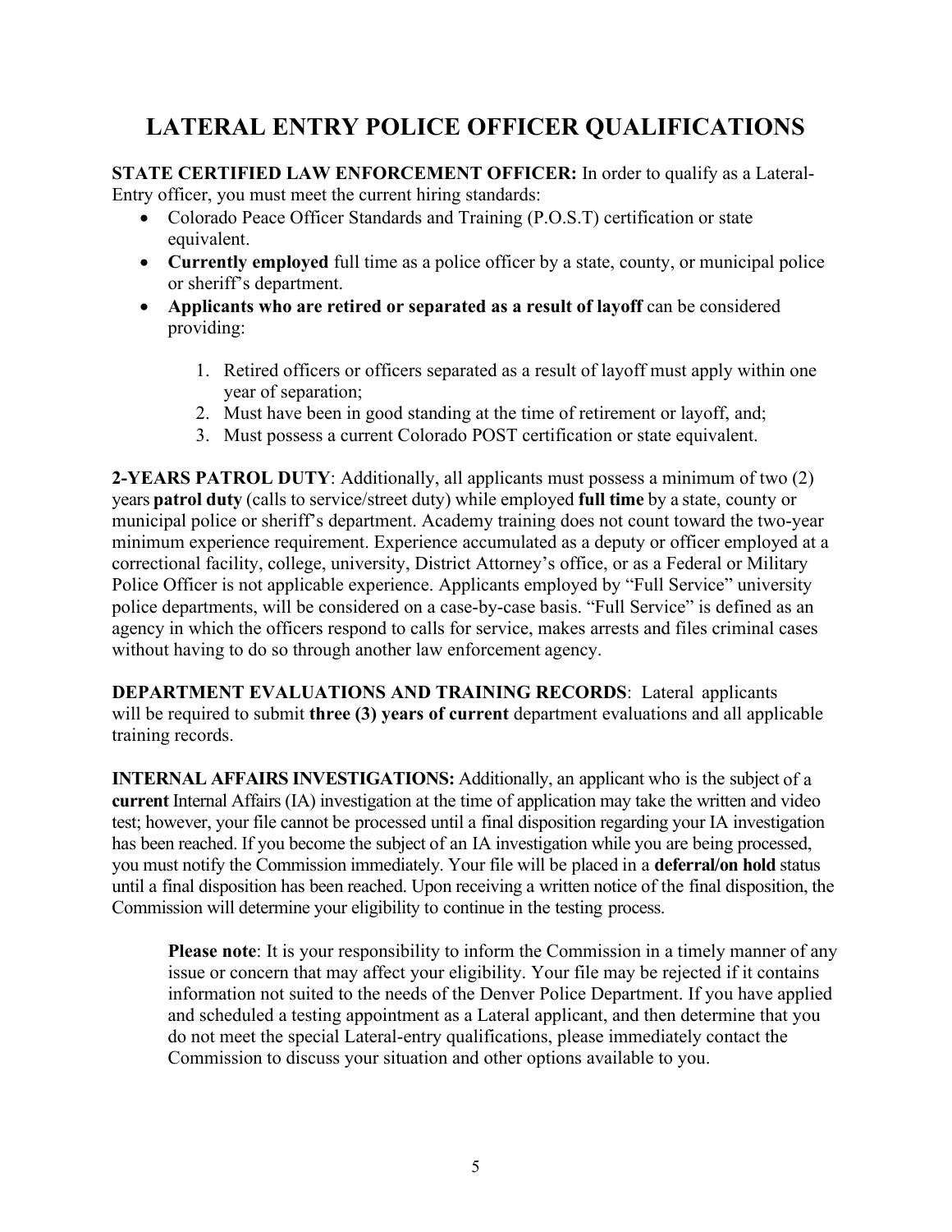# **LATERAL ENTRY POLICE OFFICER QUALIFICATIONS**

**STATE CERTIFIED LAW ENFORCEMENT OFFICER:** In order to qualify as a Lateral-Entry officer, you must meet the current hiring standards:

- Colorado Peace Officer Standards and Training (P.O.S.T) certification or state equivalent.
- **Currently employed** full time as a police officer by a state, county, or municipal police or sheriff's department.
- Applicants who are retired or separated as a result of layoff can be considered providing:
	- 1. Retired officers or officers separated as a result of layoff must apply within one year of separation;
	- 2. Must have been in good standing at the time of retirement or layoff, and;
	- 3. Must possess a current Colorado POST certification or state equivalent.

**2-YEARS PATROL DUTY**: Additionally, all applicants must possess a minimum of two (2) years **patrol duty** (calls to service/street duty) while employed **full time** by a state, county or municipal police or sheriff's department. Academy training does not count toward the two-year minimum experience requirement. Experience accumulated as a deputy or officer employed at a correctional facility, college, university, District Attorney's office, or as a Federal or Military Police Officer is not applicable experience. Applicants employed by "Full Service" university police departments, will be considered on a case-by-case basis. "Full Service" is defined as an agency in which the officers respond to calls for service, makes arrests and files criminal cases without having to do so through another law enforcement agency.

**DEPARTMENT EVALUATIONS AND TRAINING RECORDS**: Lateral applicants will be required to submit **three (3) years of current** department evaluations and all applicable training records.

**INTERNAL AFFAIRS INVESTIGATIONS:** Additionally, an applicant who is the subject of a **current** Internal Affairs (IA) investigation at the time of application may take the written and video test; however, your file cannot be processed until a final disposition regarding your IA investigation has been reached. If you become the subject of an IA investigation while you are being processed, you must notify the Commission immediately. Your file will be placed in a **deferral/on hold** status until a final disposition has been reached. Upon receiving a written notice of the final disposition, the Commission will determine your eligibility to continue in the testing process.

<span id="page-5-0"></span>**Please note**: It is your responsibility to inform the Commission in a timely manner of any issue or concern that may affect your eligibility. Your file may be rejected if it contains information not suited to the needs of the Denver Police Department. If you have applied and scheduled a testing appointment as a Lateral applicant, and then determine that you do not meet the special Lateral-entry qualifications, please immediately contact the Commission to discuss your situation and other options available to you.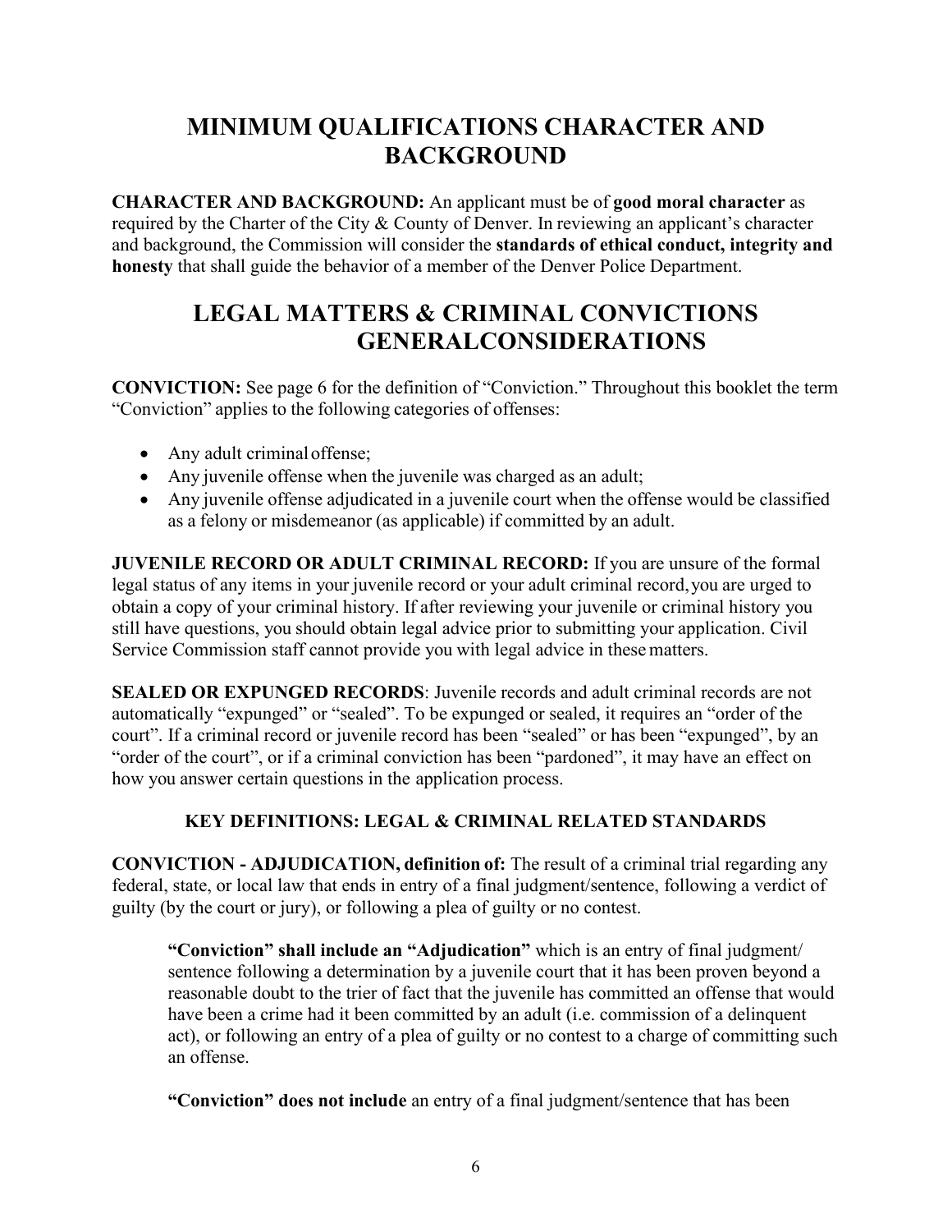# **MINIMUM QUALIFICATIONS CHARACTER AND BACKGROUND**

**CHARACTER AND BACKGROUND:** An applicant must be of **good moral character** as required by the Charter of the City & County of Denver. In reviewing an applicant's character and background, the Commission will consider the **standards of ethical conduct, integrity and honesty** that shall guide the behavior of a member of the Denver Police Department.

# **LEGAL MATTERS & CRIMINAL CONVICTIONS GENERALCONSIDERATIONS**

<span id="page-6-0"></span>**CONVICTION:** See page 6 for the definition of "Conviction." Throughout this booklet the term "Conviction" applies to the following categories of offenses:

- Any adult criminal offense;
- Any juvenile offense when the juvenile was charged as an adult;
- Any juvenile offense adjudicated in a juvenile court when the offense would be classified as a felony or misdemeanor (as applicable) if committed by an adult.

**JUVENILE RECORD OR ADULT CRIMINAL RECORD:** If you are unsure of the formal legal status of any items in your juvenile record or your adult criminal record,you are urged to obtain a copy of your criminal history. If after reviewing your juvenile or criminal history you still have questions, you should obtain legal advice prior to submitting your application. Civil Service Commission staff cannot provide you with legal advice in thesematters.

**SEALED OR EXPUNGED RECORDS:** Juvenile records and adult criminal records are not automatically "expunged" or "sealed". To be expunged or sealed, it requires an "order of the court". If a criminal record or juvenile record has been "sealed" or has been "expunged", by an "order of the court", or if a criminal conviction has been "pardoned", it may have an effect on how you answer certain questions in the application process.

# **KEY DEFINITIONS: LEGAL & CRIMINAL RELATED STANDARDS**

**CONVICTION - ADJUDICATION, definition of:** The result of a criminal trial regarding any federal, state, or local law that ends in entry of a final judgment/sentence, following a verdict of guilty (by the court or jury), or following a plea of guilty or no contest.

**"Conviction" shall include an "Adjudication"** which is an entry of final judgment/ sentence following a determination by a juvenile court that it has been proven beyond a reasonable doubt to the trier of fact that the juvenile has committed an offense that would have been a crime had it been committed by an adult (i.e. commission of a delinquent act), or following an entry of a plea of guilty or no contest to a charge of committing such an offense.

**"Conviction" does not include** an entry of a final judgment/sentence that has been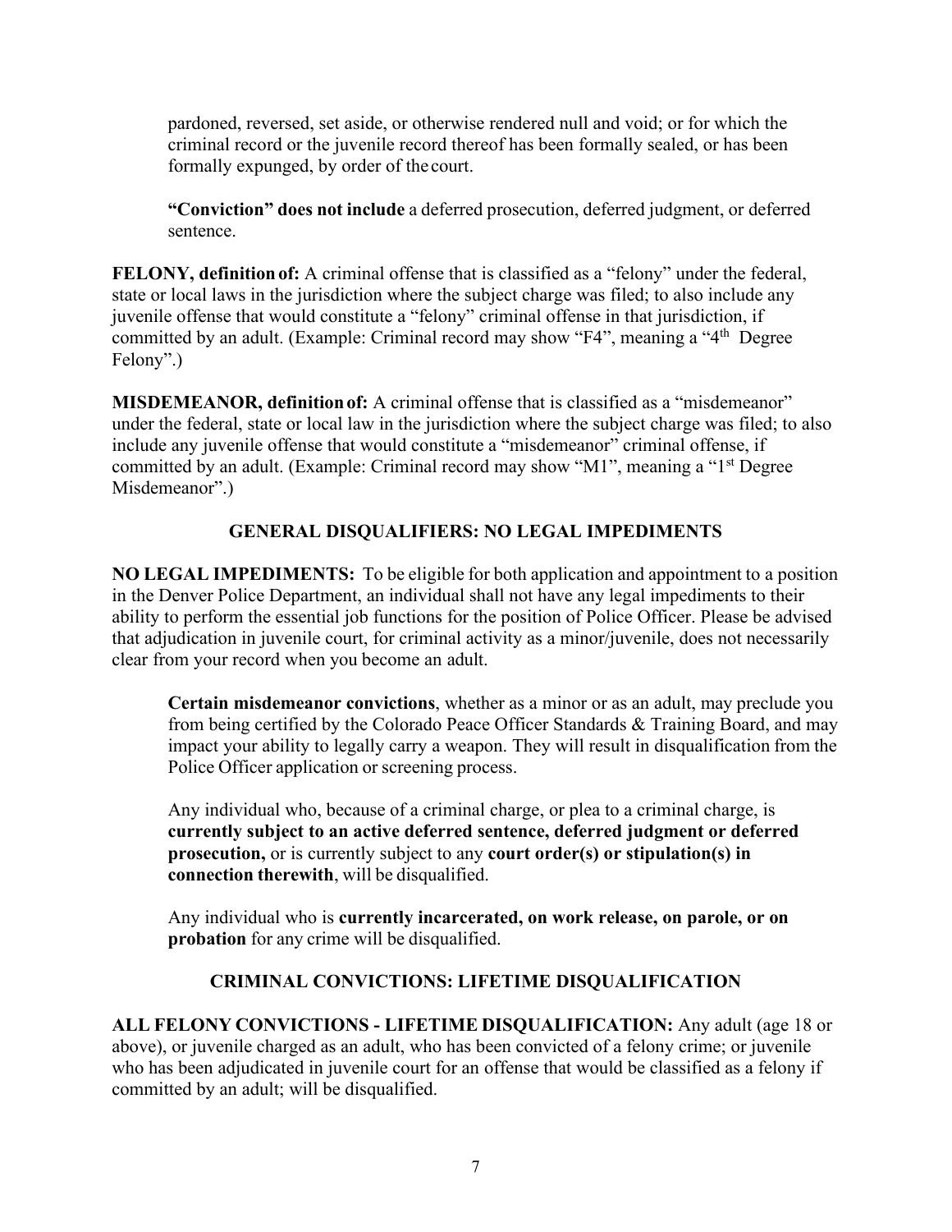pardoned, reversed, set aside, or otherwise rendered null and void; or for which the criminal record or the juvenile record thereof has been formally sealed, or has been formally expunged, by order of the court.

**"Conviction" does not include** a deferred prosecution, deferred judgment, or deferred sentence.

**FELONY, definitionof:** A criminal offense that is classified as a "felony" under the federal, state or local laws in the jurisdiction where the subject charge was filed; to also include any juvenile offense that would constitute a "felony" criminal offense in that jurisdiction, if committed by an adult. (Example: Criminal record may show "F4", meaning a "4<sup>th</sup> Degree" Felony".)

**MISDEMEANOR, definitionof:** A criminal offense that is classified as a "misdemeanor" under the federal, state or local law in the jurisdiction where the subject charge was filed; to also include any juvenile offense that would constitute a "misdemeanor" criminal offense, if committed by an adult. (Example: Criminal record may show "M1", meaning a "1<sup>st</sup> Degree" Misdemeanor".)

# **GENERAL DISQUALIFIERS: NO LEGAL IMPEDIMENTS**

**NO LEGAL IMPEDIMENTS:** To be eligible for both application and appointment to a position in the Denver Police Department, an individual shall not have any legal impediments to their ability to perform the essential job functions for the position of Police Officer. Please be advised that adjudication in juvenile court, for criminal activity as a minor/juvenile, does not necessarily clear from your record when you become an adult.

**Certain misdemeanor convictions**, whether as a minor or as an adult, may preclude you from being certified by the Colorado Peace Officer Standards & Training Board, and may impact your ability to legally carry a weapon. They will result in disqualification from the Police Officer application or screening process.

Any individual who, because of a criminal charge, or plea to a criminal charge, is **currently subject to an active deferred sentence, deferred judgment or deferred prosecution,** or is currently subject to any **court order(s) or stipulation(s) in connection therewith**, will be disqualified.

Any individual who is **currently incarcerated, on work release, on parole, or on probation** for any crime will be disqualified.

# **CRIMINAL CONVICTIONS: LIFETIME DISQUALIFICATION**

**ALL FELONY CONVICTIONS - LIFETIME DISQUALIFICATION:** Any adult (age 18 or above), or juvenile charged as an adult, who has been convicted of a felony crime; or juvenile who has been adjudicated in juvenile court for an offense that would be classified as a felony if committed by an adult; will be disqualified.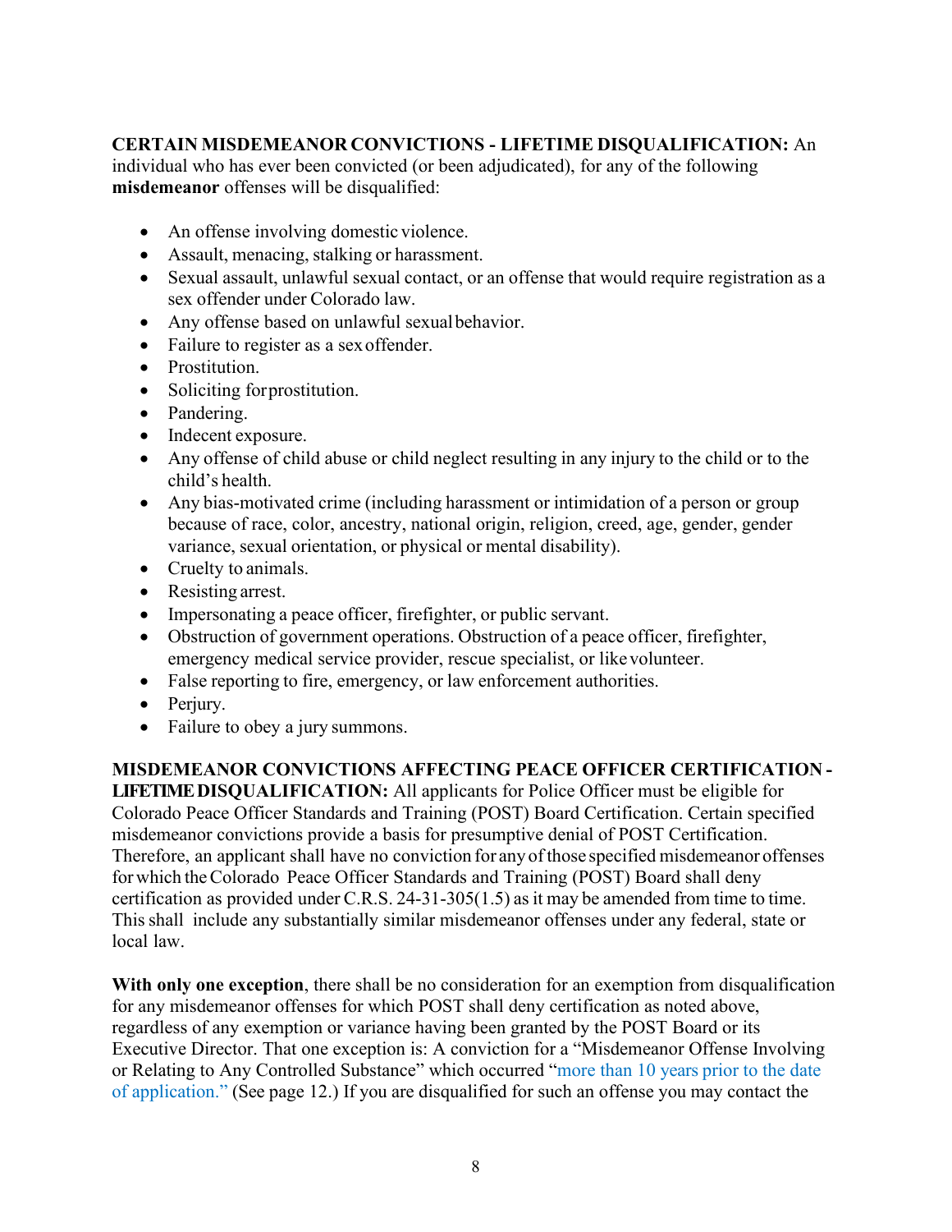### **CERTAIN MISDEMEANOR CONVICTIONS - LIFETIME DISQUALIFICATION:** An

individual who has ever been convicted (or been adjudicated), for any of the following **misdemeanor** offenses will be disqualified:

- An offense involving domestic violence.
- Assault, menacing, stalking or harassment.
- Sexual assault, unlawful sexual contact, or an offense that would require registration as a sex offender under Colorado law.
- Any offense based on unlawful sexual behavior.
- Failure to register as a sex offender.
- Prostitution.
- Soliciting forprostitution.
- Pandering.
- Indecent exposure.
- Any offense of child abuse or child neglect resulting in any injury to the child or to the child's health.
- Any bias-motivated crime (including harassment or intimidation of a person or group because of race, color, ancestry, national origin, religion, creed, age, gender, gender variance, sexual orientation, or physical or mental disability).
- Cruelty to animals.
- Resisting arrest.
- Impersonating a peace officer, firefighter, or public servant.
- Obstruction of government operations. Obstruction of a peace officer, firefighter, emergency medical service provider, rescue specialist, or likevolunteer.
- False reporting to fire, emergency, or law enforcement authorities.
- Periury.
- Failure to obey a jury summons.

### **MISDEMEANOR CONVICTIONS AFFECTING PEACE OFFICER CERTIFICATION -**

**LIFETIMEDISQUALIFICATION:** All applicants for Police Officer must be eligible for Colorado Peace Officer Standards and Training (POST) Board Certification. Certain specified misdemeanor convictions provide a basis for presumptive denial of POST Certification. Therefore, an applicant shall have no conviction for any of those specified misdemeanor offenses forwhich theColorado Peace Officer Standards and Training (POST) Board shall deny certification as provided under C.R.S. 24-31-305 $(1.5)$  as it may be amended from time to time. Thisshall include any substantially similar misdemeanor offenses under any federal, state or local law.

**With only one exception**, there shall be no consideration for an exemption from disqualification for any misdemeanor offenses for which POST shall deny certification as noted above, regardless of any exemption or variance having been granted by the POST Board or its Executive Director. That one exception is: A conviction for a "Misdemeanor Offense Involving or Relating to Any Controlled Substance" which occurred ["more than 10 years prior to the date](#page-12-0)  [of application.](#page-12-0)" (See page 12.) If you are disqualified for such an offense you may contact the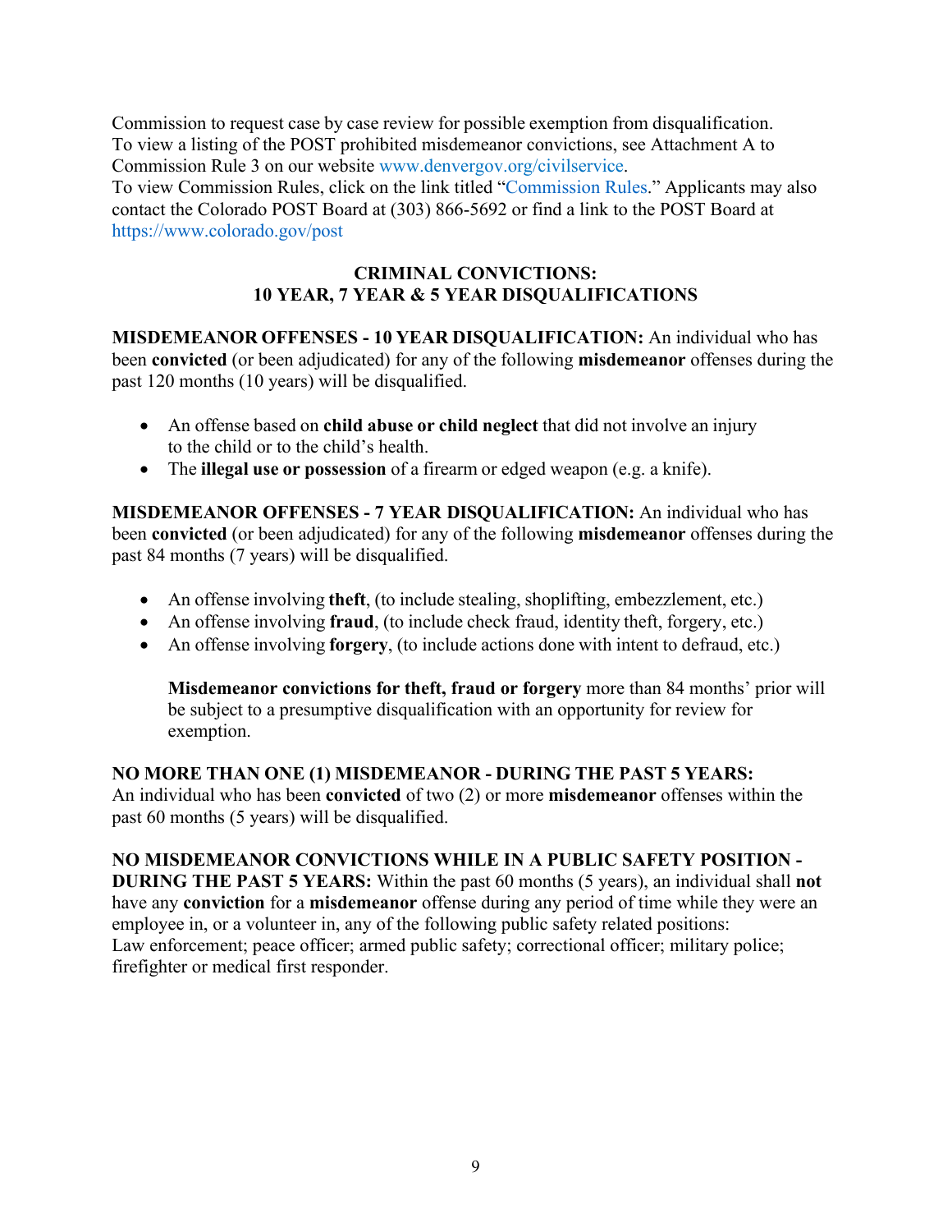Commission to request case by case review for possible exemption from disqualification. To view a listing of the POST prohibited misdemeanor convictions, see Attachment A to Commission Rule 3 on our website [www.denvergov.org/civilservice.](http://www.denvergov.org/civilservicecommission)

To view Commission Rules, click on the link titled ["Commission Rules.](https://www.denvergov.org/content/denvergov/en/civil-service-commission/CommissionRules/table-of-contents.html)" Applicants may also contact the Colorado POST Board at (303) 866-5692 or find a link to the POST Board at <https://www.colorado.gov/post>

### **CRIMINAL CONVICTIONS: 10 YEAR, 7 YEAR & 5 YEAR DISQUALIFICATIONS**

**MISDEMEANOR OFFENSES - 10 YEAR DISQUALIFICATION:** An individual who has been **convicted** (or been adjudicated) for any of the following **misdemeanor** offenses during the past 120 months (10 years) will be disqualified.

- An offense based on **child abuse or child neglect** that did not involve an injury to the child or to the child's health.
- The **illegal use or possession** of a firearm or edged weapon (e.g. a knife).

**MISDEMEANOR OFFENSES - 7 YEAR DISQUALIFICATION:** An individual who has been **convicted** (or been adjudicated) for any of the following **misdemeanor** offenses during the past 84 months (7 years) will be disqualified.

- An offense involving **theft**, (to include stealing, shoplifting, embezzlement, etc.)
- An offense involving **fraud**, (to include check fraud, identity theft, forgery, etc.)
- An offense involving **forgery**, (to include actions done with intent to defraud, etc.)

**Misdemeanor convictions for theft, fraud or forgery** more than 84 months' prior will be subject to a presumptive disqualification with an opportunity for review for exemption.

**NO MORE THAN ONE (1) MISDEMEANOR - DURING THE PAST 5 YEARS:** An individual who has been **convicted** of two (2) or more **misdemeanor** offenses within the past 60 months (5 years) will be disqualified.

<span id="page-9-0"></span>**NO MISDEMEANOR CONVICTIONS WHILE IN A PUBLIC SAFETY POSITION - DURING THE PAST 5 YEARS:** Within the past 60 months (5 years), an individual shall **not** have any **conviction** for a **misdemeanor** offense during any period of time while they were an employee in, or a volunteer in, any of the following public safety related positions: Law enforcement; peace officer; armed public safety; correctional officer; military police; firefighter or medical first responder.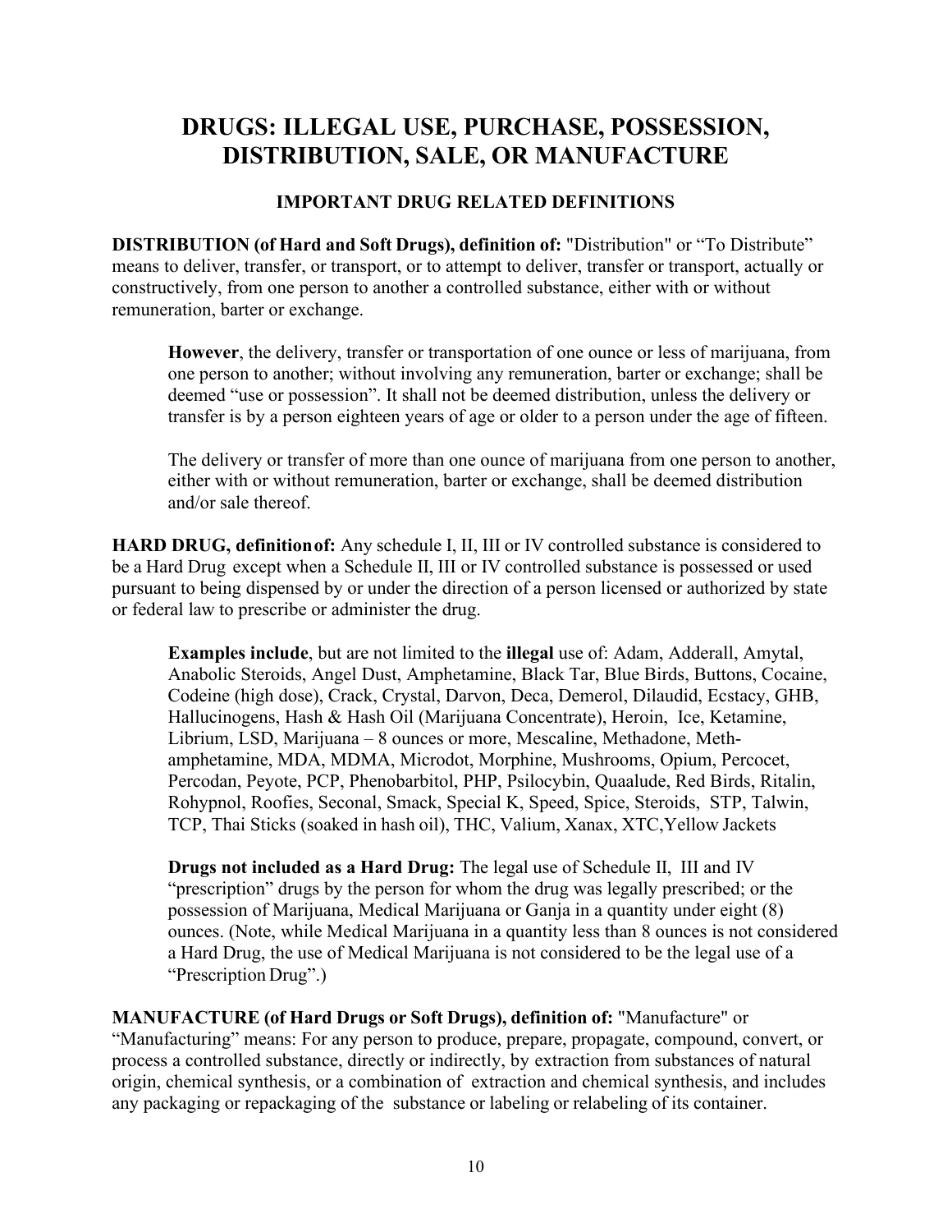# **DRUGS: ILLEGAL USE, PURCHASE, POSSESSION, DISTRIBUTION, SALE, OR MANUFACTURE**

### **IMPORTANT DRUG RELATED DEFINITIONS**

**DISTRIBUTION (of Hard and Soft Drugs), definition of:** "Distribution" or "To Distribute" means to deliver, transfer, or transport, or to attempt to deliver, transfer or transport, actually or constructively, from one person to another a controlled substance, either with or without remuneration, barter or exchange.

**However**, the delivery, transfer or transportation of one ounce or less of marijuana, from one person to another; without involving any remuneration, barter or exchange; shall be deemed "use or possession". It shall not be deemed distribution, unless the delivery or transfer is by a person eighteen years of age or older to a person under the age of fifteen.

The delivery or transfer of more than one ounce of marijuana from one person to another, either with or without remuneration, barter or exchange, shall be deemed distribution and/or sale thereof.

**HARD DRUG, definitionof:** Any schedule I, II, III or IV controlled substance is considered to be a Hard Drug except when a Schedule II, III or IV controlled substance is possessed or used pursuant to being dispensed by or under the direction of a person licensed or authorized by state or federal law to prescribe or administer the drug.

**Examples include**, but are not limited to the **illegal** use of: Adam, Adderall, Amytal, Anabolic Steroids, Angel Dust, Amphetamine, Black Tar, Blue Birds, Buttons, Cocaine, Codeine (high dose), Crack, Crystal, Darvon, Deca, Demerol, Dilaudid, Ecstacy, GHB, Hallucinogens, Hash & Hash Oil (Marijuana Concentrate), Heroin, Ice, Ketamine, Librium, LSD, Marijuana – 8 ounces or more, Mescaline, Methadone, Methamphetamine, MDA, MDMA, Microdot, Morphine, Mushrooms, Opium, Percocet, Percodan, Peyote, PCP, Phenobarbitol, PHP, Psilocybin, Quaalude, Red Birds, Ritalin, Rohypnol, Roofies, Seconal, Smack, Special K, Speed, Spice, Steroids, STP, Talwin, TCP, Thai Sticks (soaked in hash oil), THC, Valium, Xanax, XTC,Yellow Jackets

**Drugs not included as a Hard Drug:** The legal use of Schedule II, III and IV "prescription" drugs by the person for whom the drug was legally prescribed; or the possession of Marijuana, Medical Marijuana or Ganja in a quantity under eight (8) ounces. (Note, while Medical Marijuana in a quantity less than 8 ounces is not considered a Hard Drug, the use of Medical Marijuana is not considered to be the legal use of a "Prescription Drug".)

**MANUFACTURE (of Hard Drugs or Soft Drugs), definition of:** "Manufacture" or "Manufacturing" means: For any person to produce, prepare, propagate, compound, convert, or process a controlled substance, directly or indirectly, by extraction from substances of natural origin, chemical synthesis, or a combination of extraction and chemical synthesis, and includes any packaging or repackaging of the substance or labeling or relabeling of its container.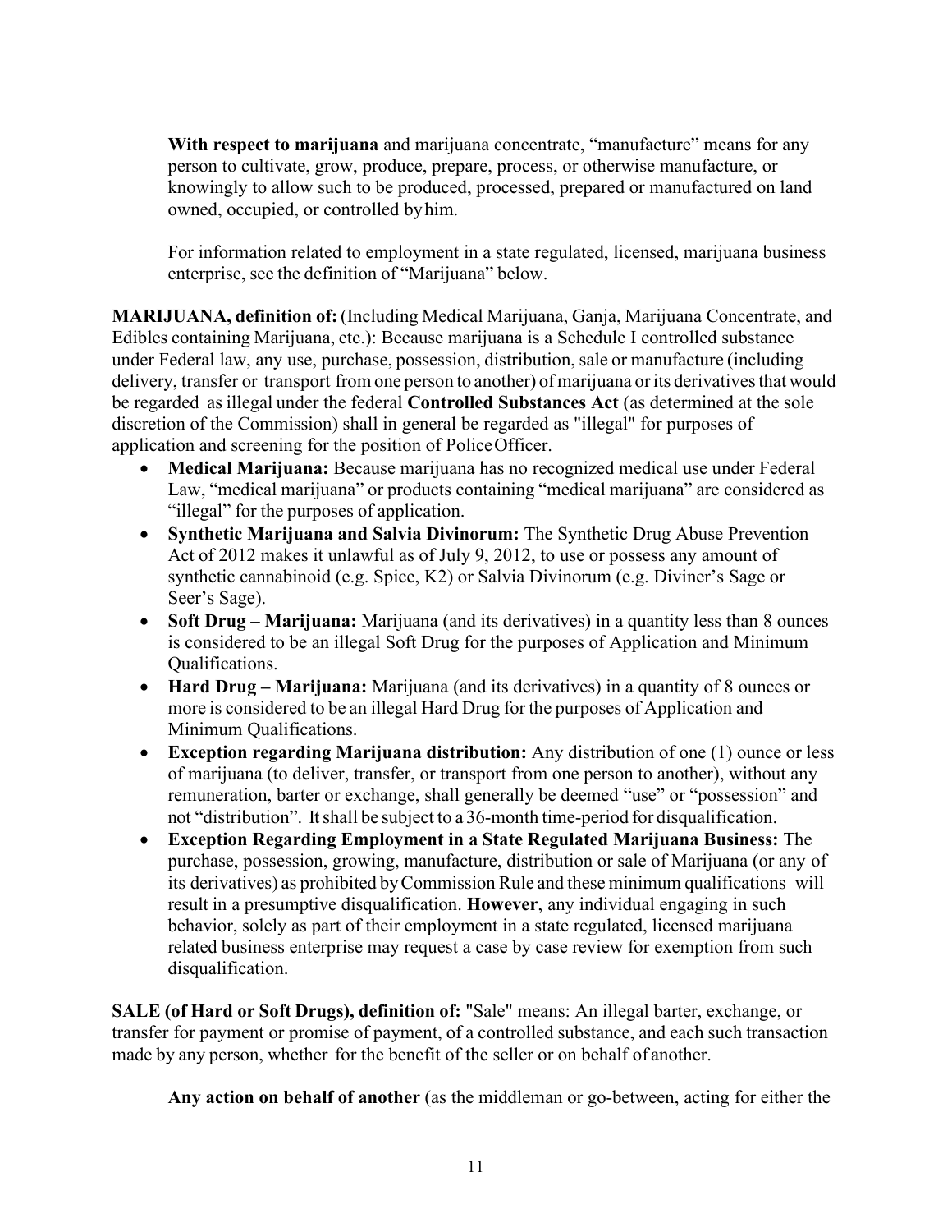**With respect to marijuana** and marijuana concentrate, "manufacture" means for any person to cultivate, grow, produce, prepare, process, or otherwise manufacture, or knowingly to allow such to be produced, processed, prepared or manufactured on land owned, occupied, or controlled byhim.

For information related to employment in a state regulated, licensed, marijuana business enterprise, see the definition of "Marijuana" below.

<span id="page-11-0"></span>**MARIJUANA, definition of:** (Including Medical Marijuana, Ganja, Marijuana Concentrate, and Edibles containing Marijuana, etc.): Because marijuana is a Schedule I controlled substance under Federal law, any use, purchase, possession, distribution, sale or manufacture (including delivery, transfer or transport from one person to another) of marijuana or its derivatives that would be regarded asillegal under the federal **Controlled Substances Act** (as determined at the sole discretion of the Commission) shall in general be regarded as "illegal" for purposes of application and screening for the position of PoliceOfficer.

- **Medical Marijuana:** Because marijuana has no recognized medical use under Federal Law, "medical marijuana" or products containing "medical marijuana" are considered as "illegal" for the purposes of application.
- **Synthetic Marijuana and Salvia Divinorum:** The Synthetic Drug Abuse Prevention Act of 2012 makes it unlawful as of July 9, 2012, to use or possess any amount of synthetic cannabinoid (e.g. Spice, K2) or Salvia Divinorum (e.g. Diviner's Sage or Seer's Sage).
- **Soft Drug Marijuana:** Marijuana (and its derivatives) in a quantity less than 8 ounces is considered to be an illegal Soft Drug for the purposes of Application and Minimum Qualifications.
- **Hard Drug – Marijuana:** Marijuana (and its derivatives) in a quantity of 8 ounces or more is considered to be an illegal Hard Drug for the purposes of Application and Minimum Qualifications.
- **Exception regarding Marijuana distribution:** Any distribution of one (1) ounce or less of marijuana (to deliver, transfer, or transport from one person to another), without any remuneration, barter or exchange, shall generally be deemed "use" or "possession" and not "distribution". Itshall be subject to a 36-month time-period for disqualification.
- **Exception Regarding Employment in a State Regulated Marijuana Business:** The purchase, possession, growing, manufacture, distribution or sale of Marijuana (or any of its derivatives) as prohibited byCommission Rule and these minimum qualifications will result in a presumptive disqualification. **However**, any individual engaging in such behavior, solely as part of their employment in a state regulated, licensed marijuana related business enterprise may request a case by case review for exemption from such disqualification.

**SALE (of Hard or Soft Drugs), definition of:** "Sale" means: An illegal barter, exchange, or transfer for payment or promise of payment, of a controlled substance, and each such transaction made by any person, whether for the benefit of the seller or on behalf of another.

**Any action on behalf of another** (as the middleman or go-between, acting for either the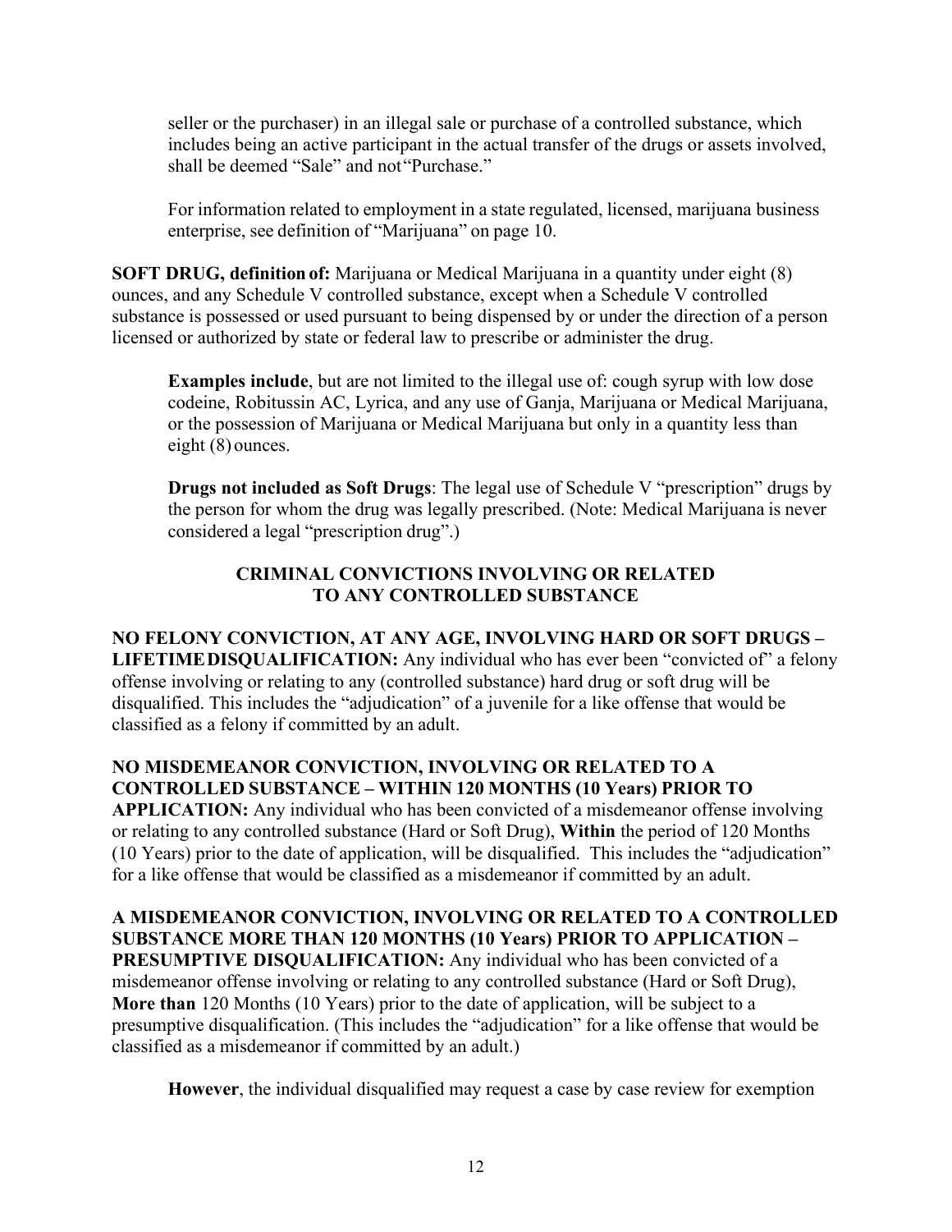seller or the purchaser) in an illegal sale or purchase of a controlled substance, which includes being an active participant in the actual transfer of the drugs or assets involved, shall be deemed "Sale" and not"Purchase."

For information related to employment in a state regulated, licensed, marijuana business enterprise, see definition of "Marijuana" on page 10.

**SOFT DRUG, definition of:** Marijuana or Medical Marijuana in a quantity under eight (8) ounces, and any Schedule V controlled substance, except when a Schedule V controlled substance is possessed or used pursuant to being dispensed by or under the direction of a person licensed or authorized by state or federal law to prescribe or administer the drug.

**Examples include**, but are not limited to the illegal use of: cough syrup with low dose codeine, Robitussin AC, Lyrica, and any use of Ganja, Marijuana or Medical Marijuana, or the possession of Marijuana or Medical Marijuana but only in a quantity less than eight (8) ounces.

**Drugs not included as Soft Drugs**: The legal use of Schedule V "prescription" drugs by the person for whom the drug was legally prescribed. (Note: Medical Marijuana is never considered a legal "prescription drug".)

### **CRIMINAL CONVICTIONS INVOLVING OR RELATED TO ANY CONTROLLED SUBSTANCE**

#### **NO FELONY CONVICTION, AT ANY AGE, INVOLVING HARD OR SOFT DRUGS – LIFETIMEDISQUALIFICATION:** Any individual who has ever been "convicted of" a felony offense involving or relating to any (controlled substance) hard drug or soft drug will be disqualified. This includes the "adjudication" of a juvenile for a like offense that would be classified as a felony if committed by an adult.

### **NO MISDEMEANOR CONVICTION, INVOLVING OR RELATED TO A CONTROLLED SUBSTANCE – WITHIN 120 MONTHS (10 Years) PRIOR TO**

**APPLICATION:** Any individual who has been convicted of a misdemeanor offense involving or relating to any controlled substance (Hard or Soft Drug), **Within** the period of 120 Months (10 Years) prior to the date of application, will be disqualified. This includes the "adjudication" for a like offense that would be classified as a misdemeanor if committed by an adult.

<span id="page-12-0"></span>**A MISDEMEANOR CONVICTION, INVOLVING OR RELATED TO A CONTROLLED SUBSTANCE MORE THAN 120 MONTHS (10 Years) PRIOR TO APPLICATION – PRESUMPTIVE DISQUALIFICATION:** Any individual who has been convicted of a misdemeanor offense involving or relating to any controlled substance (Hard or Soft Drug), **More than** 120 Months (10 Years) prior to the date of application, will be subject to a presumptive disqualification. (This includes the "adjudication" for a like offense that would be classified as a misdemeanor if committed by an adult.)

**However**, the individual disqualified may request a case by case review for exemption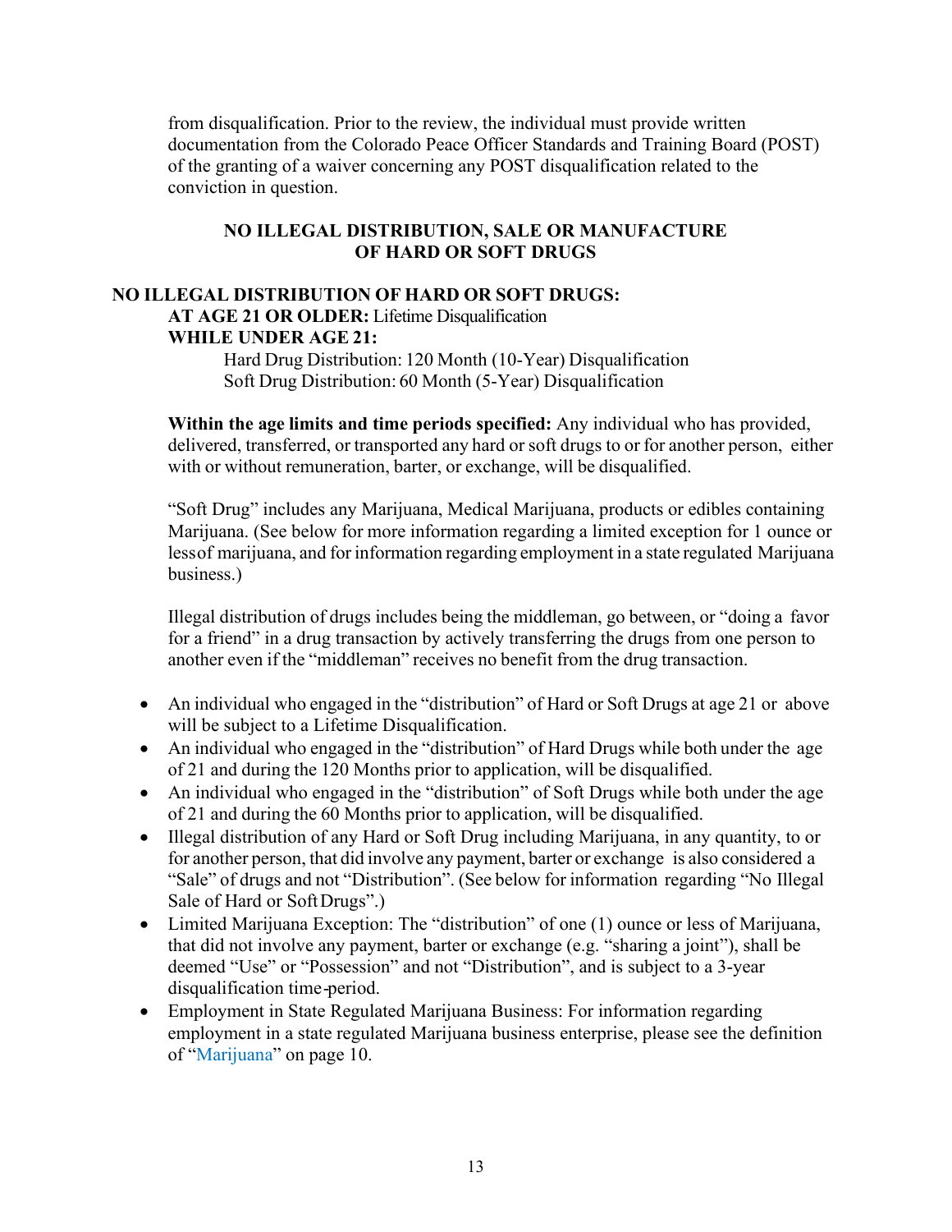from disqualification. Prior to the review, the individual must provide written documentation from the Colorado Peace Officer Standards and Training Board (POST) of the granting of a waiver concerning any POST disqualification related to the conviction in question.

#### **NO ILLEGAL DISTRIBUTION, SALE OR MANUFACTURE OF HARD OR SOFT DRUGS**

#### **NO ILLEGAL DISTRIBUTION OF HARD OR SOFT DRUGS: AT AGE 21 OR OLDER:** Lifetime Disqualification **WHILE UNDER AGE 21:**

Hard Drug Distribution: 120 Month (10-Year) Disqualification Soft Drug Distribution: 60 Month (5-Year) Disqualification

**Within the age limits and time periods specified:** Any individual who has provided, delivered, transferred, or transported any hard or soft drugs to or for another person, either with or without remuneration, barter, or exchange, will be disqualified.

"Soft Drug" includes any Marijuana, Medical Marijuana, products or edibles containing Marijuana. (See below for more information regarding a limited exception for 1 ounce or lessof marijuana, and for information regarding employment in a state regulated Marijuana business.)

Illegal distribution of drugs includes being the middleman, go between, or "doing a favor for a friend" in a drug transaction by actively transferring the drugs from one person to another even if the "middleman" receives no benefit from the drug transaction.

- An individual who engaged in the "distribution" of Hard or Soft Drugs at age 21 or above will be subject to a Lifetime Disqualification.
- An individual who engaged in the "distribution" of Hard Drugs while both under the age of 21 and during the 120 Months prior to application, will be disqualified.
- An individual who engaged in the "distribution" of Soft Drugs while both under the age of 21 and during the 60 Months prior to application, will be disqualified.
- Illegal distribution of any Hard or Soft Drug including Marijuana, in any quantity, to or for another person, that did involve any payment, barter or exchange is also considered a "Sale" of drugs and not "Distribution". (See below for information regarding "No Illegal Sale of Hard or SoftDrugs".)
- Limited Marijuana Exception: The "distribution" of one (1) ounce or less of Marijuana, that did not involve any payment, barter or exchange (e.g. "sharing a joint"), shall be deemed "Use" or "Possession" and not "Distribution", and is subject to a 3-year disqualification time-period.
- Employment in State Regulated Marijuana Business: For information regarding employment in a state regulated Marijuana business enterprise, please see the definition of ["Marijuana"](#page-11-0) on page 10.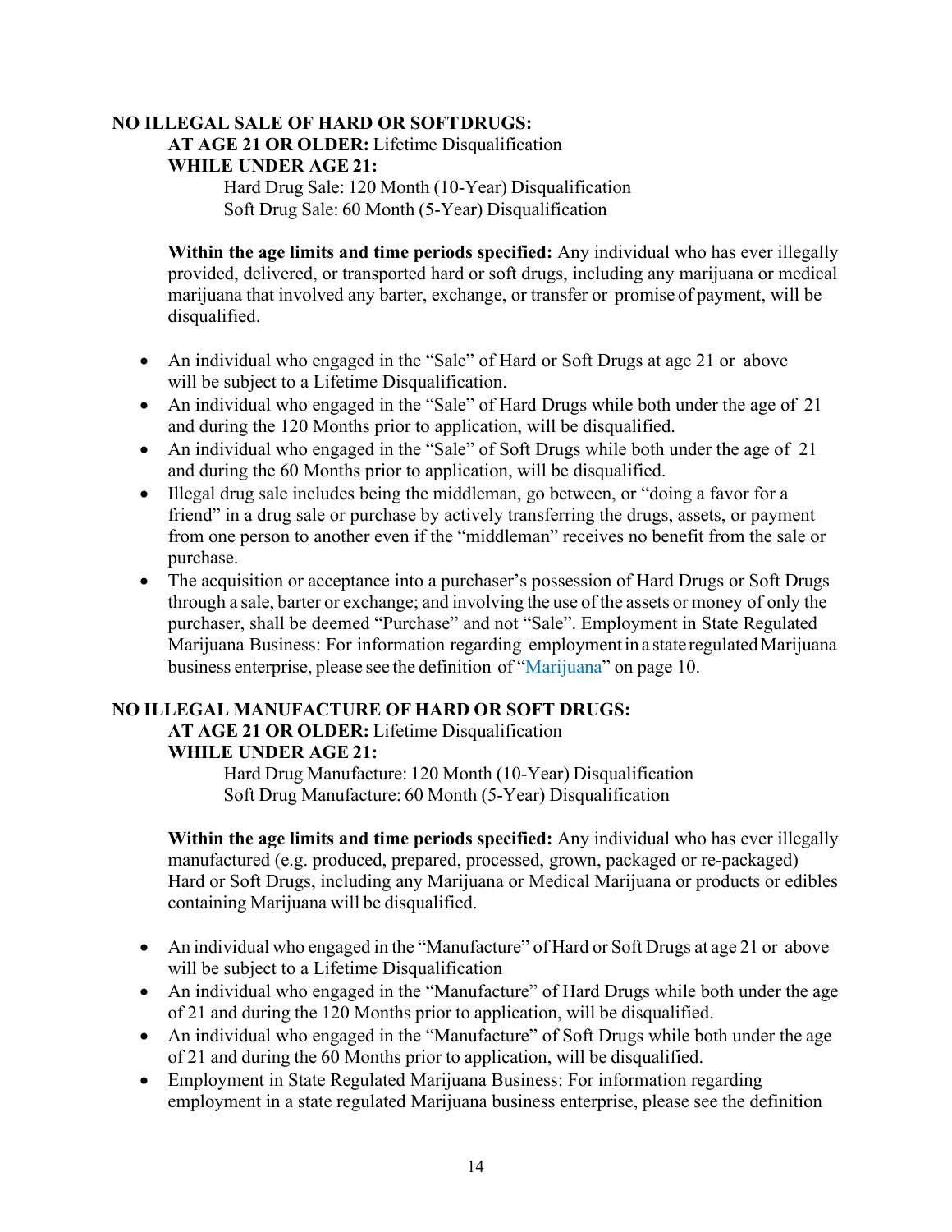#### **NO ILLEGAL SALE OF HARD OR SOFTDRUGS: AT AGE 21 OR OLDER:** Lifetime Disqualification **WHILE UNDER AGE 21:**

Hard Drug Sale: 120 Month (10-Year) Disqualification Soft Drug Sale: 60 Month (5-Year) Disqualification

**Within the age limits and time periods specified:** Any individual who has ever illegally provided, delivered, or transported hard or soft drugs, including any marijuana or medical marijuana that involved any barter, exchange, or transfer or promise of payment, will be disqualified.

- An individual who engaged in the "Sale" of Hard or Soft Drugs at age 21 or above will be subject to a Lifetime Disqualification.
- An individual who engaged in the "Sale" of Hard Drugs while both under the age of 21 and during the 120 Months prior to application, will be disqualified.
- An individual who engaged in the "Sale" of Soft Drugs while both under the age of 21 and during the 60 Months prior to application, will be disqualified.
- Illegal drug sale includes being the middleman, go between, or "doing a favor for a friend" in a drug sale or purchase by actively transferring the drugs, assets, or payment from one person to another even if the "middleman" receives no benefit from the sale or purchase.
- The acquisition or acceptance into a purchaser's possession of Hard Drugs or Soft Drugs through a sale, barter or exchange; and involving the use of the assets or money of only the purchaser, shall be deemed "Purchase" and not "Sale". Employment in State Regulated Marijuana Business: For information regarding employment in a state regulated Marijuana business enterprise, please see the definition of ["Marijuana"](#page-11-0) on page 10.

# **NO ILLEGAL MANUFACTURE OF HARD OR SOFT DRUGS:**

# **AT AGE 21 OR OLDER:** Lifetime Disqualification **WHILE UNDER AGE 21:**

Hard Drug Manufacture: 120 Month (10-Year) Disqualification Soft Drug Manufacture: 60 Month (5-Year) Disqualification

**Within the age limits and time periods specified:** Any individual who has ever illegally manufactured (e.g. produced, prepared, processed, grown, packaged or re-packaged) Hard or Soft Drugs, including any Marijuana or Medical Marijuana or products or edibles containing Marijuana will be disqualified.

- An individual who engaged in the "Manufacture" of Hard or Soft Drugs at age 21 or above will be subject to a Lifetime Disqualification
- An individual who engaged in the "Manufacture" of Hard Drugs while both under the age of 21 and during the 120 Months prior to application, will be disqualified.
- An individual who engaged in the "Manufacture" of Soft Drugs while both under the age of 21 and during the 60 Months prior to application, will be disqualified.
- Employment in State Regulated Marijuana Business: For information regarding employment in a state regulated Marijuana business enterprise, please see the definition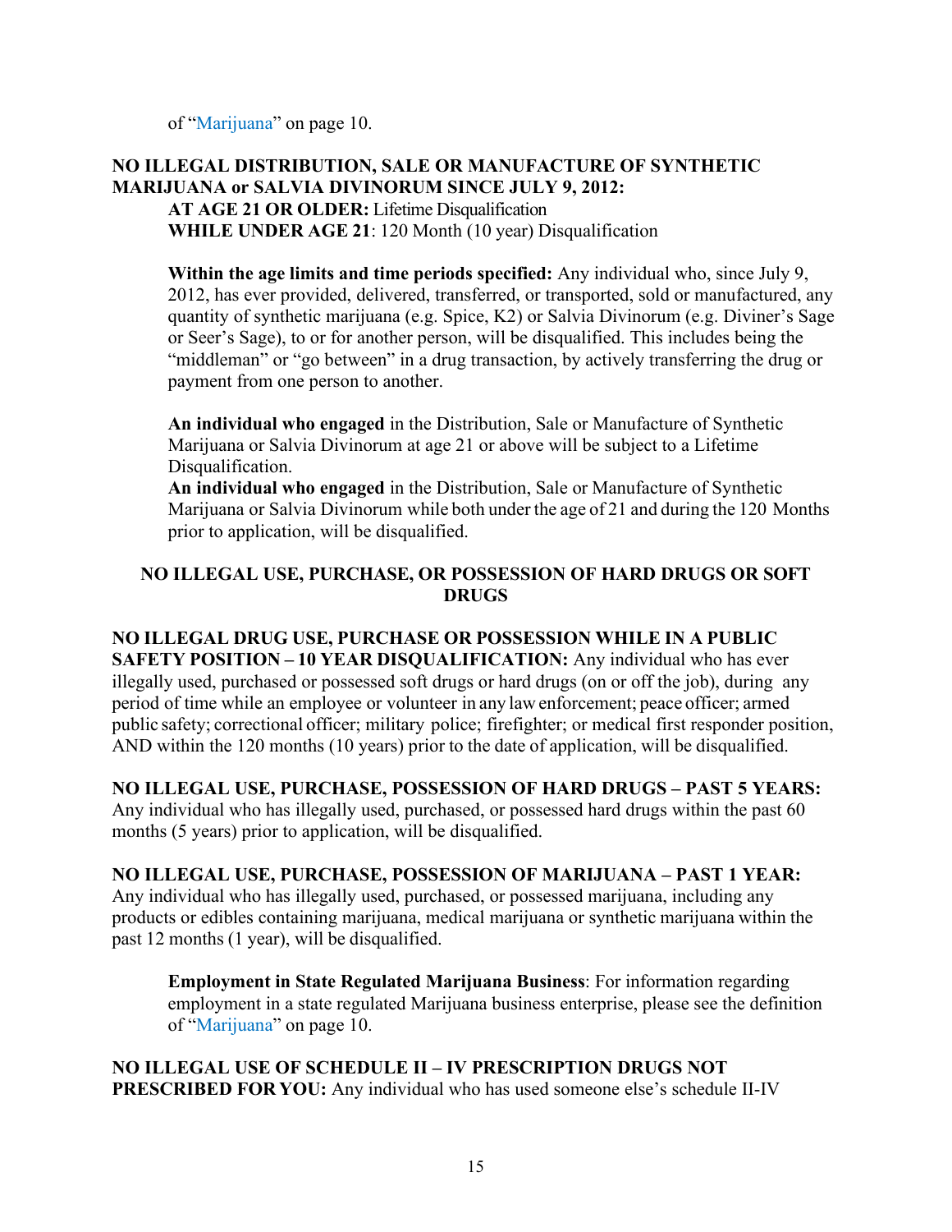of ["Marijuana"](#page-11-0) on page 10.

#### **NO ILLEGAL DISTRIBUTION, SALE OR MANUFACTURE OF SYNTHETIC MARIJUANA or SALVIA DIVINORUM SINCE JULY 9, 2012: AT AGE 21 OR OLDER:** Lifetime Disqualification

**WHILE UNDER AGE 21**: 120 Month (10 year) Disqualification

**Within the age limits and time periods specified:** Any individual who, since July 9, 2012, has ever provided, delivered, transferred, or transported, sold or manufactured, any quantity of synthetic marijuana (e.g. Spice, K2) or Salvia Divinorum (e.g. Diviner's Sage or Seer's Sage), to or for another person, will be disqualified. This includes being the "middleman" or "go between" in a drug transaction, by actively transferring the drug or payment from one person to another.

**An individual who engaged** in the Distribution, Sale or Manufacture of Synthetic Marijuana or Salvia Divinorum at age 21 or above will be subject to a Lifetime Disqualification.

**An individual who engaged** in the Distribution, Sale or Manufacture of Synthetic Marijuana or Salvia Divinorum while both under the age of 21 and during the 120 Months prior to application, will be disqualified.

### **NO ILLEGAL USE, PURCHASE, OR POSSESSION OF HARD DRUGS OR SOFT DRUGS**

# **NO ILLEGAL DRUG USE, PURCHASE OR POSSESSION WHILE IN A PUBLIC**

**SAFETY POSITION – 10 YEAR DISQUALIFICATION:** Any individual who has ever illegally used, purchased or possessed soft drugs or hard drugs (on or off the job), during any period of time while an employee or volunteer in any law enforcement; peace officer; armed public safety; correctional officer; military police; firefighter; or medical first responder position, AND within the 120 months (10 years) prior to the date of application, will be disqualified.

### **NO ILLEGAL USE, PURCHASE, POSSESSION OF HARD DRUGS – PAST 5 YEARS:**

Any individual who has illegally used, purchased, or possessed hard drugs within the past 60 months (5 years) prior to application, will be disqualified.

#### **NO ILLEGAL USE, PURCHASE, POSSESSION OF MARIJUANA – PAST 1 YEAR:**

Any individual who has illegally used, purchased, or possessed marijuana, including any products or edibles containing marijuana, medical marijuana or synthetic marijuana within the past 12 months (1 year), will be disqualified.

**Employment in State Regulated Marijuana Business**: For information regarding employment in a state regulated Marijuana business enterprise, please see the definition of ["Marijuana"](#page-11-0) on page 10.

**NO ILLEGAL USE OF SCHEDULE II – IV PRESCRIPTION DRUGS NOT PRESCRIBED FOR YOU:** Any individual who has used someone else's schedule II-IV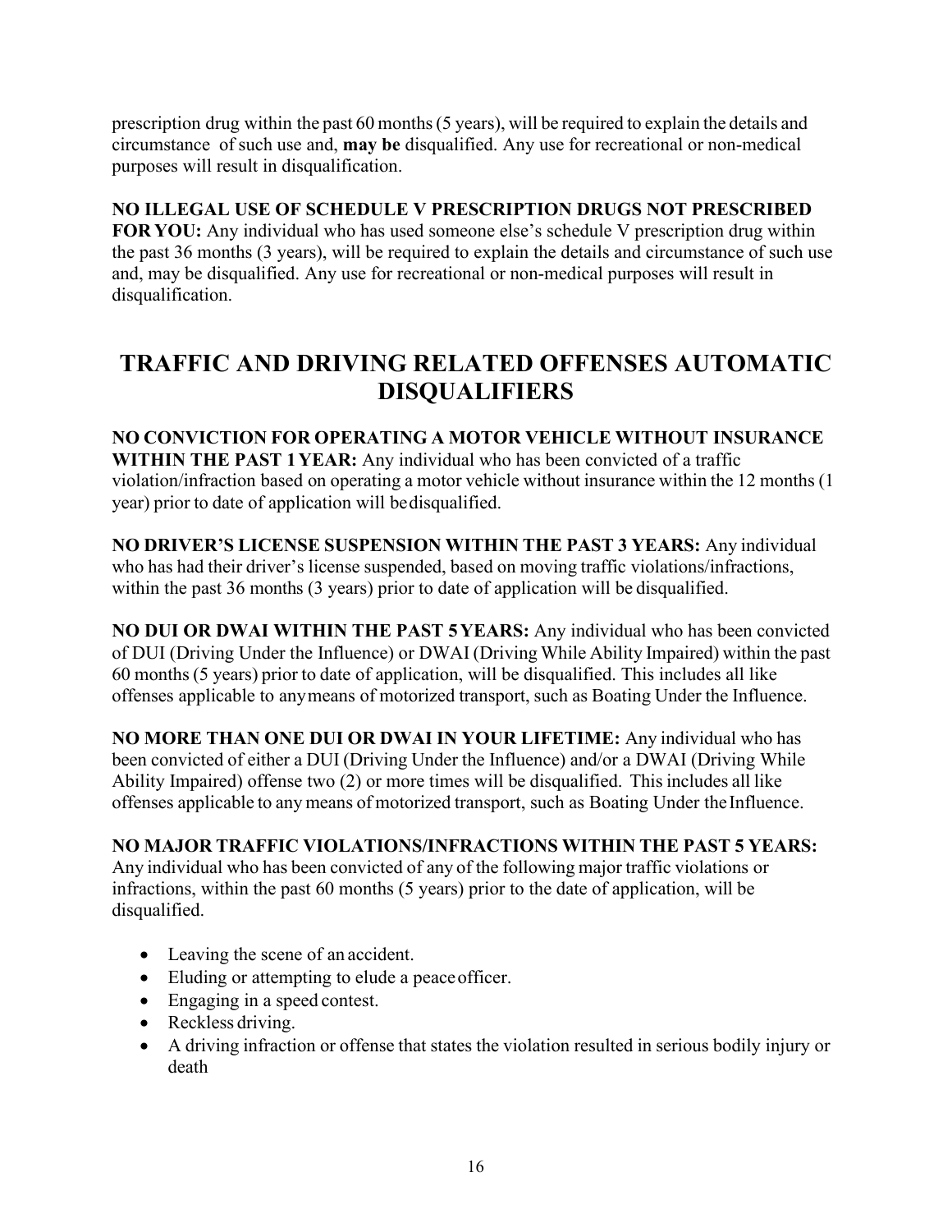prescription drug within the past 60 months(5 years), will be required to explain the details and circumstance of such use and, **may be** disqualified. Any use for recreational or non-medical purposes will result in disqualification.

# **NO ILLEGAL USE OF SCHEDULE V PRESCRIPTION DRUGS NOT PRESCRIBED**

**FOR YOU:** Any individual who has used someone else's schedule V prescription drug within the past 36 months (3 years), will be required to explain the details and circumstance of such use and, may be disqualified. Any use for recreational or non-medical purposes will result in disqualification.

# <span id="page-16-0"></span>**TRAFFIC AND DRIVING RELATED OFFENSES AUTOMATIC DISQUALIFIERS**

**NO CONVICTION FOR OPERATING A MOTOR VEHICLE WITHOUT INSURANCE WITHIN THE PAST 1YEAR:** Any individual who has been convicted of a traffic violation/infraction based on operating a motor vehicle without insurance within the 12 months (1 year) prior to date of application will bedisqualified.

**NO DRIVER'S LICENSE SUSPENSION WITHIN THE PAST 3 YEARS:** Any individual who has had their driver's license suspended, based on moving traffic violations/infractions, within the past 36 months (3 years) prior to date of application will be disqualified.

**NO DUI OR DWAI WITHIN THE PAST 5YEARS:** Any individual who has been convicted of DUI (Driving Under the Influence) or DWAI (Driving While Ability Impaired) within the past 60 months (5 years) prior to date of application, will be disqualified. This includes all like offenses applicable to anymeans of motorized transport, such as Boating Under the Influence.

**NO MORE THAN ONE DUI OR DWAI IN YOUR LIFETIME:** Any individual who has been convicted of either a DUI (Driving Under the Influence) and/or a DWAI (Driving While Ability Impaired) offense two (2) or more times will be disqualified. This includes all like offenses applicable to any means of motorized transport, such as Boating Under the Influence.

# **NO MAJOR TRAFFIC VIOLATIONS/INFRACTIONS WITHIN THE PAST 5 YEARS:**

Any individual who has been convicted of any of the following major traffic violations or infractions, within the past 60 months (5 years) prior to the date of application, will be disqualified.

- Leaving the scene of an accident.
- Eluding or attempting to elude a peace officer.
- Engaging in a speed contest.
- Reckless driving.
- A driving infraction or offense that states the violation resulted in serious bodily injury or death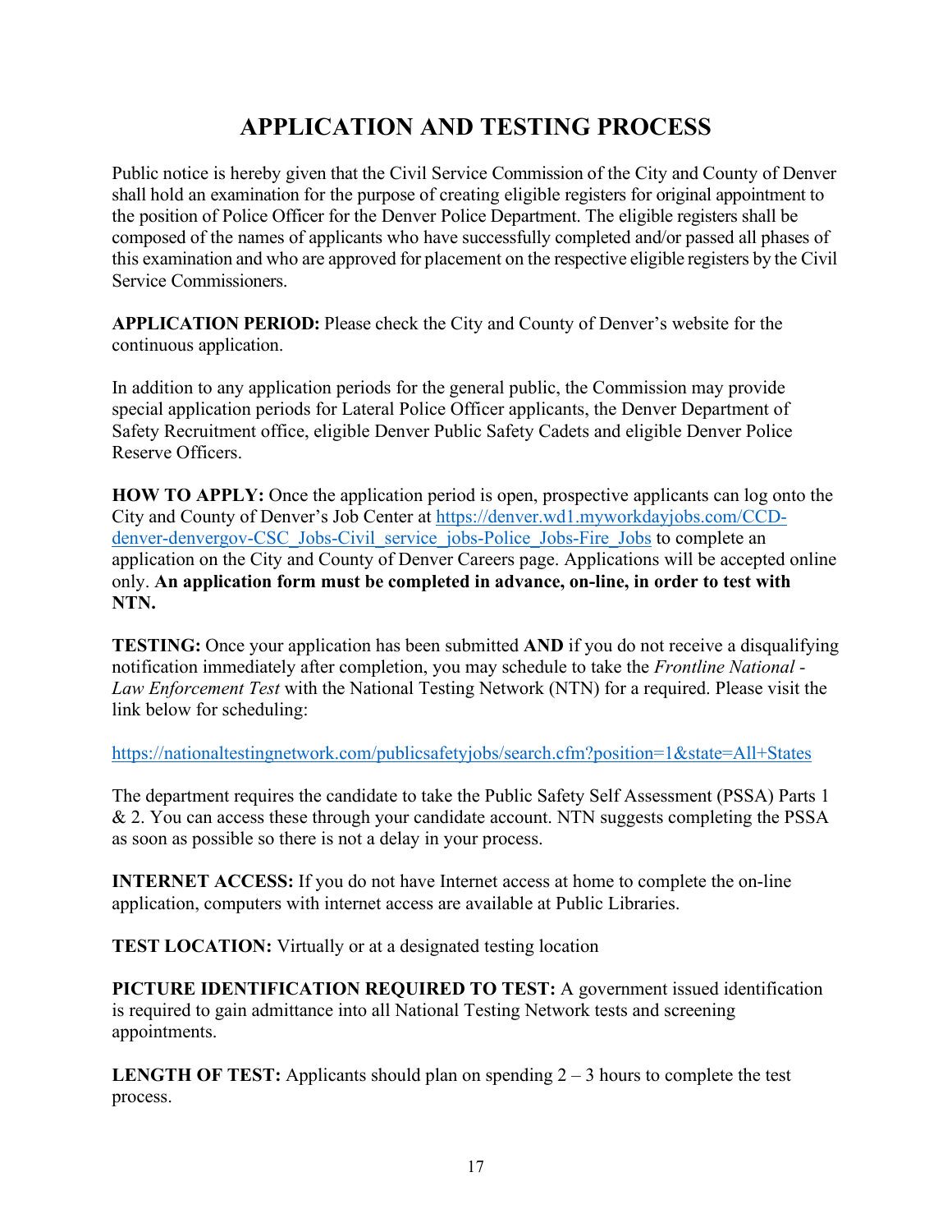# **APPLICATION AND TESTING PROCESS**

<span id="page-17-0"></span>Public notice is hereby given that the Civil Service Commission of the City and County of Denver shall hold an examination for the purpose of creating eligible registers for original appointment to the position of Police Officer for the Denver Police Department. The eligible registers shall be composed of the names of applicants who have successfully completed and/or passed all phases of this examination and who are approved for placement on the respective eligible registers by the Civil Service Commissioners.

**APPLICATION PERIOD:** Please check the City and County of Denver's website for the continuous application.

In addition to any application periods for the general public, the Commission may provide special application periods for Lateral Police Officer applicants, the Denver Department of Safety Recruitment office, eligible Denver Public Safety Cadets and eligible Denver Police Reserve Officers.

**HOW TO APPLY:** Once the application period is open, prospective applicants can log onto the City and County of Denver's Job Center at [https://denver.wd1.myworkdayjobs.com/CCD](https://denver.wd1.myworkdayjobs.com/CCD-denver-denvergov-CSC_Jobs-Civil_service_jobs-Police_Jobs-Fire_Jobs)[denver-denvergov-CSC\\_Jobs-Civil\\_service\\_jobs-Police\\_Jobs-Fire\\_Jobs](https://denver.wd1.myworkdayjobs.com/CCD-denver-denvergov-CSC_Jobs-Civil_service_jobs-Police_Jobs-Fire_Jobs) to complete an application on the City and County of Denver Careers page. Applications will be accepted online only. **An application form must be completed in advance, on-line, in order to test with NTN.**

**TESTING:** Once your application has been submitted **AND** if you do not receive a disqualifying notification immediately after completion, you may schedule to take the *Frontline National - Law Enforcement Test* with the National Testing Network (NTN) for a required. Please visit the link below for scheduling:

<https://nationaltestingnetwork.com/publicsafetyjobs/search.cfm?position=1&state=All+States>

The department requires the candidate to take the Public Safety Self Assessment (PSSA) Parts 1 & 2. You can access these through your candidate account. NTN suggests completing the PSSA as soon as possible so there is not a delay in your process.

**INTERNET ACCESS:** If you do not have Internet access at home to complete the on-line application, computers with internet access are available at Public Libraries.

**TEST LOCATION:** Virtually or at a designated testing location

**PICTURE IDENTIFICATION REQUIRED TO TEST:** A government issued identification is required to gain admittance into all National Testing Network tests and screening appointments.

**LENGTH OF TEST:** Applicants should plan on spending 2 – 3 hours to complete the test process.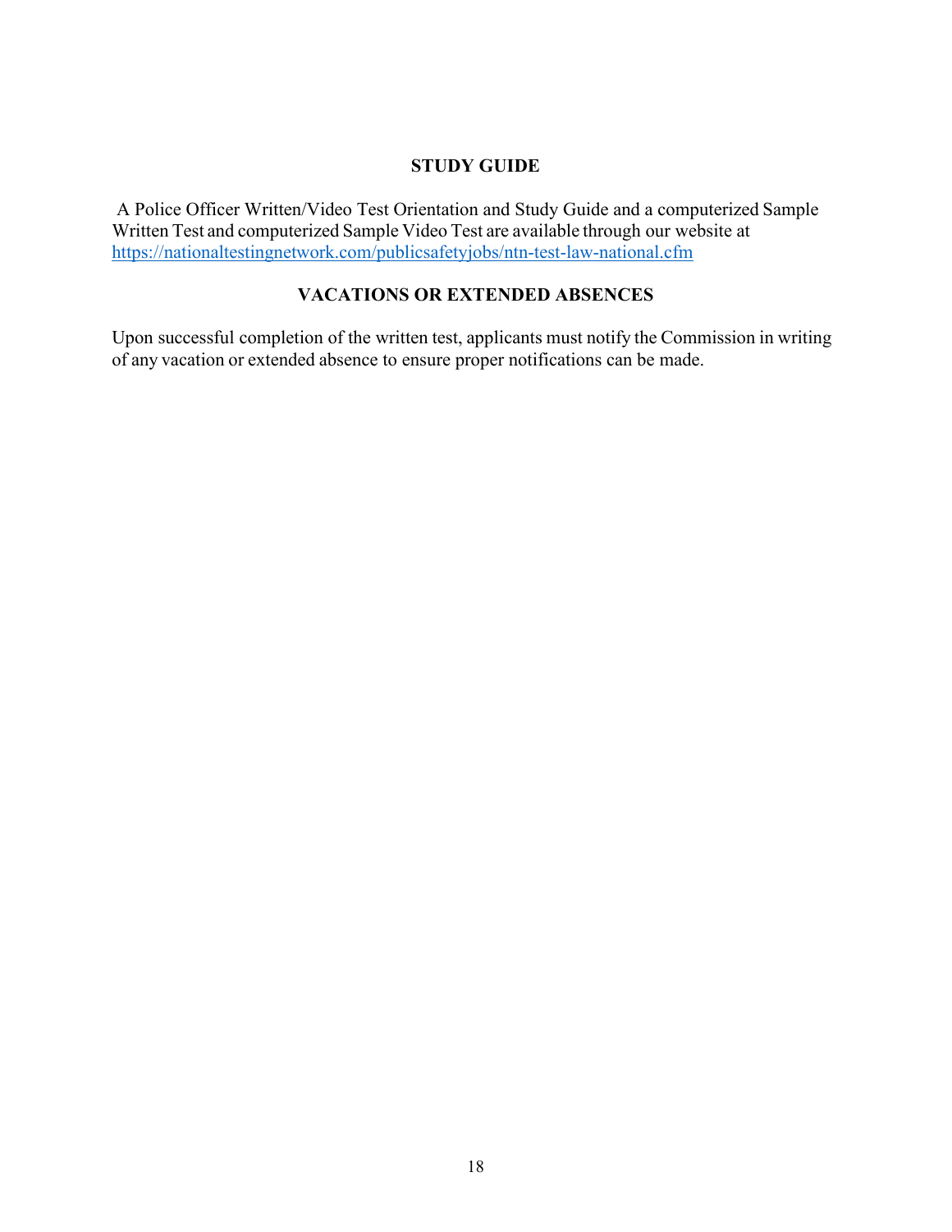#### **STUDY GUIDE**

<span id="page-18-0"></span>A Police Officer Written/Video Test Orientation and Study Guide and a computerized Sample Written Test and computerized Sample Video Test are available through our website at <https://nationaltestingnetwork.com/publicsafetyjobs/ntn-test-law-national.cfm>

### **VACATIONS OR EXTENDED ABSENCES**

<span id="page-18-1"></span>Upon successful completion of the written test, applicants must notify the Commission in writing of any vacation or extended absence to ensure proper notifications can be made.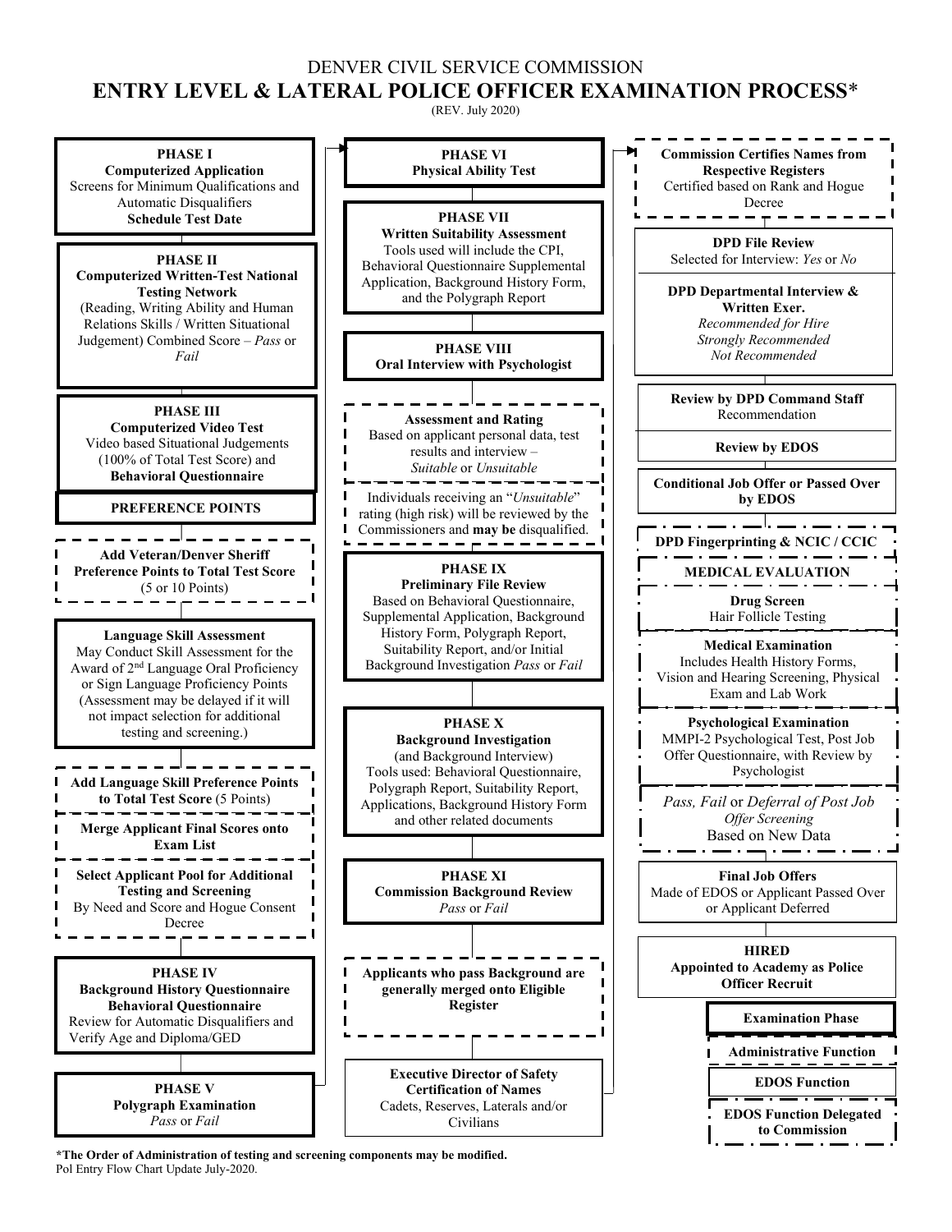### DENVER CIVIL SERVICE COMMISSION **ENTRY LEVEL & LATERAL POLICE OFFICER EXAMINATION PROCESS**\*

(REV. July 2020)



**\*The Order of Administration of testing and screening components may be modified.** Pol Entry Flow Chart Update July-2020.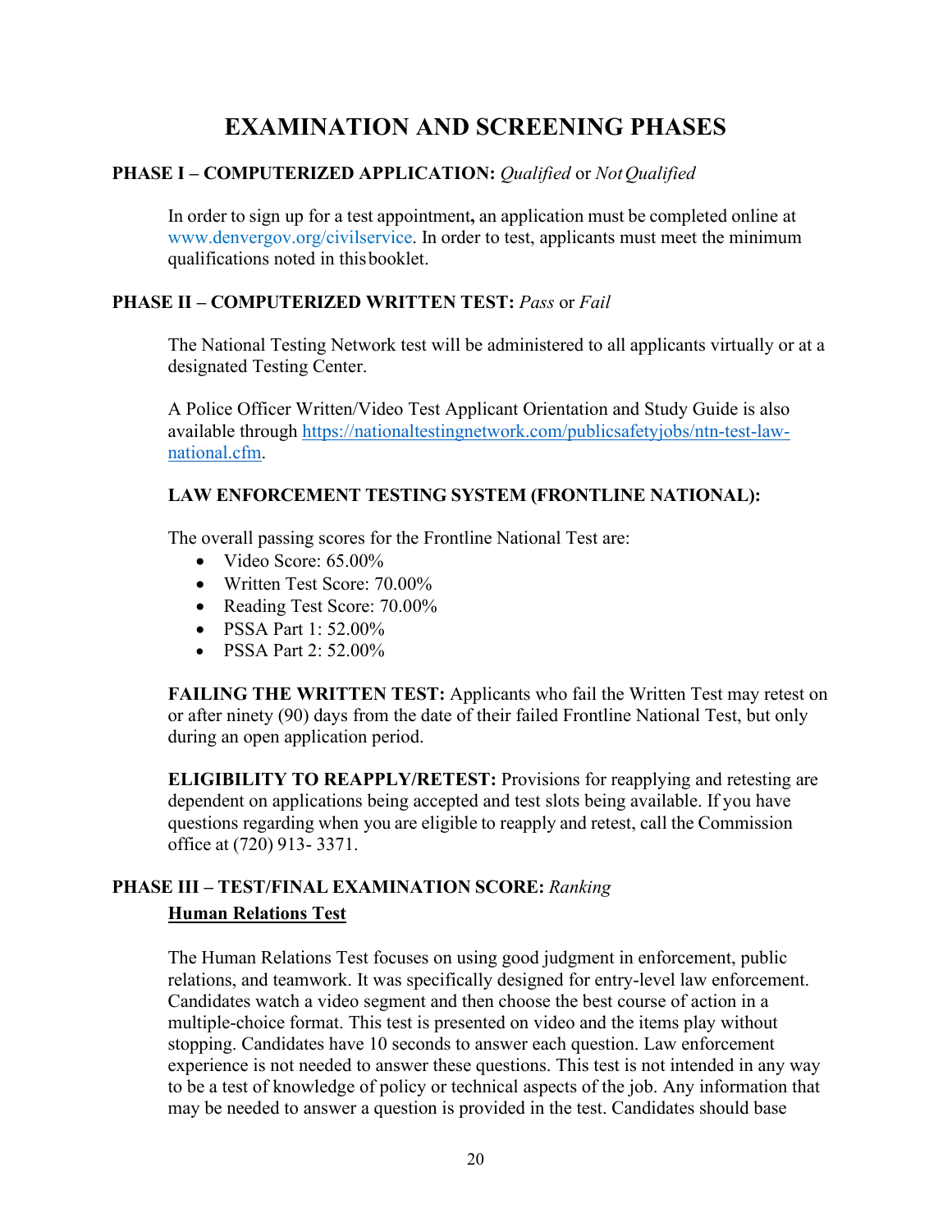# **EXAMINATION AND SCREENING PHASES**

### <span id="page-20-0"></span>**PHASE I – COMPUTERIZED APPLICATION:** *Qualified* or *NotQualified*

In order to sign up for a test appointment**,** an application must be completed online at [www.denvergov.org/civilservice.](http://www.denvergov.org/civilservice) In order to test, applicants must meet the minimum qualifications noted in thisbooklet.

### **PHASE II – COMPUTERIZED WRITTEN TEST:** *Pass* or *Fail*

The National Testing Network test will be administered to all applicants virtually or at a designated Testing Center.

A [Police Officer](http://www.denvergov.org/Portals/590/documents/Police%20Test%20Preparation%20Study%20Guide.pdf) [Written/Video Test Applicant Orientation](http://www.denvergov.org/Portals/590/documents/Police%20Test%20Preparation%20Study%20Guide.pdf) [and Study Guide](http://www.denvergov.org/Portals/590/documents/Police%20Test%20Preparation%20Study%20Guide.pdf) is also available through [https://nationaltestingnetwork.com/publicsafetyjobs/ntn-test-law](https://nationaltestingnetwork.com/publicsafetyjobs/ntn-test-law-national.cfm)[national.cfm.](https://nationaltestingnetwork.com/publicsafetyjobs/ntn-test-law-national.cfm)

### **LAW ENFORCEMENT TESTING SYSTEM (FRONTLINE NATIONAL):**

The overall passing scores for the Frontline National Test are:

- Video Score: 65.00%
- Written Test Score: 70.00%
- Reading Test Score: 70.00%
- PSSA Part 1: 52.00%
- PSSA Part 2: 52.00%

**FAILING THE WRITTEN TEST:** Applicants who fail the Written Test may retest on or after ninety (90) days from the date of their failed Frontline National Test, but only during an open application period.

**ELIGIBILITY TO REAPPLY/RETEST:** Provisions for reapplying and retesting are dependent on applications being accepted and test slots being available. If you have questions regarding when you are eligible to reapply and retest, call the Commission office at (720) 913- 3371.

# **PHASE III – TEST/FINAL EXAMINATION SCORE:** *Ranking* **Human Relations Test**

The Human Relations Test focuses on using good judgment in enforcement, public relations, and teamwork. It was specifically designed for entry-level law enforcement. Candidates watch a video segment and then choose the best course of action in a multiple-choice format. This test is presented on video and the items play without stopping. Candidates have 10 seconds to answer each question. Law enforcement experience is not needed to answer these questions. This test is not intended in any way to be a test of knowledge of policy or technical aspects of the job. Any information that may be needed to answer a question is provided in the test. Candidates should base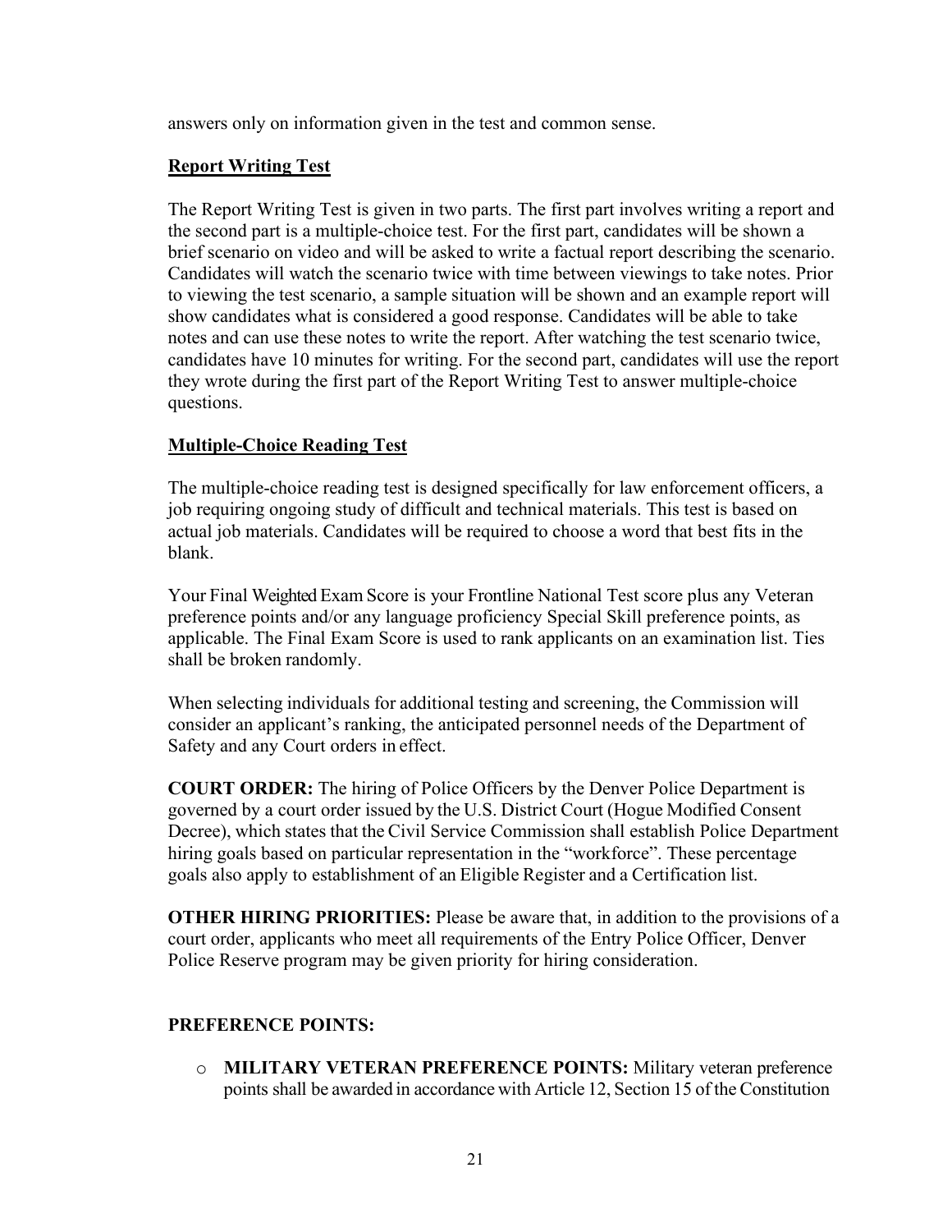answers only on information given in the test and common sense.

#### **Report Writing Test**

The Report Writing Test is given in two parts. The first part involves writing a report and the second part is a multiple-choice test. For the first part, candidates will be shown a brief scenario on video and will be asked to write a factual report describing the scenario. Candidates will watch the scenario twice with time between viewings to take notes. Prior to viewing the test scenario, a sample situation will be shown and an example report will show candidates what is considered a good response. Candidates will be able to take notes and can use these notes to write the report. After watching the test scenario twice, candidates have 10 minutes for writing. For the second part, candidates will use the report they wrote during the first part of the Report Writing Test to answer multiple-choice questions.

#### **Multiple-Choice Reading Test**

The multiple-choice reading test is designed specifically for law enforcement officers, a job requiring ongoing study of difficult and technical materials. This test is based on actual job materials. Candidates will be required to choose a word that best fits in the blank.

Your Final Weighted Exam Score is your Frontline National Test score plus any Veteran preference points and/or any language proficiency Special Skill preference points, as applicable. The Final Exam Score is used to rank applicants on an examination list. Ties shall be broken randomly.

When selecting individuals for additional testing and screening, the Commission will consider an applicant's ranking, the anticipated personnel needs of the Department of Safety and any Court orders in effect.

<span id="page-21-0"></span>**COURT ORDER:** The hiring of Police Officers by the Denver Police Department is governed by a court order issued by the U.S. District Court (Hogue Modified Consent Decree), which states that the Civil Service Commission shall establish Police Department hiring goals based on particular representation in the "workforce". These percentage goals also apply to establishment of an Eligible Register and a Certification list.

**OTHER HIRING PRIORITIES:** Please be aware that, in addition to the provisions of a court order, applicants who meet all requirements of the Entry Police Officer, Denver Police Reserve program may be given priority for hiring consideration.

#### **PREFERENCE POINTS:**

o **MILITARY VETERAN PREFERENCE POINTS:** Military veteran preference points shall be awarded in accordance with Article 12, Section 15 of theConstitution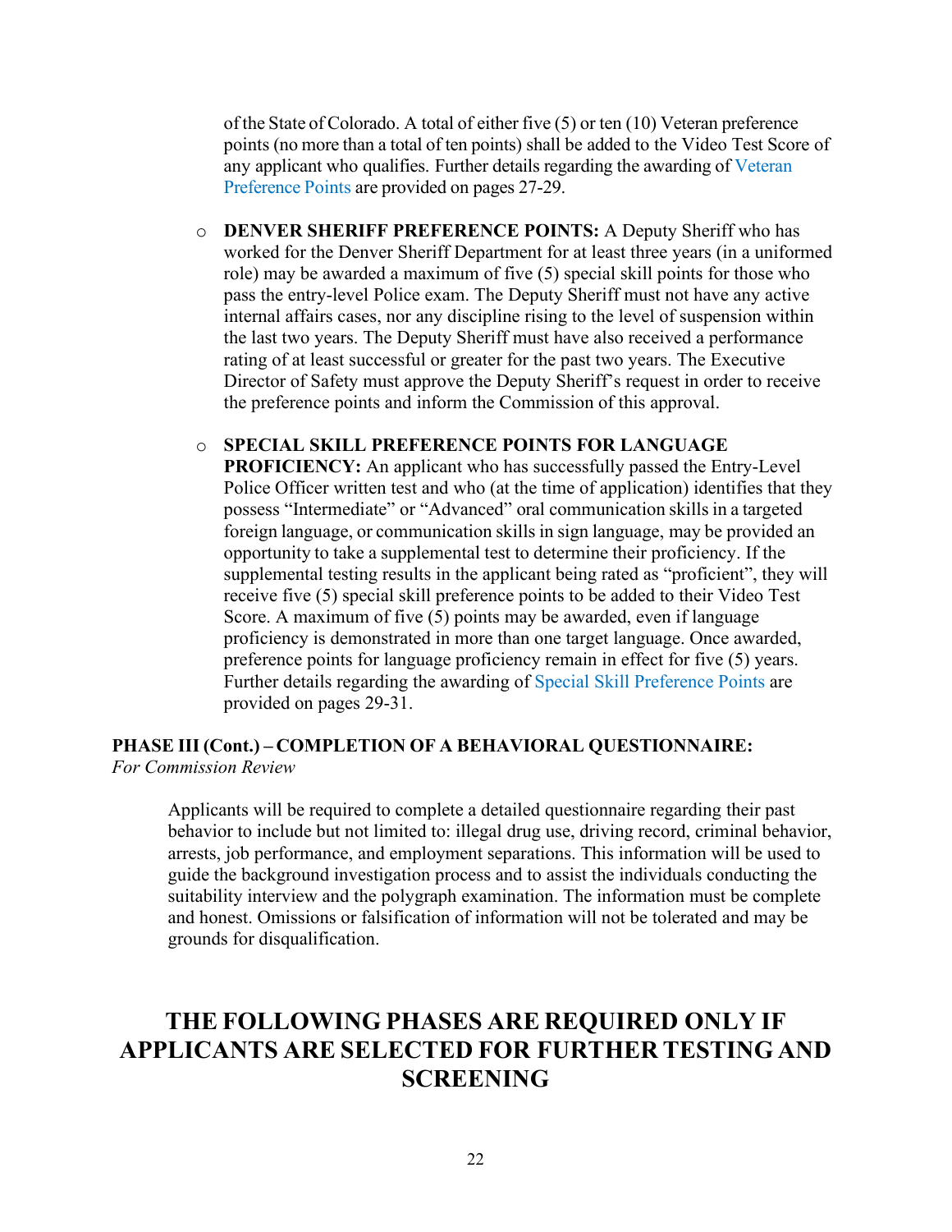of the State of Colorado. A total of either five (5) or ten (10) Veteran preference points (no more than a total of ten points) shall be added to the Video Test Score of any applicant who qualifies. Further details regarding the awarding of [Veteran](#page-27-0) [Preference](#page-27-0) Points are provided on pages 27-29.

o **DENVER SHERIFF PREFERENCE POINTS:** A Deputy Sheriff who has worked for the Denver Sheriff Department for at least three years (in a uniformed role) may be awarded a maximum of five (5) special skill points for those who pass the entry-level Police exam. The Deputy Sheriff must not have any active internal affairs cases, nor any discipline rising to the level of suspension within the last two years. The Deputy Sheriff must have also received a performance rating of at least successful or greater for the past two years. The Executive Director of Safety must approve the Deputy Sheriff's request in order to receive the preference points and inform the Commission of this approval.

#### o **SPECIAL SKILL PREFERENCE POINTS FOR LANGUAGE**

**PROFICIENCY:** An applicant who has successfully passed the Entry-Level Police Officer written test and who (at the time of application) identifies that they possess "Intermediate" or "Advanced" oral communication skills in a targeted foreign language, or communication skills in sign language, may be provided an opportunity to take a supplemental test to determine their proficiency. If the supplemental testing results in the applicant being rated as "proficient", they will receive five (5) special skill preference points to be added to their Video Test Score. A maximum of five (5) points may be awarded, even if language proficiency is demonstrated in more than one target language. Once awarded, preference points for language proficiency remain in effect for five (5) years. Further details regarding the awarding of [Special Skill](#page-29-0) [Preference Points a](#page-29-0)re provided on pages 29-31.

#### **PHASE III (Cont.) – COMPLETION OF A BEHAVIORAL QUESTIONNAIRE:** *For Commission Review*

Applicants will be required to complete a detailed questionnaire regarding their past behavior to include but not limited to: illegal drug use, driving record, criminal behavior, arrests, job performance, and employment separations. This information will be used to guide the background investigation process and to assist the individuals conducting the suitability interview and the polygraph examination. The information must be complete and honest. Omissions or falsification of information will not be tolerated and may be grounds for disqualification.

# **THE FOLLOWING PHASES ARE REQUIRED ONLY IF APPLICANTS ARE SELECTED FOR FURTHER TESTING AND SCREENING**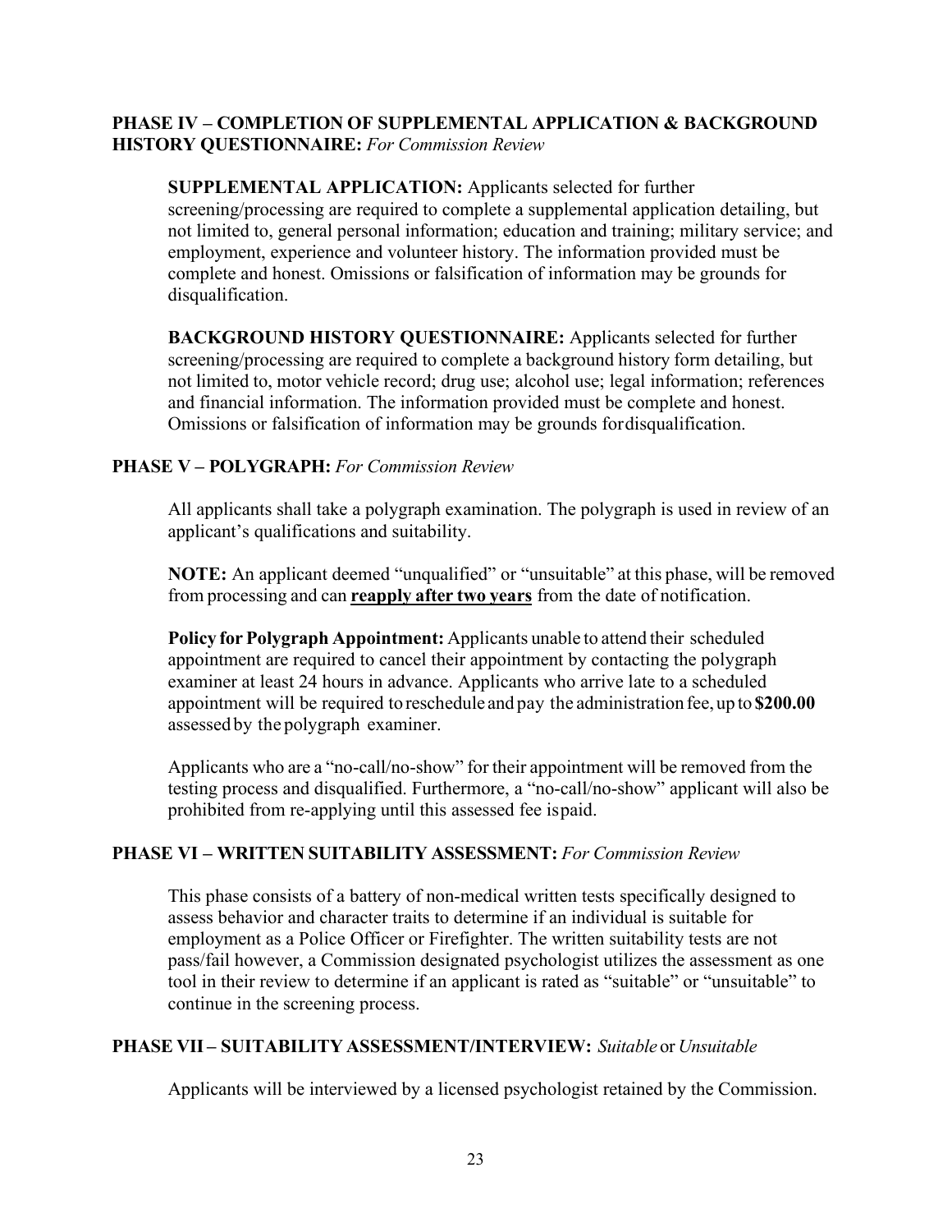#### **PHASE IV – COMPLETION OF SUPPLEMENTAL APPLICATION & BACKGROUND HISTORY QUESTIONNAIRE:** *For Commission Review*

**SUPPLEMENTAL APPLICATION:** Applicants selected for further screening/processing are required to complete a supplemental application detailing, but not limited to, general personal information; education and training; military service; and employment, experience and volunteer history. The information provided must be complete and honest. Omissions or falsification of information may be grounds for disqualification.

**BACKGROUND HISTORY QUESTIONNAIRE:** Applicants selected for further screening/processing are required to complete a background history form detailing, but not limited to, motor vehicle record; drug use; alcohol use; legal information; references and financial information. The information provided must be complete and honest. Omissions or falsification of information may be grounds fordisqualification.

#### **PHASE V – POLYGRAPH:** *For Commission Review*

All applicants shall take a polygraph examination. The polygraph is used in review of an applicant's qualifications and suitability.

**NOTE:** An applicant deemed "unqualified" or "unsuitable" at this phase, will be removed from processing and can **reapply after two years** from the date of notification.

**Policy for Polygraph Appointment:** Applicants unable to attend their scheduled appointment are required to cancel their appointment by contacting the polygraph examiner at least 24 hours in advance. Applicants who arrive late to a scheduled appointment will be required to reschedule and pay the administration fee, up to **\$200.00** assessed by the polygraph examiner.

Applicants who are a "no-call/no-show" for their appointment will be removed from the testing process and disqualified. Furthermore, a "no-call/no-show" applicant will also be prohibited from re-applying until this assessed fee ispaid.

#### **PHASE VI – WRITTEN SUITABILITY ASSESSMENT:** *For Commission Review*

This phase consists of a battery of non-medical written tests specifically designed to assess behavior and character traits to determine if an individual is suitable for employment as a Police Officer or Firefighter. The written suitability tests are not pass/fail however, a Commission designated psychologist utilizes the assessment as one tool in their review to determine if an applicant is rated as "suitable" or "unsuitable" to continue in the screening process.

#### **PHASE VII – SUITABILITY ASSESSMENT/INTERVIEW:** *Suitable* or *Unsuitable*

Applicants will be interviewed by a licensed psychologist retained by the Commission.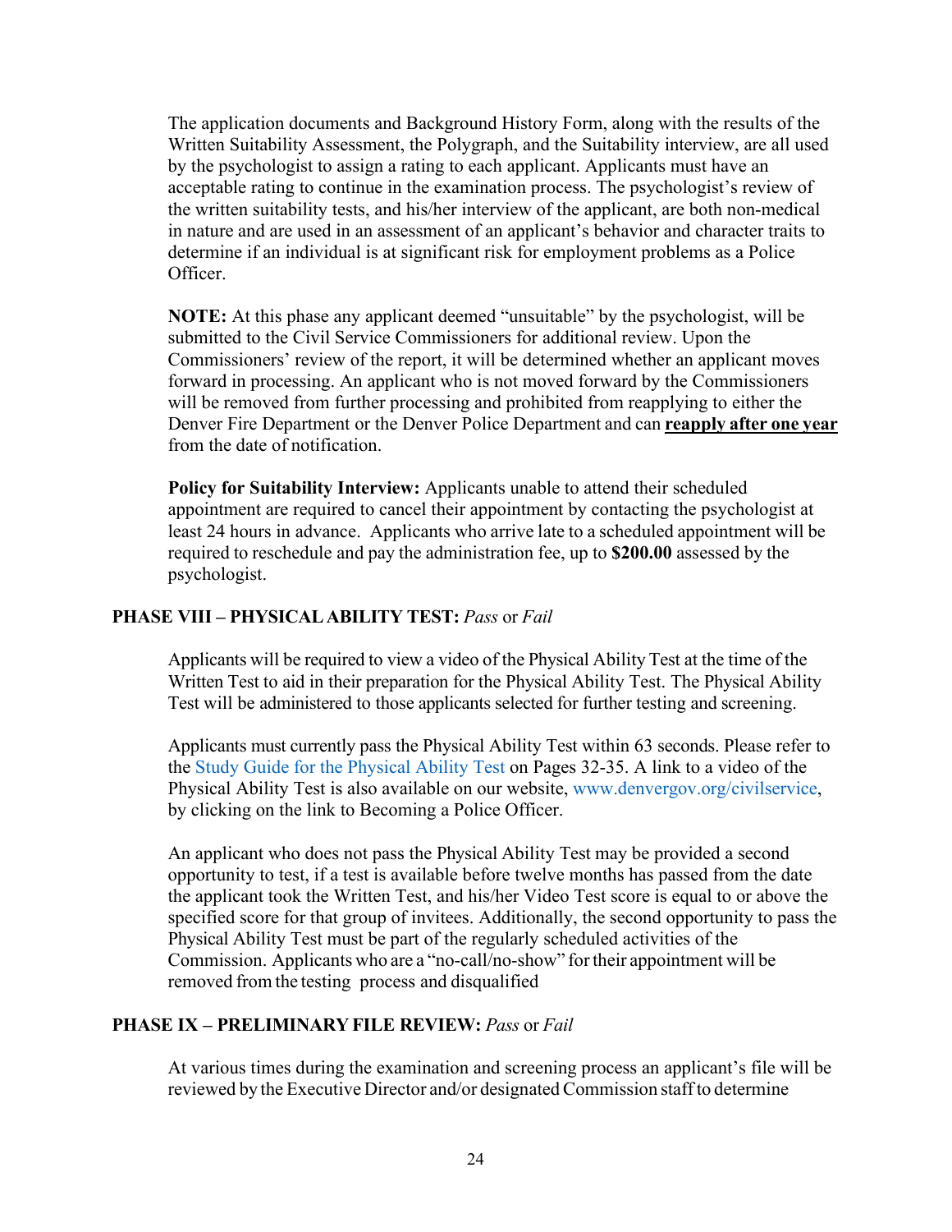The application documents and Background History Form, along with the results of the Written Suitability Assessment, the Polygraph, and the Suitability interview, are all used by the psychologist to assign a rating to each applicant. Applicants must have an acceptable rating to continue in the examination process. The psychologist's review of the written suitability tests, and his/her interview of the applicant, are both non-medical in nature and are used in an assessment of an applicant's behavior and character traits to determine if an individual is at significant risk for employment problems as a Police Officer.

**NOTE:** At this phase any applicant deemed "unsuitable" by the psychologist, will be submitted to the Civil Service Commissioners for additional review. Upon the Commissioners' review of the report, it will be determined whether an applicant moves forward in processing. An applicant who is not moved forward by the Commissioners will be removed from further processing and prohibited from reapplying to either the Denver Fire Department or the Denver Police Department and can **reapply after one year** from the date of notification.

**Policy for Suitability Interview:** Applicants unable to attend their scheduled appointment are required to cancel their appointment by contacting the psychologist at least 24 hours in advance. Applicants who arrive late to a scheduled appointment will be required to reschedule and pay the administration fee, up to **\$200.00** assessed by the psychologist.

#### **PHASE VIII – PHYSICALABILITY TEST:** *Pass* or *Fail*

Applicants will be required to view a video of the Physical Ability Test at the time of the Written Test to aid in their preparation for the Physical Ability Test. The Physical Ability Test will be administered to those applicants selected for further testing and screening.

Applicants must currently pass the Physical Ability Test within 63 seconds. Please refer to the [Study Guide for the Physical Ability Test](#page-32-2) on Pages 32-35. A link to a [video of the](http://www.denvergov.org/Portals/590/documents/Police-P.mpg)  [Physical Ability Test](http://www.denvergov.org/Portals/590/documents/Police-P.mpg) is also available on our website, [www.denvergov.org/civilservice,](http://www.denvergov.org/civilservice) by clicking on the link to [Becoming a Police Officer.](http://www.denvergov.org/civilservice/tabid/426398/Default.aspx)

An applicant who does not pass the Physical Ability Test may be provided a second opportunity to test, if a test is available before twelve months has passed from the date the applicant took the Written Test, and his/her Video Test score is equal to or above the specified score for that group of invitees. Additionally, the second opportunity to pass the Physical Ability Test must be part of the regularly scheduled activities of the Commission. Applicants who are a "no-call/no-show" fortheir appointment will be removed from the testing process and disqualified

#### **PHASE IX – PRELIMINARY FILE REVIEW:** *Pass* or *Fail*

At various times during the examination and screening process an applicant's file will be reviewed by the Executive Director and/or designated Commission staffto determine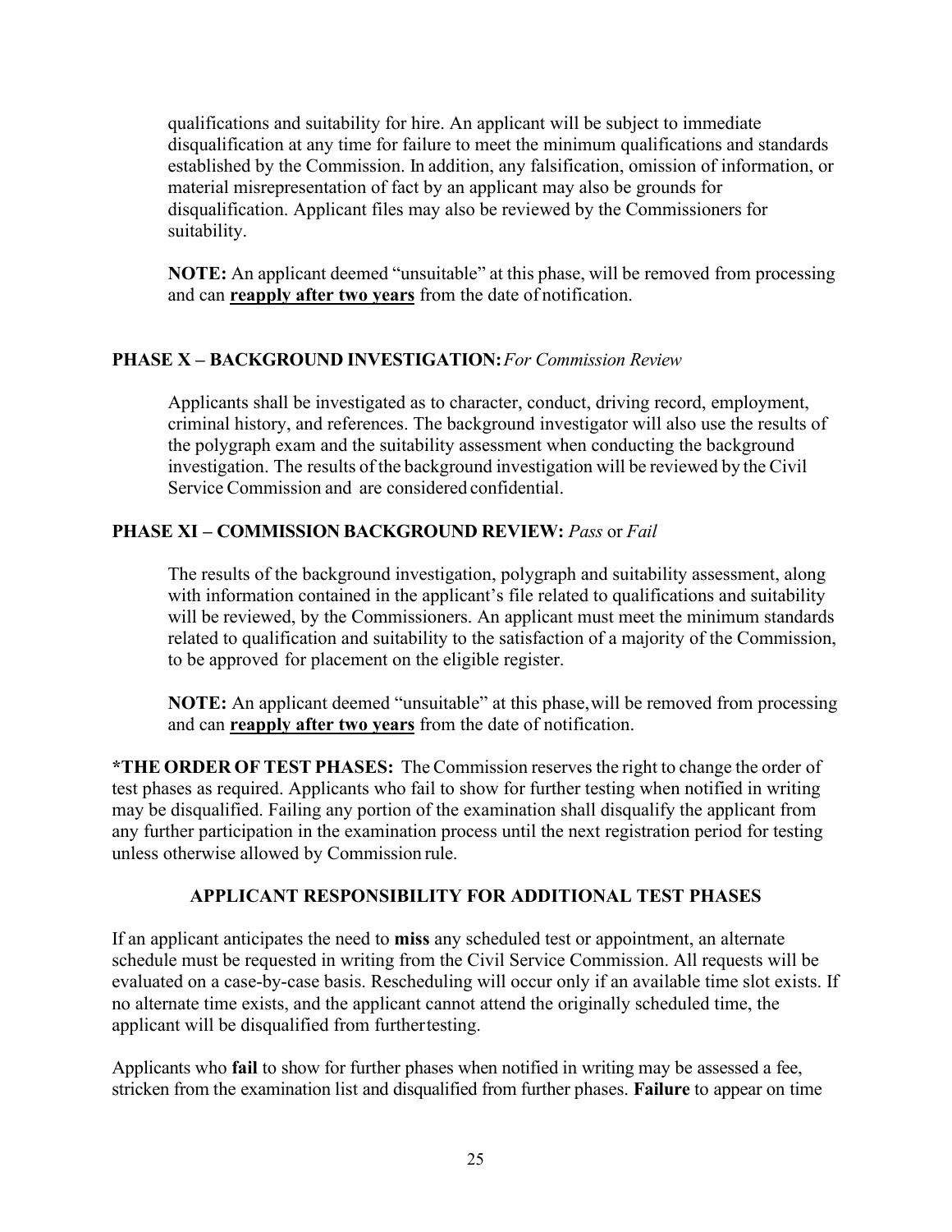qualifications and suitability for hire. An applicant will be subject to immediate disqualification at any time for failure to meet the minimum qualifications and standards established by the Commission. In addition, any falsification, omission of information, or material misrepresentation of fact by an applicant may also be grounds for disqualification. Applicant files may also be reviewed by the Commissioners for suitability.

**NOTE:** An applicant deemed "unsuitable" at this phase, will be removed from processing and can **reapply after two years** from the date of notification.

### **PHASE X – BACKGROUND INVESTIGATION:***For Commission Review*

Applicants shall be investigated as to character, conduct, driving record, employment, criminal history, and references. The background investigator will also use the results of the polygraph exam and the suitability assessment when conducting the background investigation. The results of the background investigation will be reviewed by the Civil Service Commission and are considered confidential.

### **PHASE XI – COMMISSION BACKGROUND REVIEW:** *Pass* or *Fail*

The results of the background investigation, polygraph and suitability assessment, along with information contained in the applicant's file related to qualifications and suitability will be reviewed, by the Commissioners. An applicant must meet the minimum standards related to qualification and suitability to the satisfaction of a majority of the Commission, to be approved for placement on the eligible register.

**NOTE:** An applicant deemed "unsuitable" at this phase, will be removed from processing and can **reapply after two years** from the date of notification.

**\*THE ORDER OF TEST PHASES:** The Commission reserves the right to change the order of test phases as required. Applicants who fail to show for further testing when notified in writing may be disqualified. Failing any portion of the examination shall disqualify the applicant from any further participation in the examination process until the next registration period for testing unless otherwise allowed by Commission rule.

#### **APPLICANT RESPONSIBILITY FOR ADDITIONAL TEST PHASES**

If an applicant anticipates the need to **miss** any scheduled test or appointment, an alternate schedule must be requested in writing from the Civil Service Commission. All requests will be evaluated on a case-by-case basis. Rescheduling will occur only if an available time slot exists. If no alternate time exists, and the applicant cannot attend the originally scheduled time, the applicant will be disqualified from furthertesting.

Applicants who **fail** to show for further phases when notified in writing may be assessed a fee, stricken from the examination list and disqualified from further phases. **Failure** to appear on time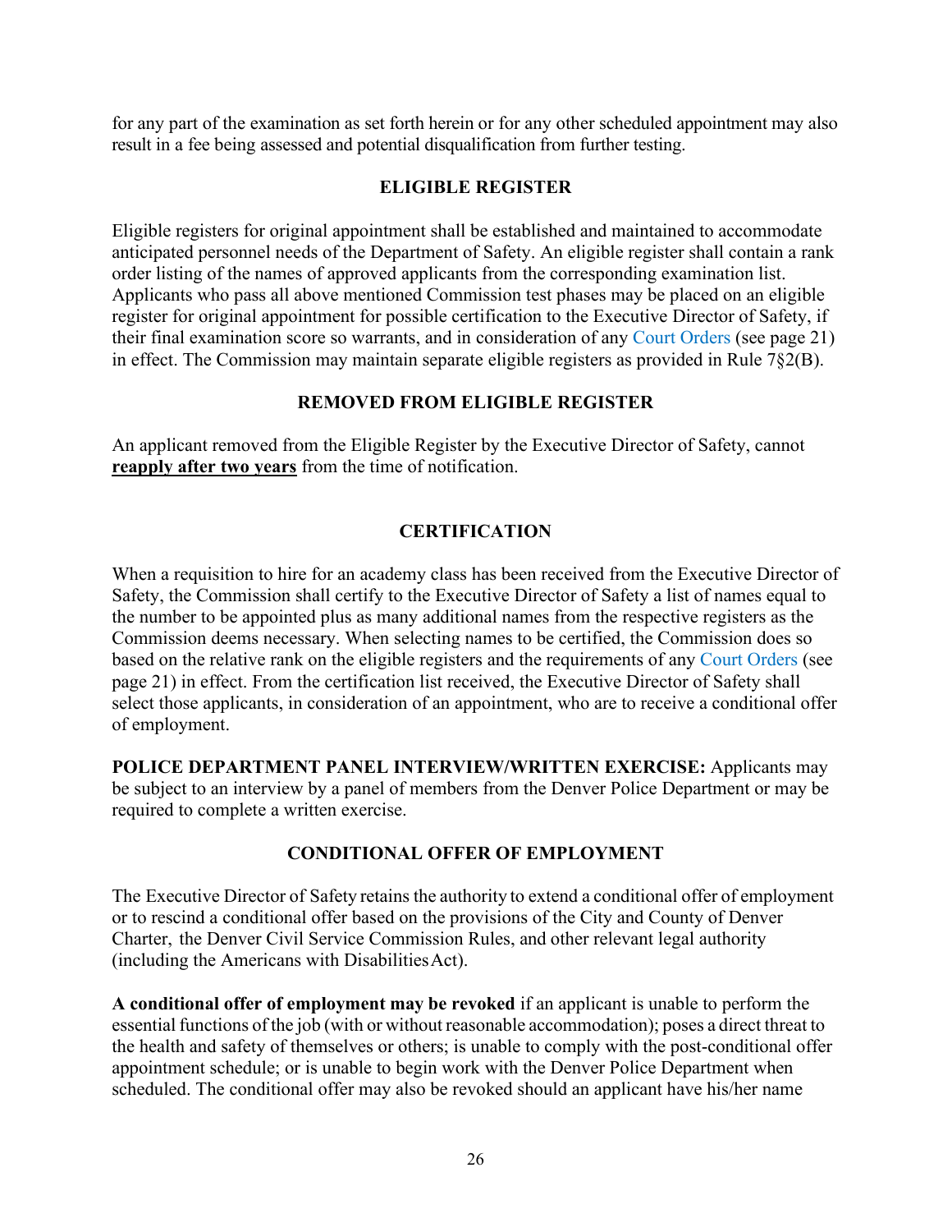for any part of the examination as set forth herein or for any other scheduled appointment may also result in a fee being assessed and potential disqualification from further testing.

### **ELIGIBLE REGISTER**

Eligible registers for original appointment shall be established and maintained to accommodate anticipated personnel needs of the Department of Safety. An eligible register shall contain a rank order listing of the names of approved applicants from the corresponding examination list. Applicants who pass all above mentioned Commission test phases may be placed on an eligible register for original appointment for possible certification to the Executive Director of Safety, if their final examination score so warrants, and in consideration of any [Court Orders](#page-21-0) (see page 21) in effect. The Commission may maintain separate eligible registers as provided in Rule 7§2(B).

# **REMOVED FROM ELIGIBLE REGISTER**

An applicant removed from the Eligible Register by the Executive Director of Safety, cannot **reapply after two years** from the time of notification.

# **CERTIFICATION**

When a requisition to hire for an academy class has been received from the Executive Director of Safety, the Commission shall certify to the Executive Director of Safety a list of names equal to the number to be appointed plus as many additional names from the respective registers as the Commission deems necessary. When selecting names to be certified, the Commission does so based on the relative rank on the eligible registers and the requirements of any [Court Orders](#page-21-0) (see page 21) in effect. From the certification list received, the Executive Director of Safety shall select those applicants, in consideration of an appointment, who are to receive a conditional offer of employment.

**POLICE DEPARTMENT PANEL INTERVIEW/WRITTEN EXERCISE:** Applicants may be subject to an interview by a panel of members from the Denver Police Department or may be required to complete a written exercise.

# **CONDITIONAL OFFER OF EMPLOYMENT**

The Executive Director of Safety retains the authority to extend a conditional offer of employment or to rescind a conditional offer based on the provisions of the City and County of Denver Charter, the Denver Civil Service Commission Rules, and other relevant legal authority (including the Americans with DisabilitiesAct).

**A conditional offer of employment may be revoked** if an applicant is unable to perform the essential functions of the job (with or without reasonable accommodation); poses a direct threat to the health and safety of themselves or others; is unable to comply with the post-conditional offer appointment schedule; or is unable to begin work with the Denver Police Department when scheduled. The conditional offer may also be revoked should an applicant have his/her name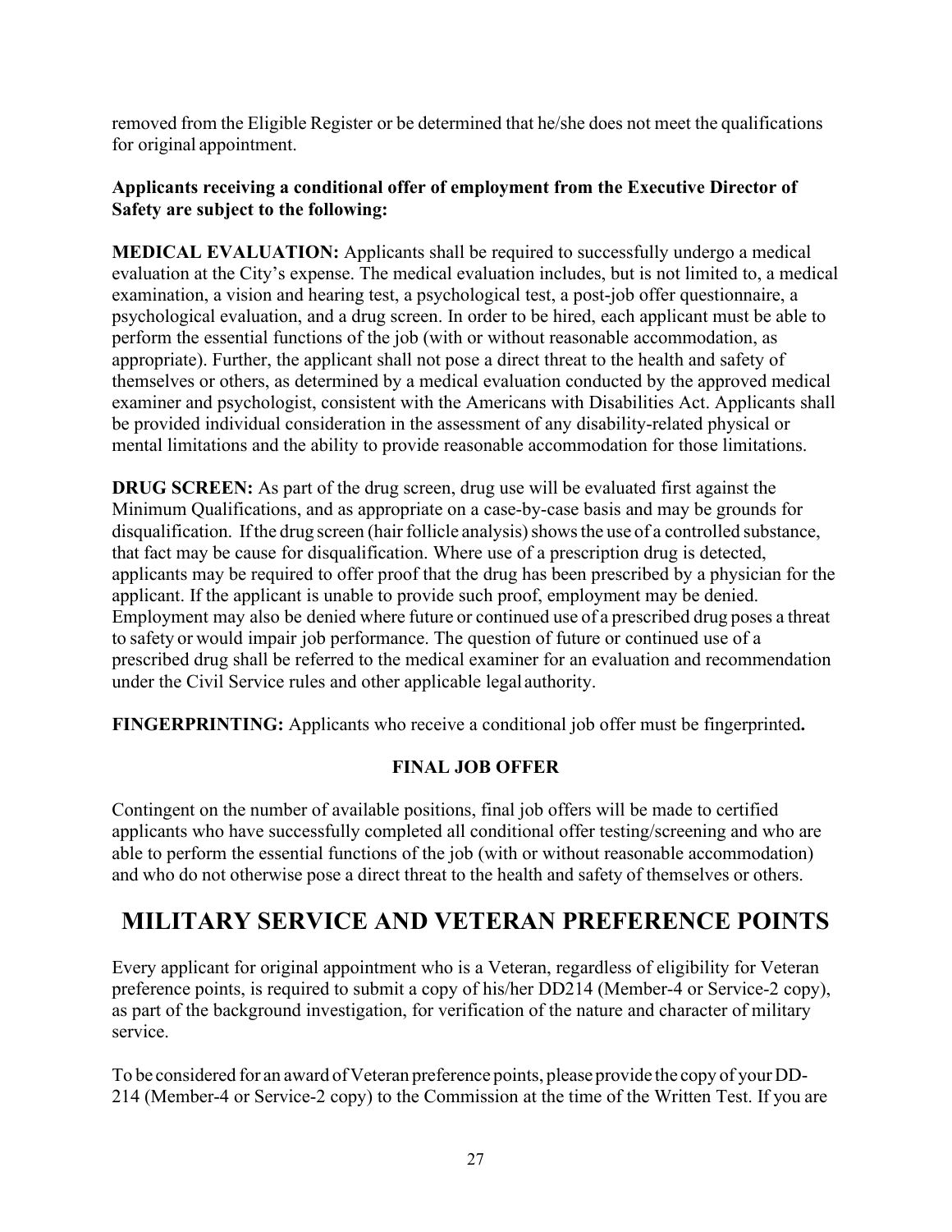removed from the Eligible Register or be determined that he/she does not meet the qualifications for original appointment.

### **Applicants receiving a conditional offer of employment from the Executive Director of Safety are subject to the following:**

**MEDICAL EVALUATION:** Applicants shall be required to successfully undergo a medical evaluation at the City's expense. The medical evaluation includes, but is not limited to, a medical examination, a vision and hearing test, a psychological test, a post-job offer questionnaire, a psychological evaluation, and a drug screen. In order to be hired, each applicant must be able to perform the essential functions of the job (with or without reasonable accommodation, as appropriate). Further, the applicant shall not pose a direct threat to the health and safety of themselves or others, as determined by a medical evaluation conducted by the approved medical examiner and psychologist, consistent with the Americans with Disabilities Act. Applicants shall be provided individual consideration in the assessment of any disability-related physical or mental limitations and the ability to provide reasonable accommodation for those limitations.

**DRUG SCREEN:** As part of the drug screen, drug use will be evaluated first against the Minimum Qualifications, and as appropriate on a case-by-case basis and may be grounds for disqualification. If the drug screen (hair follicle analysis) shows the use of a controlled substance, that fact may be cause for disqualification. Where use of a prescription drug is detected, applicants may be required to offer proof that the drug has been prescribed by a physician for the applicant. If the applicant is unable to provide such proof, employment may be denied. Employment may also be denied where future or continued use of a prescribed drug poses a threat to safety or would impair job performance. The question of future or continued use of a prescribed drug shall be referred to the medical examiner for an evaluation and recommendation under the Civil Service rules and other applicable legal authority.

**FINGERPRINTING:** Applicants who receive a conditional job offer must be fingerprinted**.**

### **FINAL JOB OFFER**

Contingent on the number of available positions, final job offers will be made to certified applicants who have successfully completed all conditional offer testing/screening and who are able to perform the essential functions of the job (with or without reasonable accommodation) and who do not otherwise pose a direct threat to the health and safety of themselves or others.

# <span id="page-27-0"></span>**MILITARY SERVICE AND VETERAN PREFERENCE POINTS**

Every applicant for original appointment who is a Veteran, regardless of eligibility for Veteran preference points, is required to submit a copy of his/her DD214 (Member-4 or Service-2 copy), as part of the background investigation, for verification of the nature and character of military service.

To be considered for an award of Veteran preference points, please provide the copy of your DD-214 (Member-4 or Service-2 copy) to the Commission at the time of the Written Test. If you are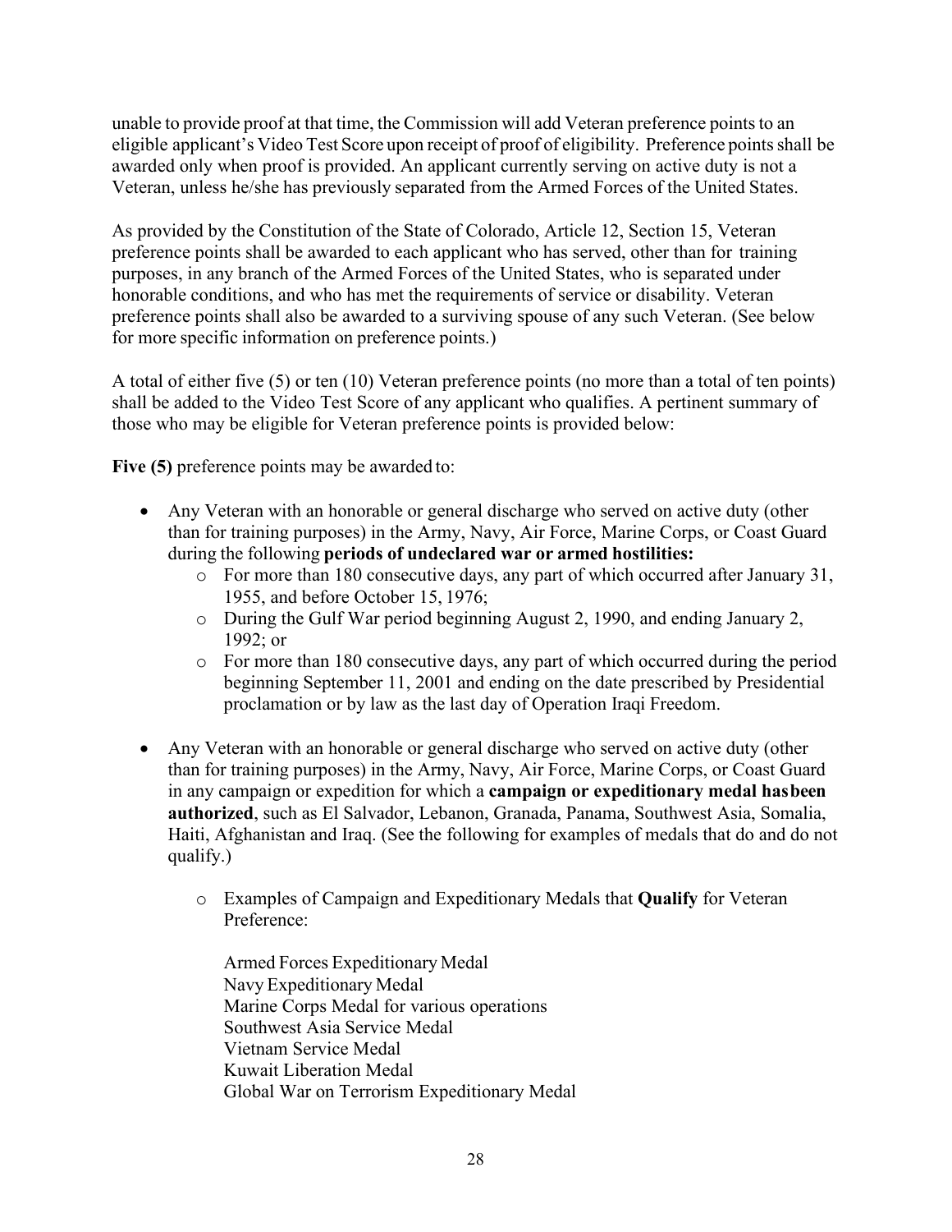unable to provide proof at that time, the Commission will add Veteran preference pointsto an eligible applicant's Video Test Score upon receipt of proof of eligibility. Preference points shall be awarded only when proof is provided. An applicant currently serving on active duty is not a Veteran, unless he/she has previously separated from the Armed Forces of the United States.

As provided by the Constitution of the State of Colorado, Article 12, Section 15, Veteran preference points shall be awarded to each applicant who has served, other than for training purposes, in any branch of the Armed Forces of the United States, who is separated under honorable conditions, and who has met the requirements of service or disability. Veteran preference points shall also be awarded to a surviving spouse of any such Veteran. (See below for more specific information on preference points.)

A total of either five (5) or ten (10) Veteran preference points (no more than a total of ten points) shall be added to the Video Test Score of any applicant who qualifies. A pertinent summary of those who may be eligible for Veteran preference points is provided below:

Five (5) preference points may be awarded to:

- Any Veteran with an honorable or general discharge who served on active duty (other than for training purposes) in the Army, Navy, Air Force, Marine Corps, or Coast Guard during the following **periods of undeclared war or armed hostilities:**
	- o For more than 180 consecutive days, any part of which occurred after January 31, 1955, and before October 15, 1976;
	- o During the Gulf War period beginning August 2, 1990, and ending January 2, 1992; or
	- o For more than 180 consecutive days, any part of which occurred during the period beginning September 11, 2001 and ending on the date prescribed by Presidential proclamation or by law as the last day of Operation Iraqi Freedom.
- Any Veteran with an honorable or general discharge who served on active duty (other than for training purposes) in the Army, Navy, Air Force, Marine Corps, or Coast Guard in any campaign or expedition for which a **campaign or expeditionary medal hasbeen authorized**, such as El Salvador, Lebanon, Granada, Panama, Southwest Asia, Somalia, Haiti, Afghanistan and Iraq. (See the following for examples of medals that do and do not qualify.)
	- o Examples of Campaign and Expeditionary Medals that **Qualify** for Veteran Preference:

Armed Forces Expeditionary Medal Navy Expeditionary Medal Marine Corps Medal for various operations Southwest Asia Service Medal Vietnam Service Medal Kuwait Liberation Medal Global War on Terrorism Expeditionary Medal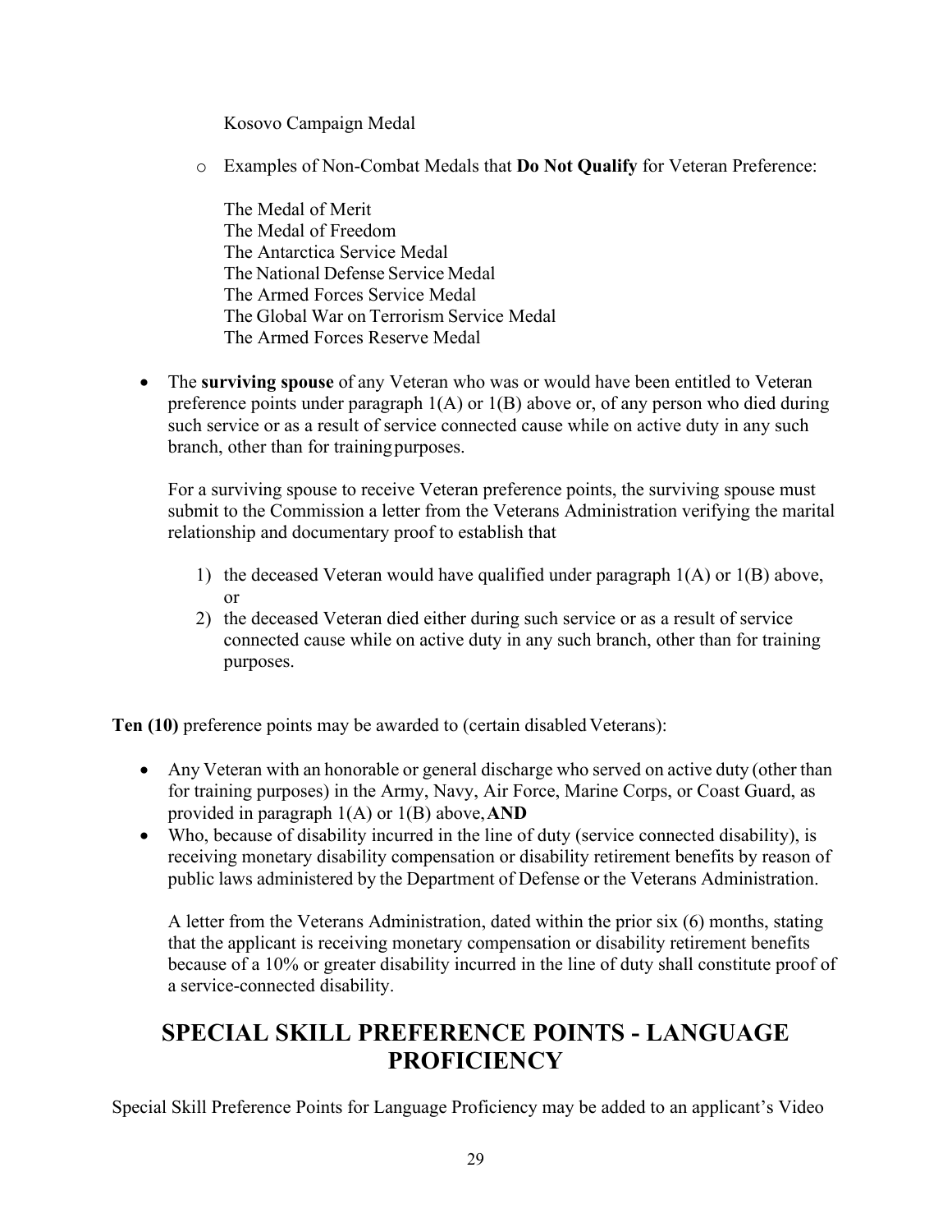Kosovo Campaign Medal

o Examples of Non-Combat Medals that **Do Not Qualify** for Veteran Preference:

The Medal of Merit The Medal of Freedom The Antarctica Service Medal The National Defense Service Medal The Armed Forces Service Medal The Global War on Terrorism Service Medal The Armed Forces Reserve Medal

• The **surviving spouse** of any Veteran who was or would have been entitled to Veteran preference points under paragraph 1(A) or 1(B) above or, of any person who died during such service or as a result of service connected cause while on active duty in any such branch, other than for trainingpurposes.

For a surviving spouse to receive Veteran preference points, the surviving spouse must submit to the Commission a letter from the Veterans Administration verifying the marital relationship and documentary proof to establish that

- 1) the deceased Veteran would have qualified under paragraph  $1(A)$  or  $1(B)$  above, or
- 2) the deceased Veteran died either during such service or as a result of service connected cause while on active duty in any such branch, other than for training purposes.

**Ten (10)** preference points may be awarded to (certain disabled Veterans):

- Any Veteran with an honorable or general discharge who served on active duty (other than for training purposes) in the Army, Navy, Air Force, Marine Corps, or Coast Guard, as provided in paragraph 1(A) or 1(B) above,**AND**
- Who, because of disability incurred in the line of duty (service connected disability), is receiving monetary disability compensation or disability retirement benefits by reason of public laws administered by the Department of Defense or the Veterans Administration.

A letter from the Veterans Administration, dated within the prior six (6) months, stating that the applicant is receiving monetary compensation or disability retirement benefits because of a 10% or greater disability incurred in the line of duty shall constitute proof of a service-connected disability.

# <span id="page-29-0"></span>**SPECIAL SKILL PREFERENCE POINTS - LANGUAGE PROFICIENCY**

Special Skill Preference Points for Language Proficiency may be added to an applicant's Video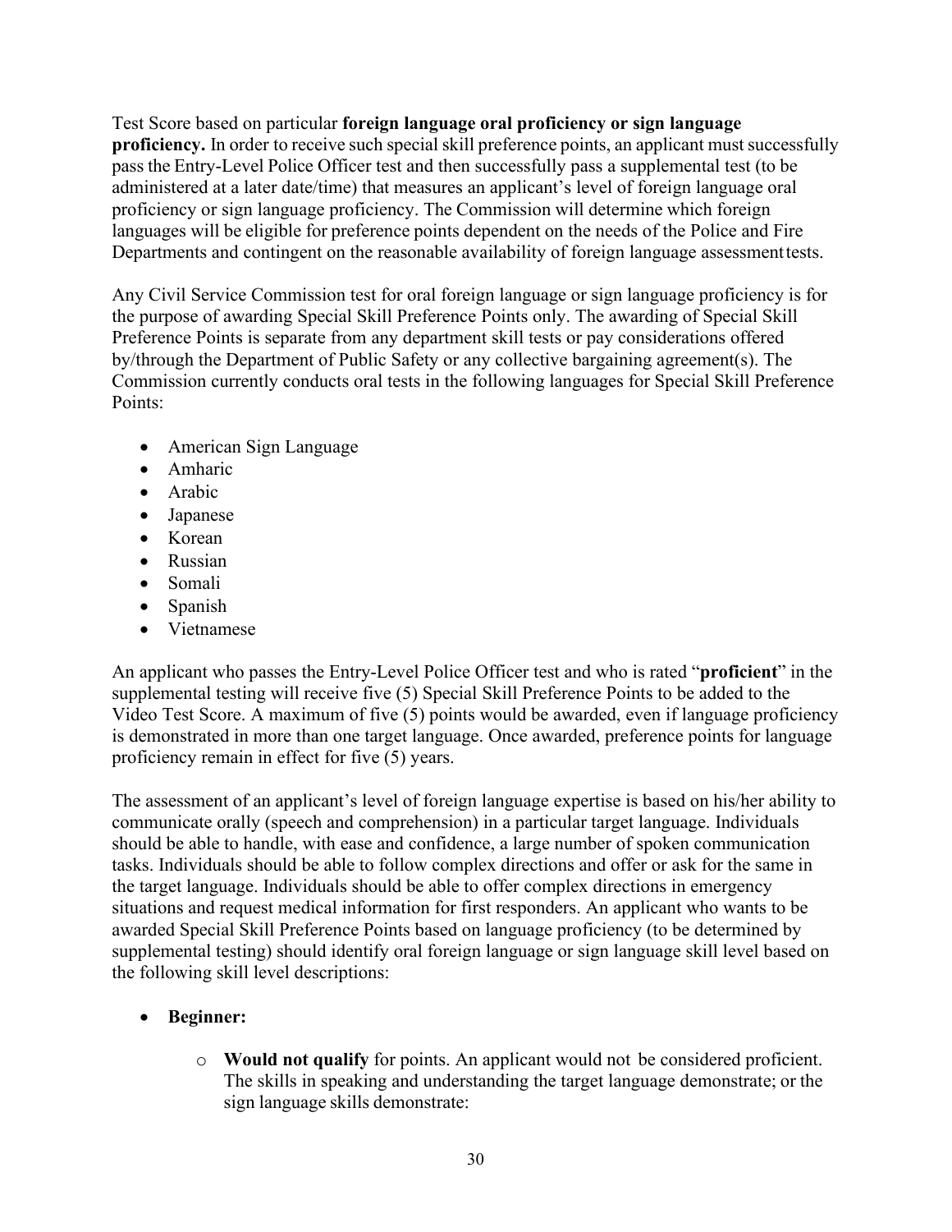Test Score based on particular **foreign language oral proficiency or sign language proficiency.** In order to receive such special skill preference points, an applicant must successfully pass the Entry-Level Police Officer test and then successfully pass a supplemental test (to be administered at a later date/time) that measures an applicant's level of foreign language oral proficiency or sign language proficiency. The Commission will determine which foreign languages will be eligible for preference points dependent on the needs of the Police and Fire Departments and contingent on the reasonable availability of foreign language assessmenttests.

Any Civil Service Commission test for oral foreign language or sign language proficiency is for the purpose of awarding Special Skill Preference Points only. The awarding of Special Skill Preference Points is separate from any department skill tests or pay considerations offered by/through the Department of Public Safety or any collective bargaining agreement(s). The Commission currently conducts oral tests in the following languages for Special Skill Preference Points:

- American Sign Language
- Amharic
- Arabic
- Japanese
- Korean
- Russian
- Somali
- Spanish
- Vietnamese

An applicant who passes the Entry-Level Police Officer test and who is rated "**proficient**" in the supplemental testing will receive five (5) Special Skill Preference Points to be added to the Video Test Score. A maximum of five (5) points would be awarded, even if language proficiency is demonstrated in more than one target language. Once awarded, preference points for language proficiency remain in effect for five (5) years.

The assessment of an applicant's level of foreign language expertise is based on his/her ability to communicate orally (speech and comprehension) in a particular target language. Individuals should be able to handle, with ease and confidence, a large number of spoken communication tasks. Individuals should be able to follow complex directions and offer or ask for the same in the target language. Individuals should be able to offer complex directions in emergency situations and request medical information for first responders. An applicant who wants to be awarded Special Skill Preference Points based on language proficiency (to be determined by supplemental testing) should identify oral foreign language or sign language skill level based on the following skill level descriptions:

# • **Beginner:**

o **Would not qualify** for points. An applicant would not be considered proficient. The skills in speaking and understanding the target language demonstrate; or the sign language skills demonstrate: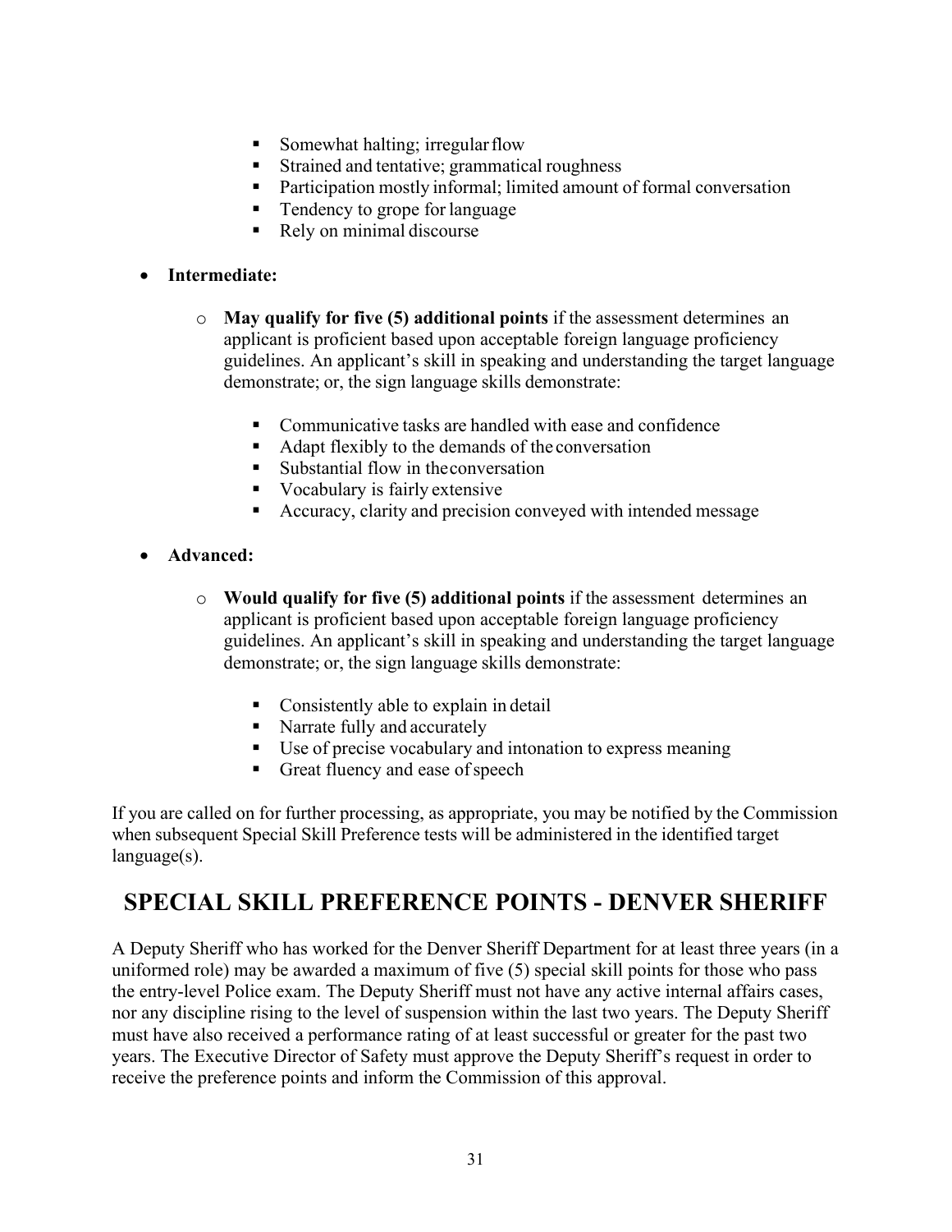- Somewhat halting; irregular flow
- Strained and tentative; grammatical roughness
- Participation mostly informal; limited amount of formal conversation
- Tendency to grope for language
- Rely on minimal discourse

#### • **Intermediate:**

- o **May qualify for five (5) additional points** if the assessment determines an applicant is proficient based upon acceptable foreign language proficiency guidelines. An applicant's skill in speaking and understanding the target language demonstrate; or, the sign language skills demonstrate:
	- Communicative tasks are handled with ease and confidence
	- Adapt flexibly to the demands of the conversation
	- Substantial flow in the conversation
	- Vocabulary is fairly extensive
	- Accuracy, clarity and precision conveyed with intended message
- **Advanced:**
	- o **Would qualify for five (5) additional points** if the assessment determines an applicant is proficient based upon acceptable foreign language proficiency guidelines. An applicant's skill in speaking and understanding the target language demonstrate; or, the sign language skills demonstrate:
		- Consistently able to explain in detail
		- Narrate fully and accurately
		- Use of precise vocabulary and intonation to express meaning
		- Great fluency and ease of speech

If you are called on for further processing, as appropriate, you may be notified by the Commission when subsequent Special Skill Preference tests will be administered in the identified target language(s).

# **SPECIAL SKILL PREFERENCE POINTS - DENVER SHERIFF**

A Deputy Sheriff who has worked for the Denver Sheriff Department for at least three years (in a uniformed role) may be awarded a maximum of five (5) special skill points for those who pass the entry-level Police exam. The Deputy Sheriff must not have any active internal affairs cases, nor any discipline rising to the level of suspension within the last two years. The Deputy Sheriff must have also received a performance rating of at least successful or greater for the past two years. The Executive Director of Safety must approve the Deputy Sheriff's request in order to receive the preference points and inform the Commission of this approval.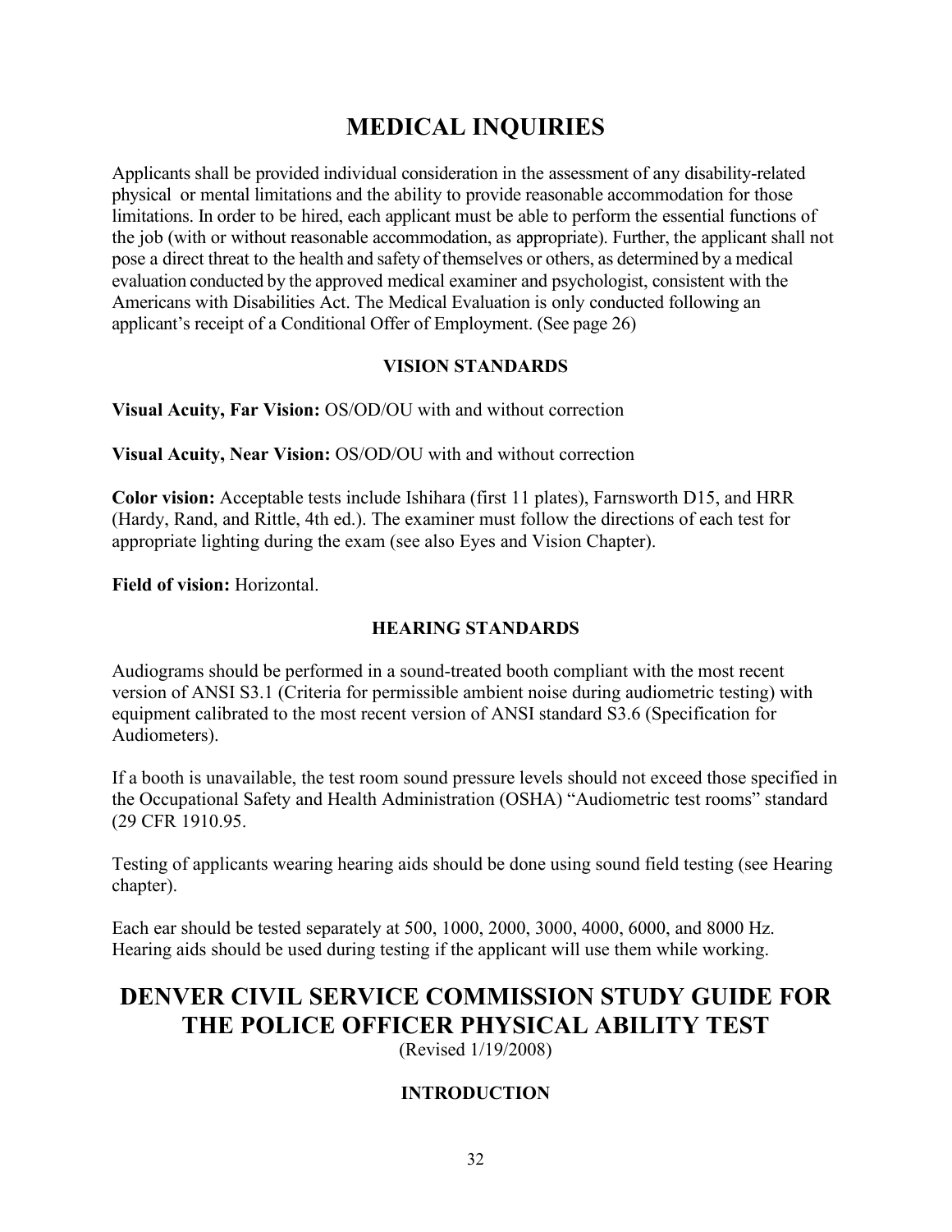# **MEDICAL INQUIRIES**

<span id="page-32-0"></span>Applicants shall be provided individual consideration in the assessment of any disability-related physical or mental limitations and the ability to provide reasonable accommodation for those limitations. In order to be hired, each applicant must be able to perform the essential functions of the job (with or without reasonable accommodation, as appropriate). Further, the applicant shall not pose a direct threat to the health and safety of themselves or others, as determined by a medical evaluation conducted by the approved medical examiner and psychologist, consistent with the Americans with Disabilities Act. The Medical Evaluation is only conducted following an applicant's receipt of a Conditional Offer of Employment. (See page 26)

### **VISION STANDARDS**

<span id="page-32-1"></span>**Visual Acuity, Far Vision:** OS/OD/OU with and without correction

**Visual Acuity, Near Vision:** OS/OD/OU with and without correction

**Color vision:** Acceptable tests include Ishihara (first 11 plates), Farnsworth D15, and HRR (Hardy, Rand, and Rittle, 4th ed.). The examiner must follow the directions of each test for appropriate lighting during the exam (see also Eyes and Vision Chapter).

**Field of vision:** Horizontal.

# **HEARING STANDARDS**

Audiograms should be performed in a sound-treated booth compliant with the most recent version of ANSI S3.1 (Criteria for permissible ambient noise during audiometric testing) with equipment calibrated to the most recent version of ANSI standard S3.6 (Specification for Audiometers).

If a booth is unavailable, the test room sound pressure levels should not exceed those specified in the Occupational Safety and Health Administration (OSHA) "Audiometric test rooms" standard (29 CFR 1910.95.

Testing of applicants wearing hearing aids should be done using sound field testing (see Hearing chapter).

Each ear should be tested separately at 500, 1000, 2000, 3000, 4000, 6000, and 8000 Hz. Hearing aids should be used during testing if the applicant will use them while working.

# <span id="page-32-2"></span>**DENVER CIVIL SERVICE COMMISSION STUDY GUIDE FOR THE POLICE OFFICER PHYSICAL ABILITY TEST**

(Revised 1/19/2008)

# **INTRODUCTION**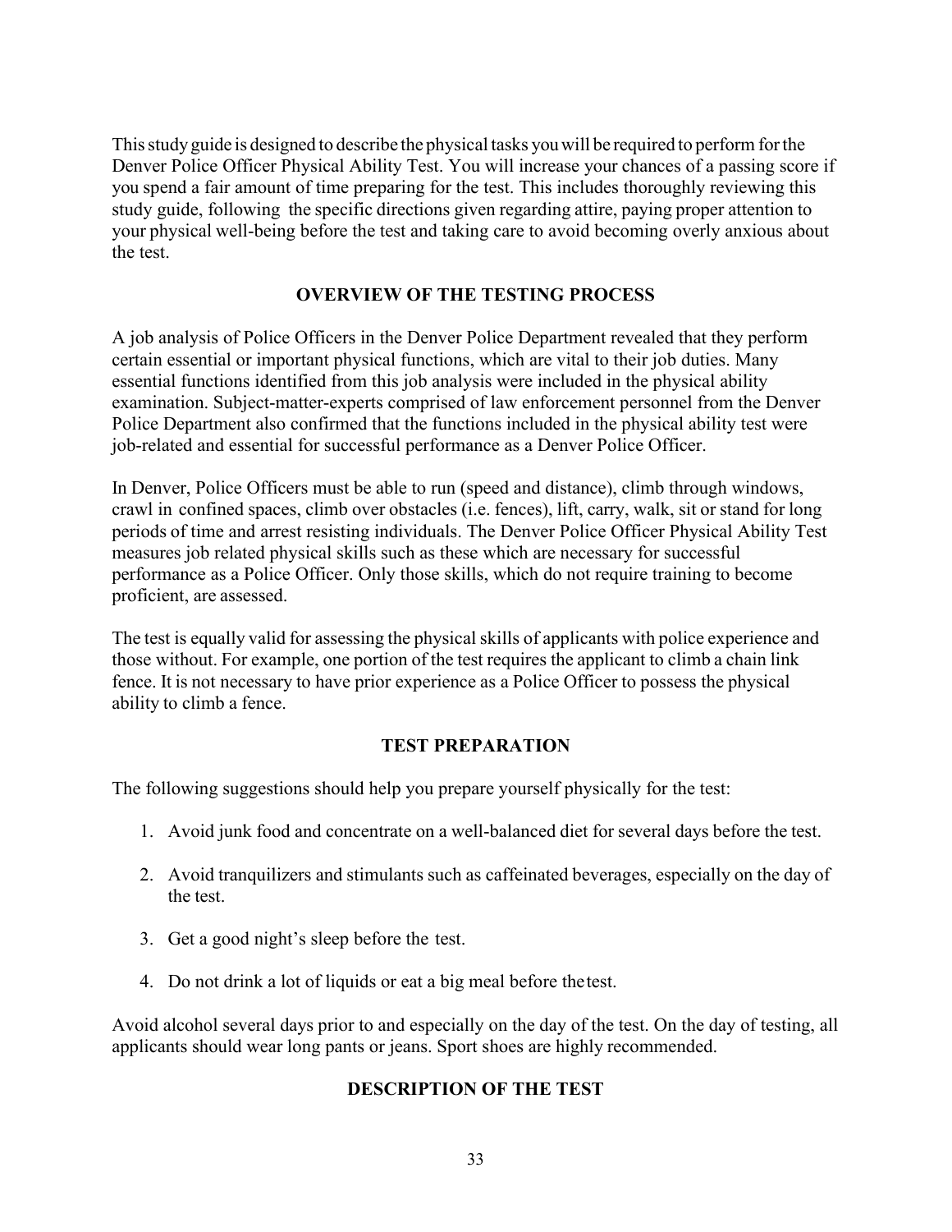Thisstudyguide is designed to describe the physical tasks youwill be required to perform forthe Denver Police Officer Physical Ability Test. You will increase your chances of a passing score if you spend a fair amount of time preparing for the test. This includes thoroughly reviewing this study guide, following the specific directions given regarding attire, paying proper attention to your physical well-being before the test and taking care to avoid becoming overly anxious about the test.

#### **OVERVIEW OF THE TESTING PROCESS**

A job analysis of Police Officers in the Denver Police Department revealed that they perform certain essential or important physical functions, which are vital to their job duties. Many essential functions identified from this job analysis were included in the physical ability examination. Subject-matter-experts comprised of law enforcement personnel from the Denver Police Department also confirmed that the functions included in the physical ability test were job-related and essential for successful performance as a Denver Police Officer.

In Denver, Police Officers must be able to run (speed and distance), climb through windows, crawl in confined spaces, climb over obstacles (i.e. fences), lift, carry, walk, sit or stand for long periods of time and arrest resisting individuals. The Denver Police Officer Physical Ability Test measures job related physical skills such as these which are necessary for successful performance as a Police Officer. Only those skills, which do not require training to become proficient, are assessed.

The test is equally valid for assessing the physical skills of applicants with police experience and those without. For example, one portion of the test requires the applicant to climb a chain link fence. It is not necessary to have prior experience as a Police Officer to possess the physical ability to climb a fence.

### **TEST PREPARATION**

The following suggestions should help you prepare yourself physically for the test:

- 1. Avoid junk food and concentrate on a well-balanced diet for several days before the test.
- 2. Avoid tranquilizers and stimulants such as caffeinated beverages, especially on the day of the test.
- 3. Get a good night's sleep before the test.
- 4. Do not drink a lot of liquids or eat a big meal before thetest.

Avoid alcohol several days prior to and especially on the day of the test. On the day of testing, all applicants should wear long pants or jeans. Sport shoes are highly recommended.

#### **DESCRIPTION OF THE TEST**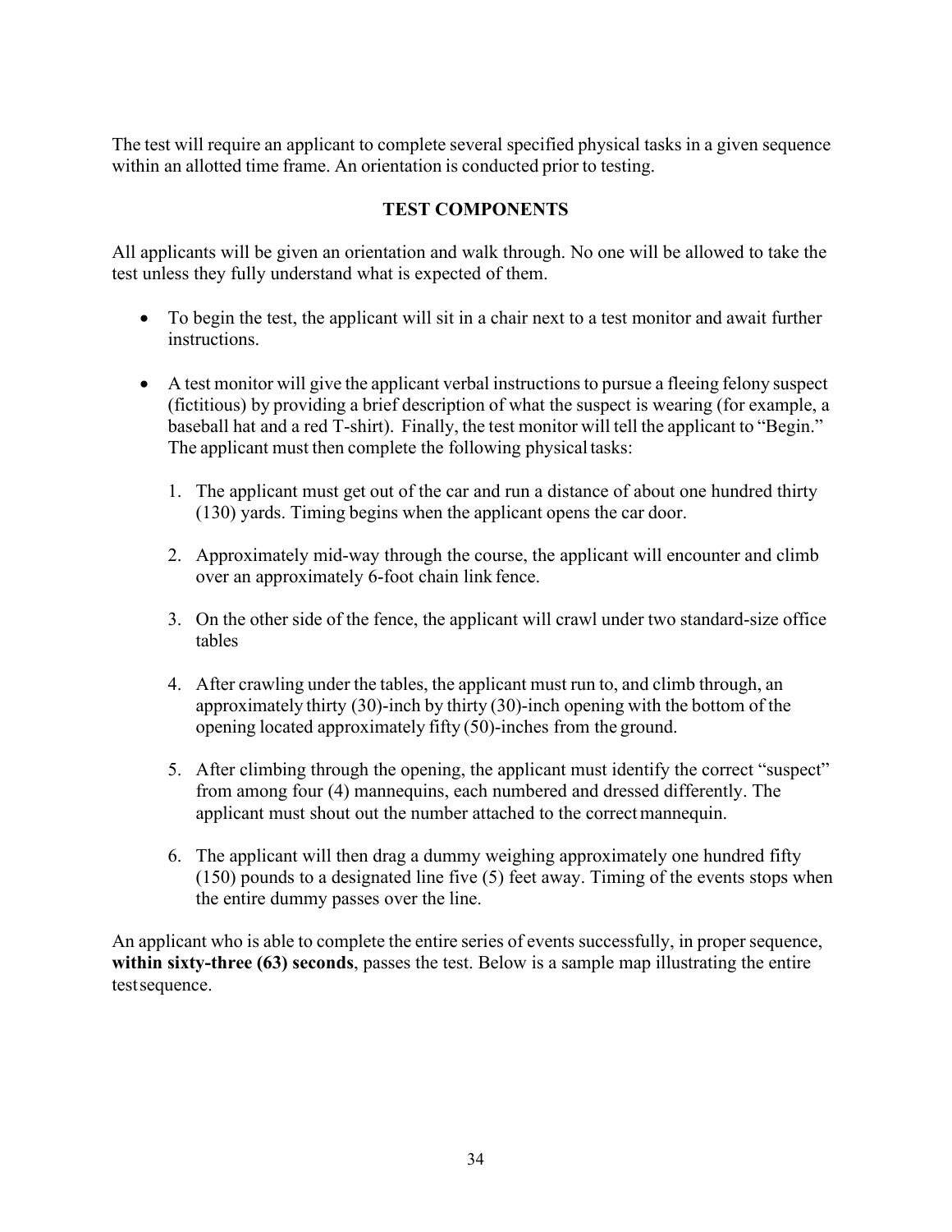The test will require an applicant to complete several specified physical tasks in a given sequence within an allotted time frame. An orientation is conducted prior to testing.

### **TEST COMPONENTS**

All applicants will be given an orientation and walk through. No one will be allowed to take the test unless they fully understand what is expected of them.

- To begin the test, the applicant will sit in a chair next to a test monitor and await further instructions.
- A test monitor will give the applicant verbal instructions to pursue a fleeing felony suspect (fictitious) by providing a brief description of what the suspect is wearing (for example, a baseball hat and a red T-shirt). Finally, the test monitor will tell the applicant to "Begin." The applicant must then complete the following physical tasks:
	- 1. The applicant must get out of the car and run a distance of about one hundred thirty (130) yards. Timing begins when the applicant opens the car door.
	- 2. Approximately mid-way through the course, the applicant will encounter and climb over an approximately 6-foot chain link fence.
	- 3. On the other side of the fence, the applicant will crawl under two standard-size office tables
	- 4. After crawling under the tables, the applicant must run to, and climb through, an approximately thirty (30)-inch by thirty (30)-inch opening with the bottom of the opening located approximately fifty (50)-inches from the ground.
	- 5. After climbing through the opening, the applicant must identify the correct "suspect" from among four (4) mannequins, each numbered and dressed differently. The applicant must shout out the number attached to the correctmannequin.
	- 6. The applicant will then drag a dummy weighing approximately one hundred fifty (150) pounds to a designated line five (5) feet away. Timing of the events stops when the entire dummy passes over the line.

An applicant who is able to complete the entire series of events successfully, in proper sequence, **within sixty-three (63) seconds**, passes the test. Below is a sample map illustrating the entire testsequence.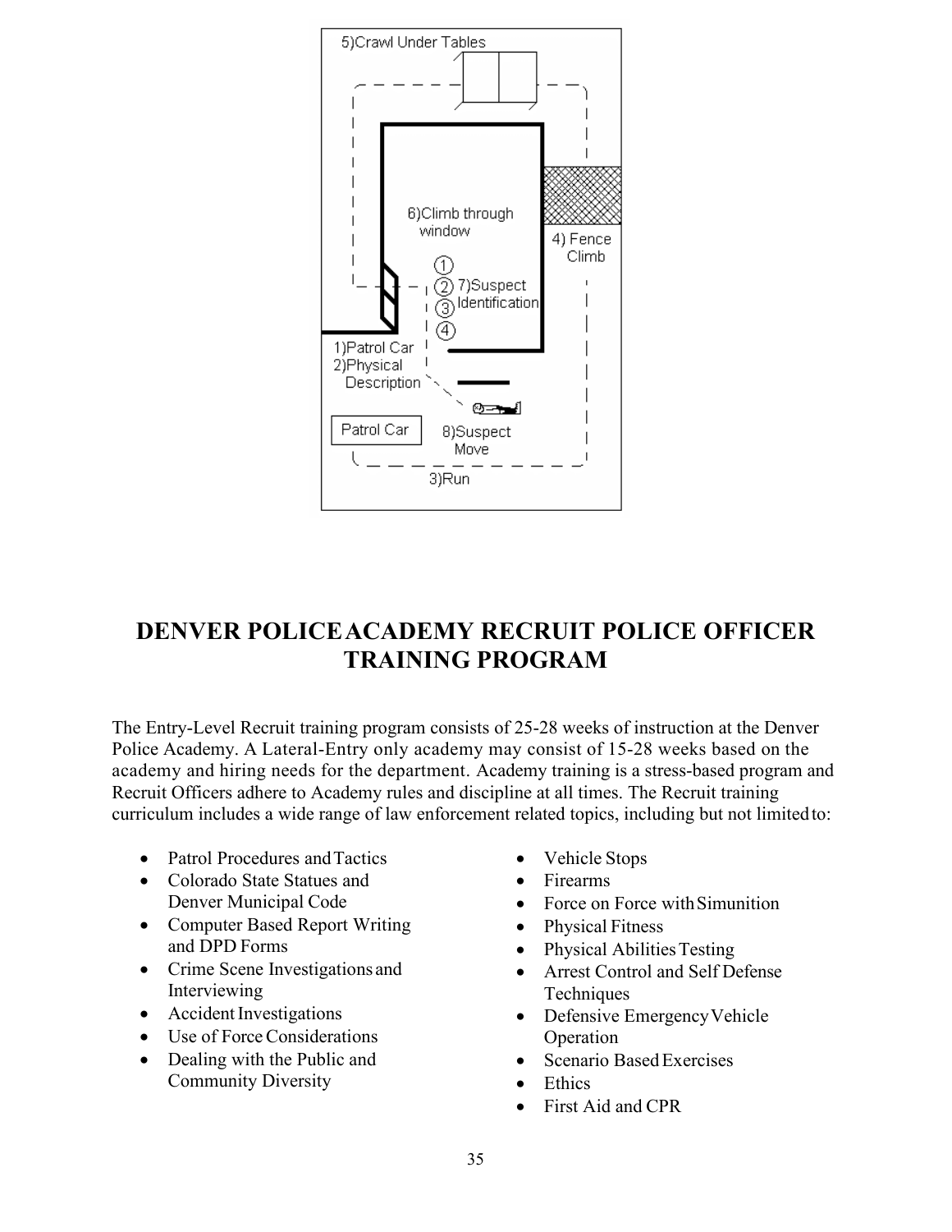

# <span id="page-35-0"></span>**DENVER POLICEACADEMY RECRUIT POLICE OFFICER TRAINING PROGRAM**

The Entry-Level Recruit training program consists of 25-28 weeks of instruction at the Denver Police Academy. A Lateral-Entry only academy may consist of 15-28 weeks based on the academy and hiring needs for the department. Academy training is a stress-based program and Recruit Officers adhere to Academy rules and discipline at all times. The Recruit training curriculum includes a wide range of law enforcement related topics, including but not limitedto:

- Patrol Procedures and Tactics
- Colorado State Statues and Denver Municipal Code
- Computer Based Report Writing and DPD Forms
- Crime Scene Investigations and Interviewing
- Accident Investigations
- Use of Force Considerations
- Dealing with the Public and Community Diversity
- Vehicle Stops
- Firearms
- Force on Force with Simunition
- Physical Fitness
- Physical Abilities Testing
- Arrest Control and Self Defense **Techniques**
- Defensive Emergency Vehicle Operation
- Scenario Based Exercises
- **Ethics**
- First Aid and CPR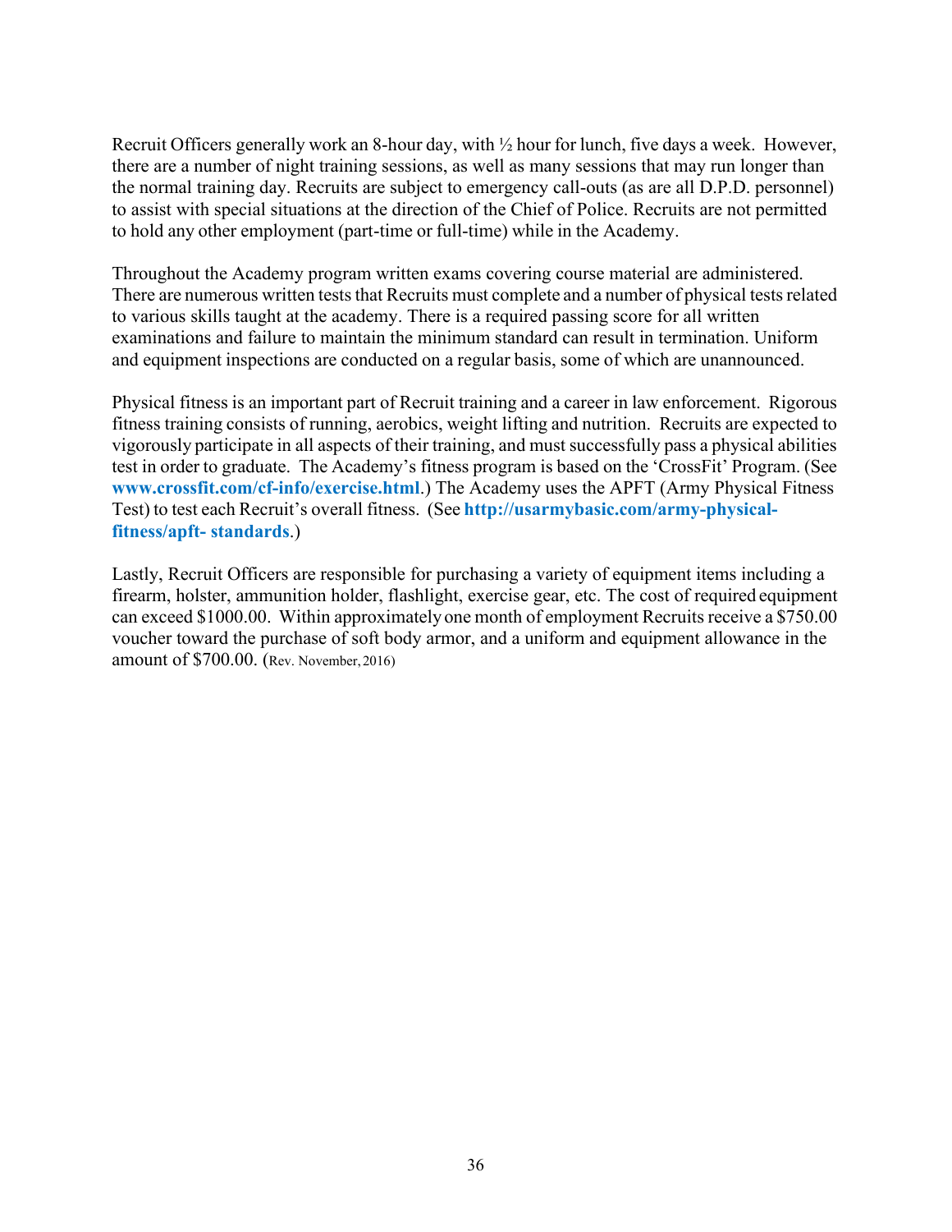Recruit Officers generally work an 8-hour day, with ½ hour for lunch, five days a week. However, there are a number of night training sessions, as well as many sessions that may run longer than the normal training day. Recruits are subject to emergency call-outs (as are all D.P.D. personnel) to assist with special situations at the direction of the Chief of Police. Recruits are not permitted to hold any other employment (part-time or full-time) while in the Academy.

Throughout the Academy program written exams covering course material are administered. There are numerous written tests that Recruits must complete and a number of physical tests related to various skills taught at the academy. There is a required passing score for all written examinations and failure to maintain the minimum standard can result in termination. Uniform and equipment inspections are conducted on a regular basis, some of which are unannounced.

Physical fitness is an important part of Recruit training and a career in law enforcement. Rigorous fitness training consists of running, aerobics, weight lifting and nutrition. Recruits are expected to vigorously participate in all aspects of their training, and must successfully pass a physical abilities test in order to graduate. The Academy's fitness program is based on the 'CrossFit' Program. (See **[www.crossfit.com/cf-info/exercise.html](http://www.crossfit.com/cf-info/exercise.html)**.) The Academy uses the APFT (Army Physical Fitness Test) to test each Recruit's overall fitness. (See **[http://usarmybasic.com/army-physical](http://usarmybasic.com/army-physical-fitness/apft-standards)[fitness/apft-](http://usarmybasic.com/army-physical-fitness/apft-standards) [standards](http://usarmybasic.com/army-physical-fitness/apft-standards)**.)

Lastly, Recruit Officers are responsible for purchasing a variety of equipment items including a firearm, holster, ammunition holder, flashlight, exercise gear, etc. The cost of required equipment can exceed \$1000.00. Within approximately one month of employment Recruits receive a \$750.00 voucher toward the purchase of soft body armor, and a uniform and equipment allowance in the amount of \$700.00. (Rev. November,2016)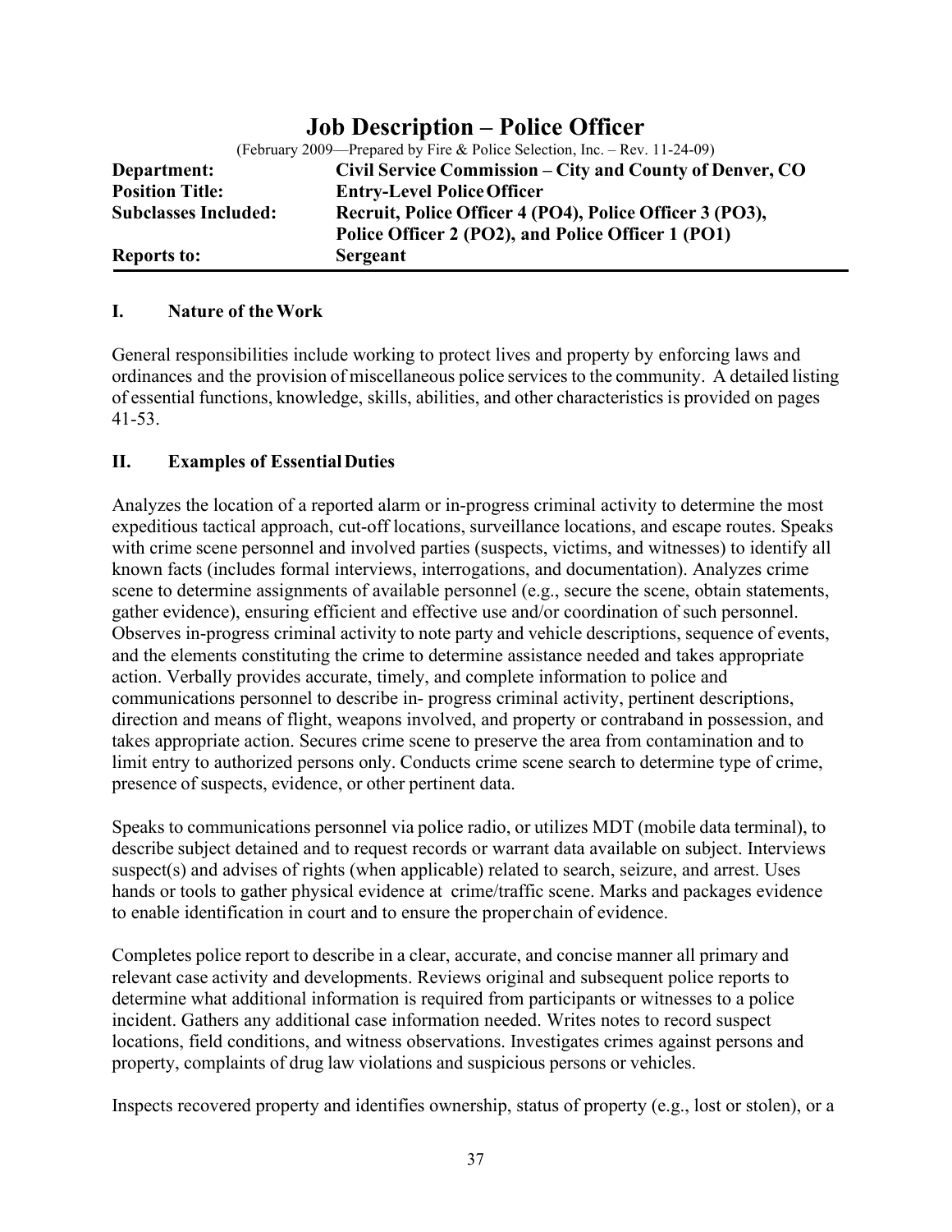<span id="page-37-0"></span>

|                             | <b><i>JUD DUSCHPHUM LURC OTHER</i></b>                                    |
|-----------------------------|---------------------------------------------------------------------------|
|                             | (February 2009—Prepared by Fire & Police Selection, Inc. – Rev. 11-24-09) |
| Department:                 | Civil Service Commission – City and County of Denver, CO                  |
| <b>Position Title:</b>      | <b>Entry-Level Police Officer</b>                                         |
| <b>Subclasses Included:</b> | Recruit, Police Officer 4 (PO4), Police Officer 3 (PO3),                  |
|                             | Police Officer 2 (PO2), and Police Officer 1 (PO1)                        |
| <b>Reports to:</b>          | Sergeant                                                                  |

# **Job Description – Police Officer**

#### **I. Nature of theWork**

General responsibilities include working to protect lives and property by enforcing laws and ordinances and the provision of miscellaneous police services to the community. A detailed listing of essential functions, knowledge, skills, abilities, and other characteristics is provided on pages 41-53.

### **II. Examples of EssentialDuties**

Analyzes the location of a reported alarm or in-progress criminal activity to determine the most expeditious tactical approach, cut-off locations, surveillance locations, and escape routes. Speaks with crime scene personnel and involved parties (suspects, victims, and witnesses) to identify all known facts (includes formal interviews, interrogations, and documentation). Analyzes crime scene to determine assignments of available personnel (e.g., secure the scene, obtain statements, gather evidence), ensuring efficient and effective use and/or coordination of such personnel. Observes in-progress criminal activity to note party and vehicle descriptions, sequence of events, and the elements constituting the crime to determine assistance needed and takes appropriate action. Verbally provides accurate, timely, and complete information to police and communications personnel to describe in- progress criminal activity, pertinent descriptions, direction and means of flight, weapons involved, and property or contraband in possession, and takes appropriate action. Secures crime scene to preserve the area from contamination and to limit entry to authorized persons only. Conducts crime scene search to determine type of crime, presence of suspects, evidence, or other pertinent data.

Speaks to communications personnel via police radio, or utilizes MDT (mobile data terminal), to describe subject detained and to request records or warrant data available on subject. Interviews suspect(s) and advises of rights (when applicable) related to search, seizure, and arrest. Uses hands or tools to gather physical evidence at crime/traffic scene. Marks and packages evidence to enable identification in court and to ensure the properchain of evidence.

Completes police report to describe in a clear, accurate, and concise manner all primary and relevant case activity and developments. Reviews original and subsequent police reports to determine what additional information is required from participants or witnesses to a police incident. Gathers any additional case information needed. Writes notes to record suspect locations, field conditions, and witness observations. Investigates crimes against persons and property, complaints of drug law violations and suspicious persons or vehicles.

Inspects recovered property and identifies ownership, status of property (e.g., lost or stolen), or a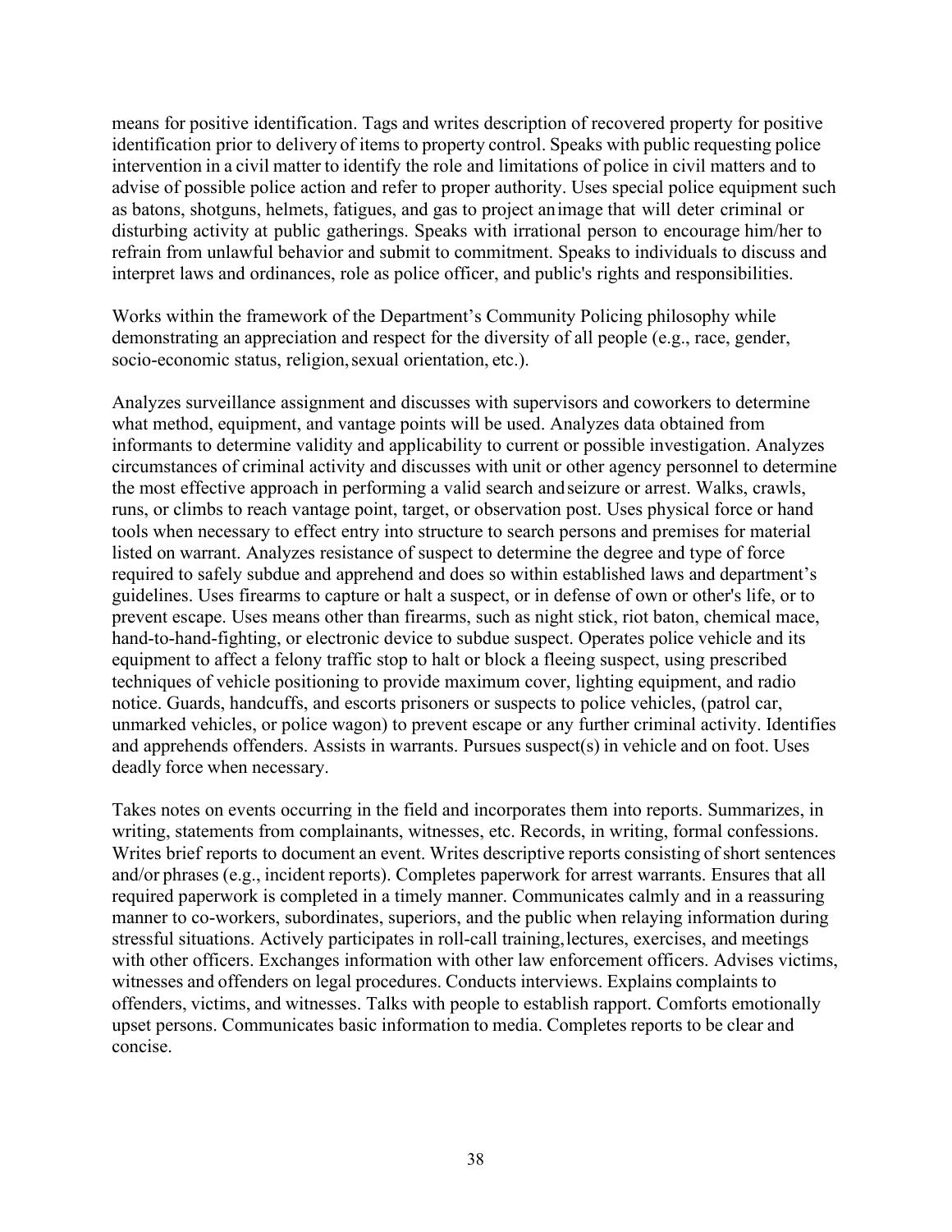means for positive identification. Tags and writes description of recovered property for positive identification prior to delivery of items to property control. Speaks with public requesting police intervention in a civil matter to identify the role and limitations of police in civil matters and to advise of possible police action and refer to proper authority. Uses special police equipment such as batons, shotguns, helmets, fatigues, and gas to project animage that will deter criminal or disturbing activity at public gatherings. Speaks with irrational person to encourage him/her to refrain from unlawful behavior and submit to commitment. Speaks to individuals to discuss and interpret laws and ordinances, role as police officer, and public's rights and responsibilities.

Works within the framework of the Department's Community Policing philosophy while demonstrating an appreciation and respect for the diversity of all people (e.g., race, gender, socio-economic status, religion,sexual orientation, etc.).

Analyzes surveillance assignment and discusses with supervisors and coworkers to determine what method, equipment, and vantage points will be used. Analyzes data obtained from informants to determine validity and applicability to current or possible investigation. Analyzes circumstances of criminal activity and discusses with unit or other agency personnel to determine the most effective approach in performing a valid search andseizure or arrest. Walks, crawls, runs, or climbs to reach vantage point, target, or observation post. Uses physical force or hand tools when necessary to effect entry into structure to search persons and premises for material listed on warrant. Analyzes resistance of suspect to determine the degree and type of force required to safely subdue and apprehend and does so within established laws and department's guidelines. Uses firearms to capture or halt a suspect, or in defense of own or other's life, or to prevent escape. Uses means other than firearms, such as night stick, riot baton, chemical mace, hand-to-hand-fighting, or electronic device to subdue suspect. Operates police vehicle and its equipment to affect a felony traffic stop to halt or block a fleeing suspect, using prescribed techniques of vehicle positioning to provide maximum cover, lighting equipment, and radio notice. Guards, handcuffs, and escorts prisoners or suspects to police vehicles, (patrol car, unmarked vehicles, or police wagon) to prevent escape or any further criminal activity. Identifies and apprehends offenders. Assists in warrants. Pursues suspect(s) in vehicle and on foot. Uses deadly force when necessary.

Takes notes on events occurring in the field and incorporates them into reports. Summarizes, in writing, statements from complainants, witnesses, etc. Records, in writing, formal confessions. Writes brief reports to document an event. Writes descriptive reports consisting of short sentences and/or phrases (e.g., incident reports). Completes paperwork for arrest warrants. Ensures that all required paperwork is completed in a timely manner. Communicates calmly and in a reassuring manner to co-workers, subordinates, superiors, and the public when relaying information during stressful situations. Actively participates in roll-call training,lectures, exercises, and meetings with other officers. Exchanges information with other law enforcement officers. Advises victims, witnesses and offenders on legal procedures. Conducts interviews. Explains complaints to offenders, victims, and witnesses. Talks with people to establish rapport. Comforts emotionally upset persons. Communicates basic information to media. Completes reports to be clear and concise.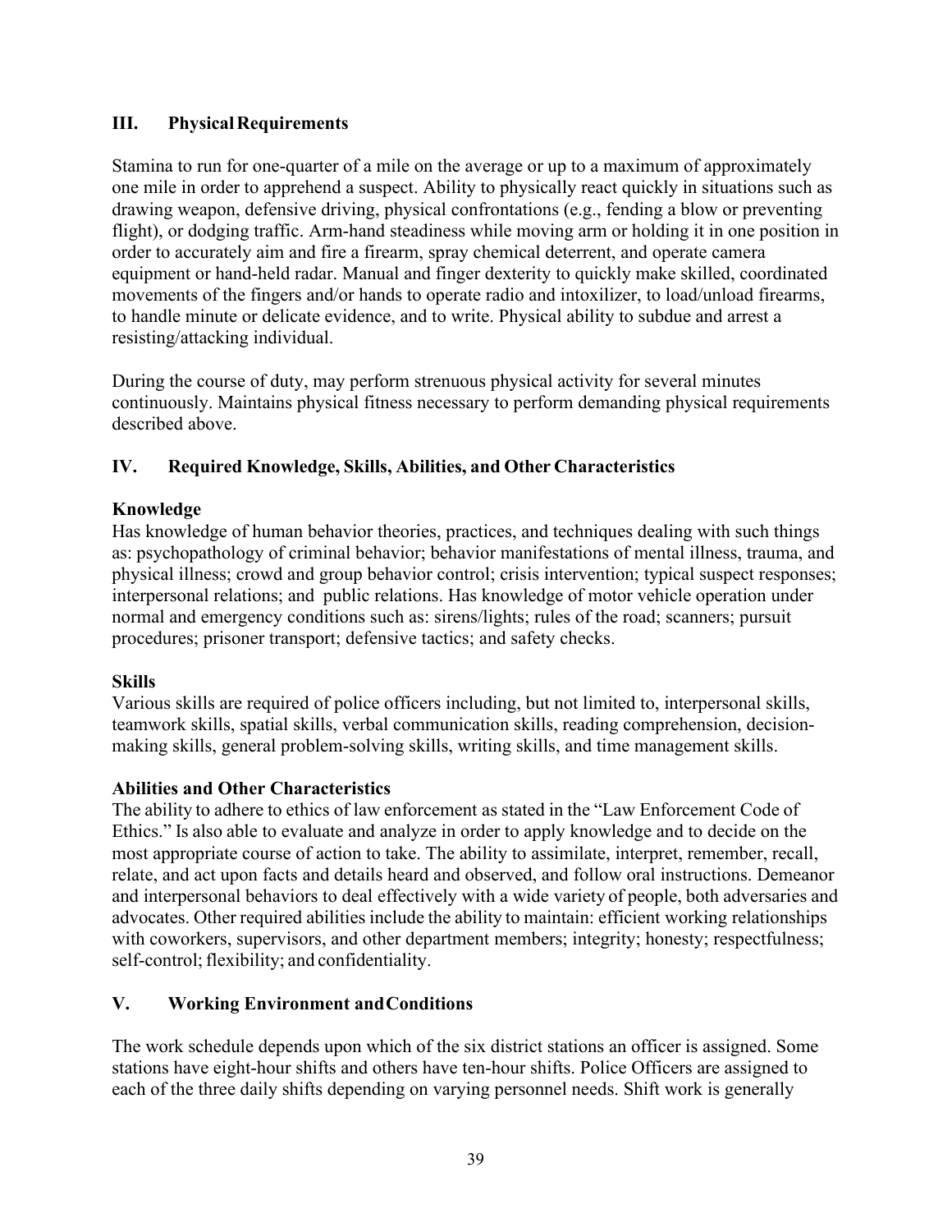### **III.** Physical Requirements

Stamina to run for one-quarter of a mile on the average or up to a maximum of approximately one mile in order to apprehend a suspect. Ability to physically react quickly in situations such as drawing weapon, defensive driving, physical confrontations (e.g., fending a blow or preventing flight), or dodging traffic. Arm-hand steadiness while moving arm or holding it in one position in order to accurately aim and fire a firearm, spray chemical deterrent, and operate camera equipment or hand-held radar. Manual and finger dexterity to quickly make skilled, coordinated movements of the fingers and/or hands to operate radio and intoxilizer, to load/unload firearms, to handle minute or delicate evidence, and to write. Physical ability to subdue and arrest a resisting/attacking individual.

During the course of duty, may perform strenuous physical activity for several minutes continuously. Maintains physical fitness necessary to perform demanding physical requirements described above.

# **IV. Required Knowledge, Skills, Abilities, and Other Characteristics**

### **Knowledge**

Has knowledge of human behavior theories, practices, and techniques dealing with such things as: psychopathology of criminal behavior; behavior manifestations of mental illness, trauma, and physical illness; crowd and group behavior control; crisis intervention; typical suspect responses; interpersonal relations; and public relations. Has knowledge of motor vehicle operation under normal and emergency conditions such as: sirens/lights; rules of the road; scanners; pursuit procedures; prisoner transport; defensive tactics; and safety checks.

### **Skills**

Various skills are required of police officers including, but not limited to, interpersonal skills, teamwork skills, spatial skills, verbal communication skills, reading comprehension, decisionmaking skills, general problem-solving skills, writing skills, and time management skills.

# **Abilities and Other Characteristics**

The ability to adhere to ethics of law enforcement as stated in the "Law Enforcement Code of Ethics." Is also able to evaluate and analyze in order to apply knowledge and to decide on the most appropriate course of action to take. The ability to assimilate, interpret, remember, recall, relate, and act upon facts and details heard and observed, and follow oral instructions. Demeanor and interpersonal behaviors to deal effectively with a wide variety of people, both adversaries and advocates. Other required abilities include the ability to maintain: efficient working relationships with coworkers, supervisors, and other department members; integrity; honesty; respectfulness; self-control; flexibility; and confidentiality.

# **V. Working Environment andConditions**

The work schedule depends upon which of the six district stations an officer is assigned. Some stations have eight-hour shifts and others have ten-hour shifts. Police Officers are assigned to each of the three daily shifts depending on varying personnel needs. Shift work is generally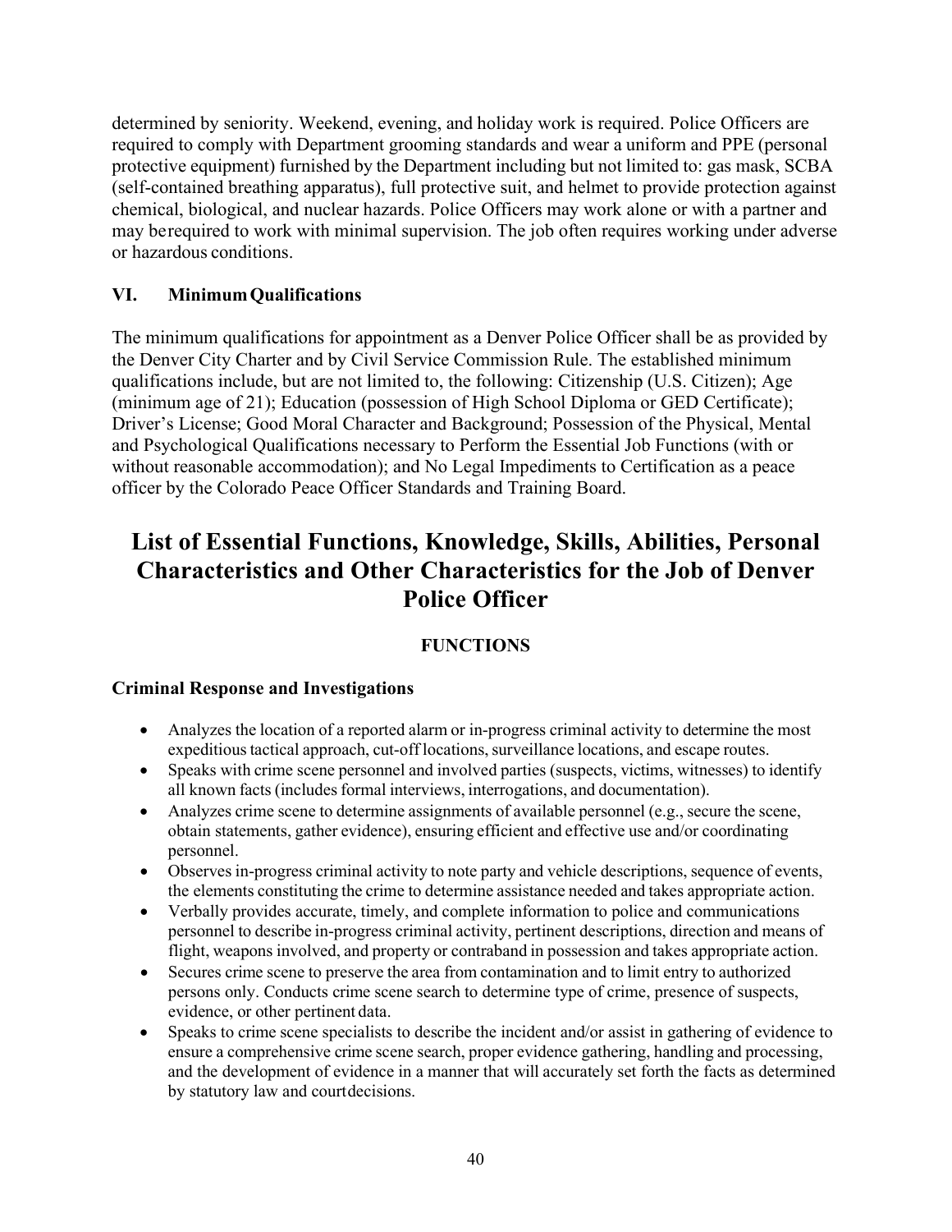determined by seniority. Weekend, evening, and holiday work is required. Police Officers are required to comply with Department grooming standards and wear a uniform and PPE (personal protective equipment) furnished by the Department including but not limited to: gas mask, SCBA (self-contained breathing apparatus), full protective suit, and helmet to provide protection against chemical, biological, and nuclear hazards. Police Officers may work alone or with a partner and may berequired to work with minimal supervision. The job often requires working under adverse or hazardous conditions.

# **VI. MinimumQualifications**

The minimum qualifications for appointment as a Denver Police Officer shall be as provided by the Denver City Charter and by Civil Service Commission Rule. The established minimum qualifications include, but are not limited to, the following: Citizenship (U.S. Citizen); Age (minimum age of 21); Education (possession of High School Diploma or GED Certificate); Driver's License; Good Moral Character and Background; Possession of the Physical, Mental and Psychological Qualifications necessary to Perform the Essential Job Functions (with or without reasonable accommodation); and No Legal Impediments to Certification as a peace officer by the Colorado Peace Officer Standards and Training Board.

# **List of Essential Functions, Knowledge, Skills, Abilities, Personal Characteristics and Other Characteristics for the Job of Denver Police Officer**

# **FUNCTIONS**

### **Criminal Response and Investigations**

- Analyzes the location of a reported alarm or in-progress criminal activity to determine the most expeditious tactical approach, cut-off locations, surveillance locations, and escape routes.
- Speaks with crime scene personnel and involved parties (suspects, victims, witnesses) to identify all known facts(includesformal interviews, interrogations, and documentation).
- Analyzes crime scene to determine assignments of available personnel (e.g., secure the scene, obtain statements, gather evidence), ensuring efficient and effective use and/or coordinating personnel.
- Observes in-progress criminal activity to note party and vehicle descriptions, sequence of events, the elements constituting the crime to determine assistance needed and takes appropriate action.
- Verbally provides accurate, timely, and complete information to police and communications personnel to describe in-progress criminal activity, pertinent descriptions, direction and means of flight, weapons involved, and property or contraband in possession and takes appropriate action.
- Secures crime scene to preserve the area from contamination and to limit entry to authorized persons only. Conducts crime scene search to determine type of crime, presence of suspects, evidence, or other pertinent data.
- Speaks to crime scene specialists to describe the incident and/or assist in gathering of evidence to ensure a comprehensive crime scene search, proper evidence gathering, handling and processing, and the development of evidence in a manner that will accurately set forth the facts as determined by statutory law and courtdecisions.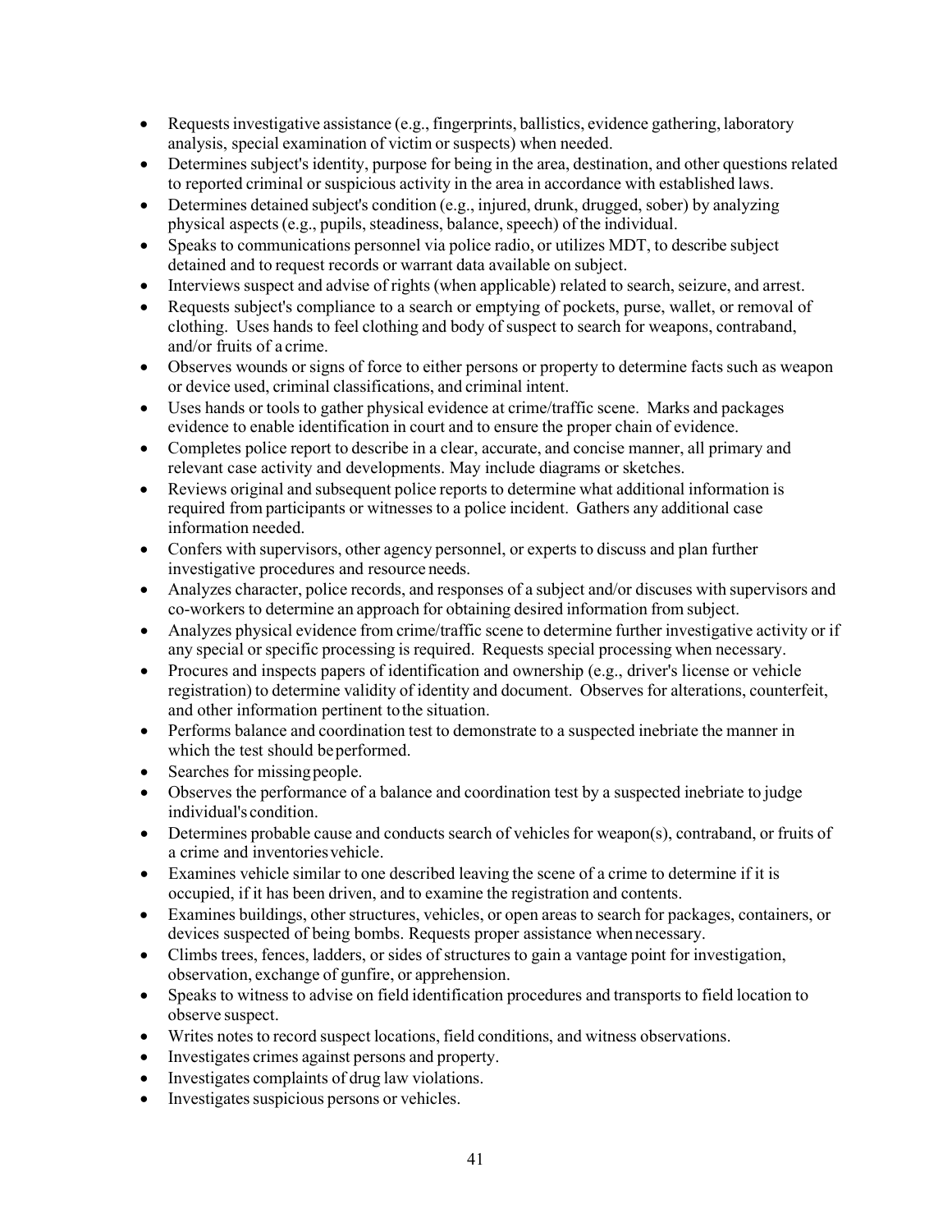- Requests investigative assistance (e.g., fingerprints, ballistics, evidence gathering, laboratory analysis, special examination of victim or suspects) when needed.
- Determines subject's identity, purpose for being in the area, destination, and other questions related to reported criminal or suspicious activity in the area in accordance with established laws.
- Determines detained subject's condition (e.g., injured, drunk, drugged, sober) by analyzing physical aspects (e.g., pupils, steadiness, balance, speech) of the individual.
- Speaks to communications personnel via police radio, or utilizes MDT, to describe subject detained and to request records or warrant data available on subject.
- Interviews suspect and advise of rights (when applicable) related to search, seizure, and arrest.
- Requests subject's compliance to a search or emptying of pockets, purse, wallet, or removal of clothing. Uses hands to feel clothing and body of suspect to search for weapons, contraband, and/or fruits of a crime.
- Observes wounds or signs of force to either persons or property to determine facts such as weapon or device used, criminal classifications, and criminal intent.
- Uses hands or tools to gather physical evidence at crime/traffic scene. Marks and packages evidence to enable identification in court and to ensure the proper chain of evidence.
- Completes police report to describe in a clear, accurate, and concise manner, all primary and relevant case activity and developments. May include diagrams or sketches.
- Reviews original and subsequent police reports to determine what additional information is required from participants or witnesses to a police incident. Gathers any additional case information needed.
- Confers with supervisors, other agency personnel, or experts to discuss and plan further investigative procedures and resource needs.
- Analyzes character, police records, and responses of a subject and/or discuses with supervisors and co-workers to determine an approach for obtaining desired information from subject.
- Analyzes physical evidence from crime/traffic scene to determine further investigative activity or if any special or specific processing is required. Requests special processing when necessary.
- Procures and inspects papers of identification and ownership (e.g., driver's license or vehicle registration) to determine validity of identity and document. Observes for alterations, counterfeit, and other information pertinent tothe situation.
- Performs balance and coordination test to demonstrate to a suspected inebriate the manner in which the test should be performed.
- Searches for missing people.
- Observes the performance of a balance and coordination test by a suspected inebriate to judge individual's condition.
- Determines probable cause and conducts search of vehicles for weapon(s), contraband, or fruits of a crime and inventoriesvehicle.
- Examines vehicle similar to one described leaving the scene of a crime to determine if it is occupied, if it has been driven, and to examine the registration and contents.
- Examines buildings, other structures, vehicles, or open areas to search for packages, containers, or devices suspected of being bombs. Requests proper assistance whennecessary.
- Climbs trees, fences, ladders, or sides of structures to gain a vantage point for investigation, observation, exchange of gunfire, or apprehension.
- Speaks to witness to advise on field identification procedures and transports to field location to observe suspect.
- Writes notes to record suspect locations, field conditions, and witness observations.
- Investigates crimes against persons and property.
- Investigates complaints of drug law violations.
- Investigates suspicious persons or vehicles.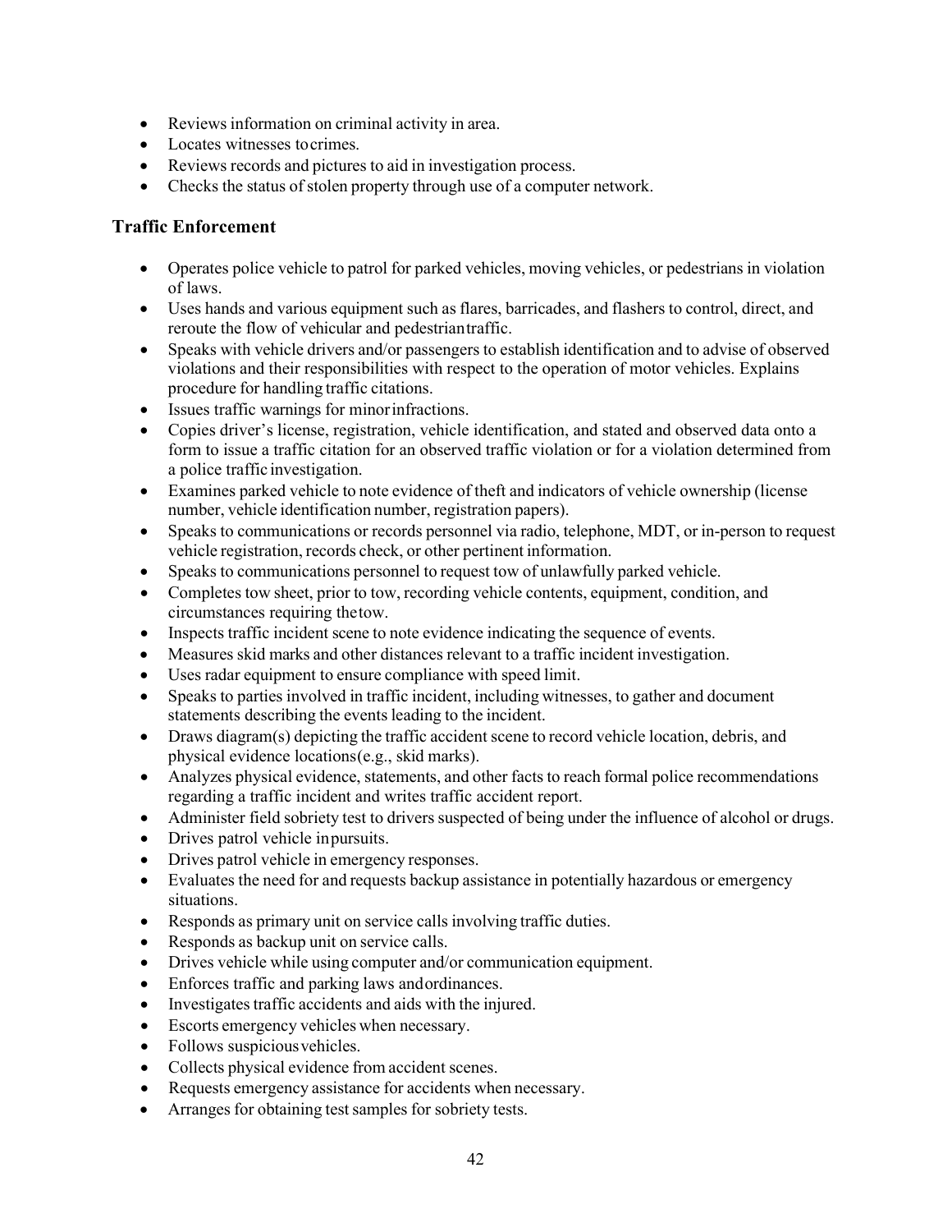- Reviews information on criminal activity in area.
- Locates witnesses to crimes.
- Reviews records and pictures to aid in investigation process.
- Checks the status of stolen property through use of a computer network.

#### **Traffic Enforcement**

- Operates police vehicle to patrol for parked vehicles, moving vehicles, or pedestrians in violation of laws.
- Uses hands and various equipment such as flares, barricades, and flashers to control, direct, and reroute the flow of vehicular and pedestriantraffic.
- Speaks with vehicle drivers and/or passengers to establish identification and to advise of observed violations and their responsibilities with respect to the operation of motor vehicles. Explains procedure for handling traffic citations.
- Issues traffic warnings for minorinfractions.
- Copies driver's license, registration, vehicle identification, and stated and observed data onto a form to issue a traffic citation for an observed traffic violation or for a violation determined from a police traffic investigation.
- Examines parked vehicle to note evidence of theft and indicators of vehicle ownership (license number, vehicle identification number, registration papers).
- Speaks to communications or records personnel via radio, telephone, MDT, or in-person to request vehicle registration, records check, or other pertinent information.
- Speaks to communications personnel to request tow of unlawfully parked vehicle.
- Completes tow sheet, prior to tow, recording vehicle contents, equipment, condition, and circumstances requiring thetow.
- Inspects traffic incident scene to note evidence indicating the sequence of events.
- Measures skid marks and other distances relevant to a traffic incident investigation.
- Uses radar equipment to ensure compliance with speed limit.
- Speaks to parties involved in traffic incident, including witnesses, to gather and document statements describing the events leading to the incident.
- Draws diagram(s) depicting the traffic accident scene to record vehicle location, debris, and physical evidence locations(e.g., skid marks).
- Analyzes physical evidence, statements, and other facts to reach formal police recommendations regarding a traffic incident and writes traffic accident report.
- Administer field sobriety test to drivers suspected of being under the influence of alcohol or drugs.
- Drives patrol vehicle inpursuits.
- Drives patrol vehicle in emergency responses.
- Evaluates the need for and requests backup assistance in potentially hazardous or emergency situations.
- Responds as primary unit on service calls involving traffic duties.
- Responds as backup unit on service calls.
- Drives vehicle while using computer and/or communication equipment.
- Enforces traffic and parking laws andordinances.
- Investigates traffic accidents and aids with the injured.
- Escorts emergency vehicles when necessary.
- Follows suspicious vehicles.
- Collects physical evidence from accident scenes.
- Requests emergency assistance for accidents when necessary.
- Arranges for obtaining test samples for sobriety tests.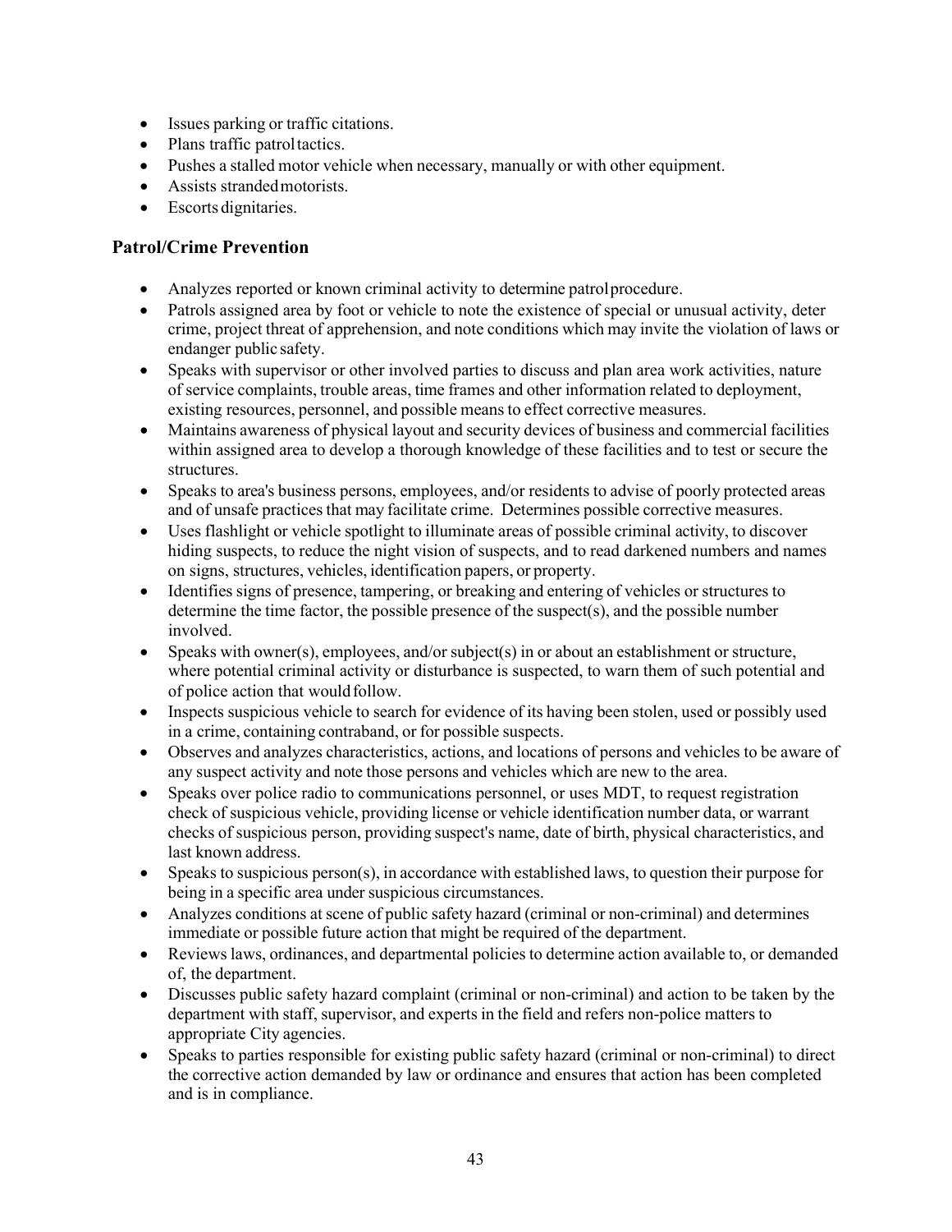- Issues parking or traffic citations.
- Plans traffic patrol tactics.
- Pushes a stalled motor vehicle when necessary, manually or with other equipment.
- Assists strandedmotorists.
- Escorts dignitaries.

#### **Patrol/Crime Prevention**

- Analyzes reported or known criminal activity to determine patrolprocedure.
- Patrols assigned area by foot or vehicle to note the existence of special or unusual activity, deter crime, project threat of apprehension, and note conditions which may invite the violation of laws or endanger public safety.
- Speaks with supervisor or other involved parties to discuss and plan area work activities, nature of service complaints, trouble areas, time frames and other information related to deployment, existing resources, personnel, and possible meansto effect corrective measures.
- Maintains awareness of physical layout and security devices of business and commercial facilities within assigned area to develop a thorough knowledge of these facilities and to test or secure the structures.
- Speaks to area's business persons, employees, and/or residents to advise of poorly protected areas and of unsafe practices that may facilitate crime. Determines possible corrective measures.
- Uses flashlight or vehicle spotlight to illuminate areas of possible criminal activity, to discover hiding suspects, to reduce the night vision of suspects, and to read darkened numbers and names on signs, structures, vehicles, identification papers, or property.
- Identifies signs of presence, tampering, or breaking and entering of vehicles or structures to determine the time factor, the possible presence of the suspect(s), and the possible number involved.
- Speaks with owner(s), employees, and/or subject(s) in or about an establishment or structure, where potential criminal activity or disturbance is suspected, to warn them of such potential and of police action that wouldfollow.
- Inspects suspicious vehicle to search for evidence of its having been stolen, used or possibly used in a crime, containing contraband, or for possible suspects.
- Observes and analyzes characteristics, actions, and locations of persons and vehicles to be aware of any suspect activity and note those persons and vehicles which are new to the area.
- Speaks over police radio to communications personnel, or uses MDT, to request registration check of suspicious vehicle, providing license or vehicle identification number data, or warrant checks of suspicious person, providing suspect's name, date of birth, physical characteristics, and last known address.
- Speaks to suspicious person(s), in accordance with established laws, to question their purpose for being in a specific area under suspicious circumstances.
- Analyzes conditions at scene of public safety hazard (criminal or non-criminal) and determines immediate or possible future action that might be required of the department.
- Reviews laws, ordinances, and departmental policies to determine action available to, or demanded of, the department.
- Discusses public safety hazard complaint (criminal or non-criminal) and action to be taken by the department with staff, supervisor, and experts in the field and refers non-police matters to appropriate City agencies.
- Speaks to parties responsible for existing public safety hazard (criminal or non-criminal) to direct the corrective action demanded by law or ordinance and ensures that action has been completed and is in compliance.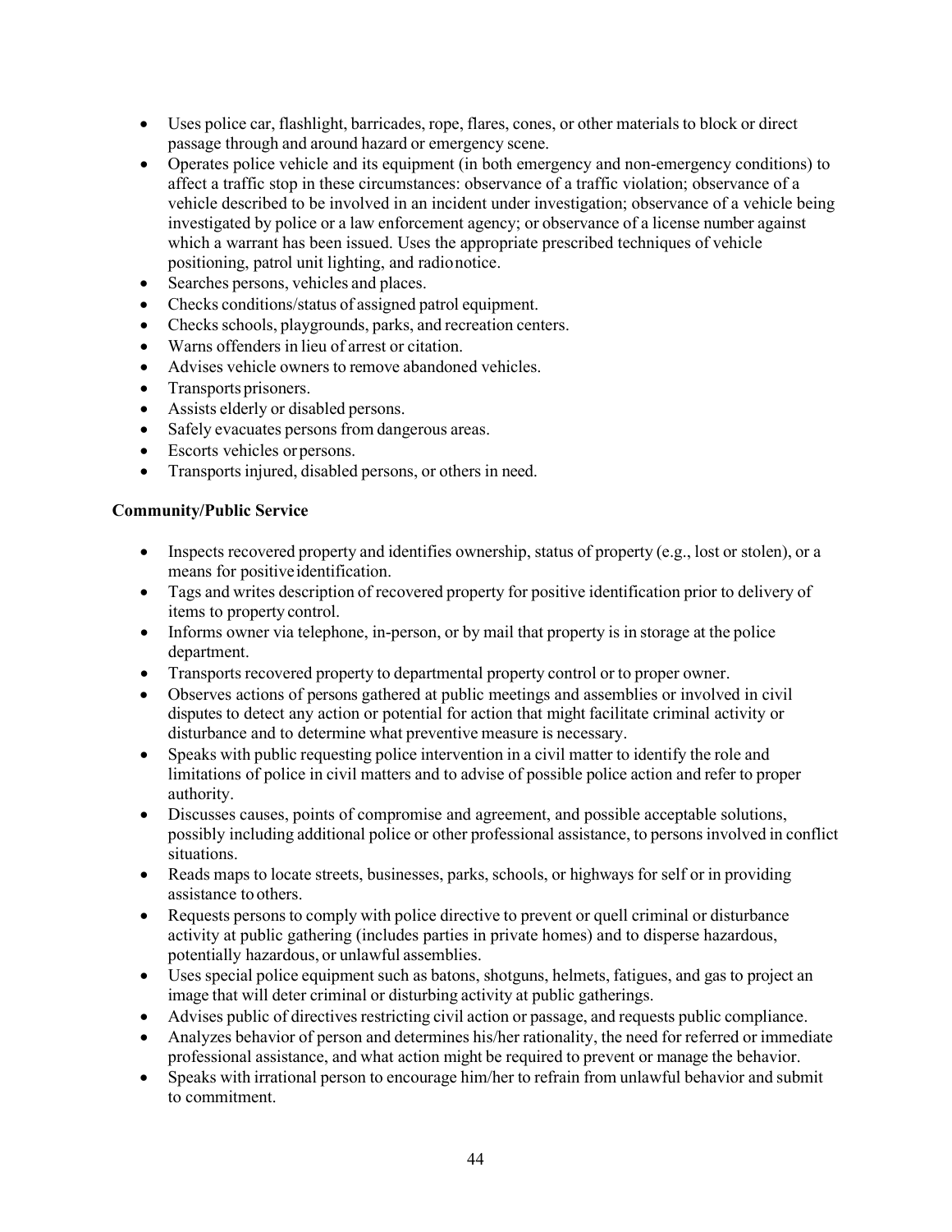- Uses police car, flashlight, barricades, rope, flares, cones, or other materials to block or direct passage through and around hazard or emergency scene.
- Operates police vehicle and its equipment (in both emergency and non-emergency conditions) to affect a traffic stop in these circumstances: observance of a traffic violation; observance of a vehicle described to be involved in an incident under investigation; observance of a vehicle being investigated by police or a law enforcement agency; or observance of a license number against which a warrant has been issued. Uses the appropriate prescribed techniques of vehicle positioning, patrol unit lighting, and radionotice.
- Searches persons, vehicles and places.
- Checks conditions/status of assigned patrol equipment.
- Checks schools, playgrounds, parks, and recreation centers.
- Warns offenders in lieu of arrest or citation.
- Advises vehicle owners to remove abandoned vehicles.
- Transports prisoners.
- Assists elderly or disabled persons.
- Safely evacuates persons from dangerous areas.
- Escorts vehicles orpersons.
- Transports injured, disabled persons, or others in need.

#### **Community/Public Service**

- Inspects recovered property and identifies ownership, status of property (e.g., lost or stolen), or a means for positiveidentification.
- Tags and writes description of recovered property for positive identification prior to delivery of items to property control.
- Informs owner via telephone, in-person, or by mail that property is in storage at the police department.
- Transports recovered property to departmental property control or to proper owner.
- Observes actions of persons gathered at public meetings and assemblies or involved in civil disputes to detect any action or potential for action that might facilitate criminal activity or disturbance and to determine what preventive measure is necessary.
- Speaks with public requesting police intervention in a civil matter to identify the role and limitations of police in civil matters and to advise of possible police action and refer to proper authority.
- Discusses causes, points of compromise and agreement, and possible acceptable solutions, possibly including additional police or other professional assistance, to persons involved in conflict situations.
- Reads maps to locate streets, businesses, parks, schools, or highways for self or in providing assistance to others.
- Requests persons to comply with police directive to prevent or quell criminal or disturbance activity at public gathering (includes parties in private homes) and to disperse hazardous, potentially hazardous, or unlawful assemblies.
- Uses special police equipment such as batons, shotguns, helmets, fatigues, and gas to project an image that will deter criminal or disturbing activity at public gatherings.
- Advises public of directives restricting civil action or passage, and requests public compliance.
- Analyzes behavior of person and determines his/her rationality, the need for referred or immediate professional assistance, and what action might be required to prevent or manage the behavior.
- Speaks with irrational person to encourage him/her to refrain from unlawful behavior and submit to commitment.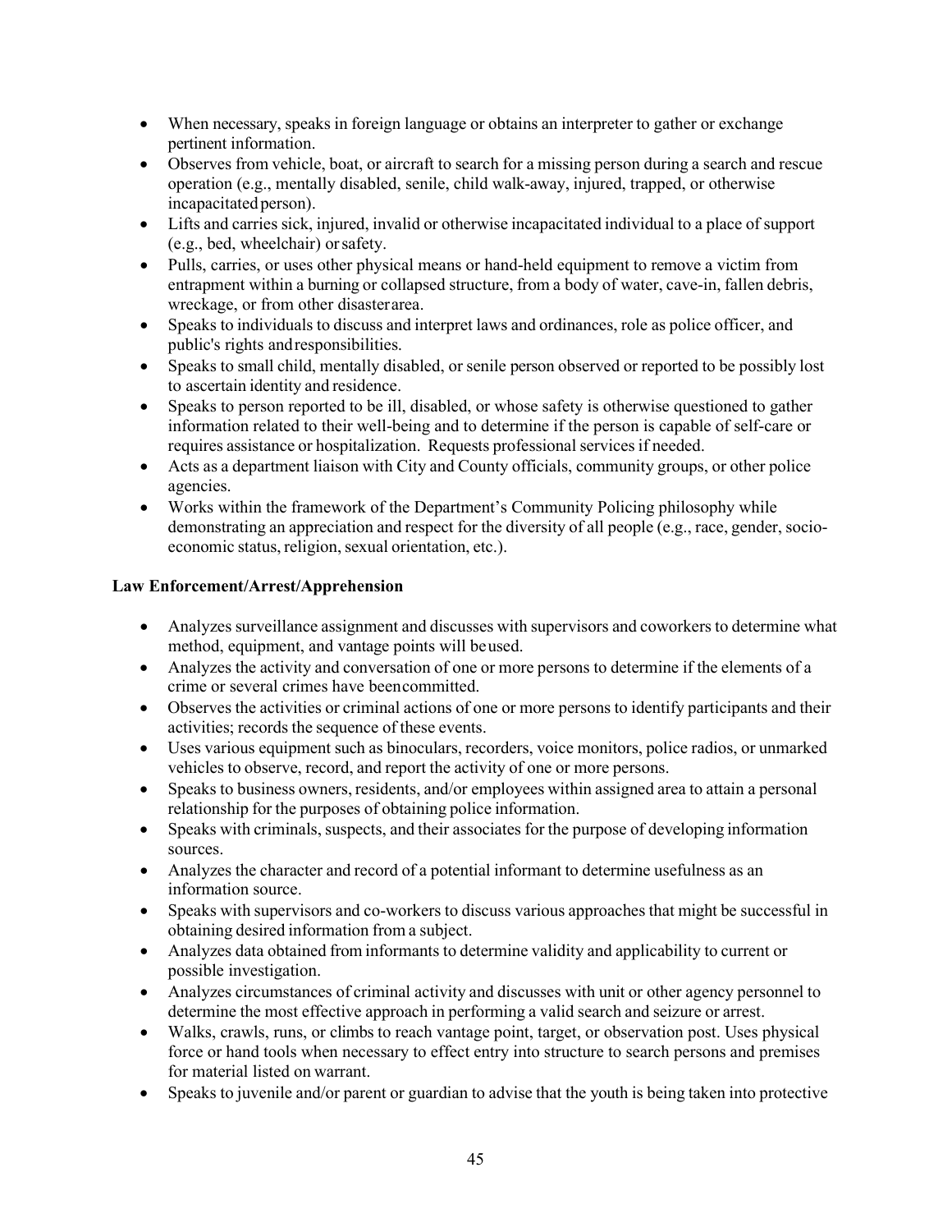- When necessary, speaks in foreign language or obtains an interpreter to gather or exchange pertinent information.
- Observes from vehicle, boat, or aircraft to search for a missing person during a search and rescue operation (e.g., mentally disabled, senile, child walk-away, injured, trapped, or otherwise incapacitated person).
- Lifts and carries sick, injured, invalid or otherwise incapacitated individual to a place of support (e.g., bed, wheelchair) orsafety.
- Pulls, carries, or uses other physical means or hand-held equipment to remove a victim from entrapment within a burning or collapsed structure, from a body of water, cave-in, fallen debris, wreckage, or from other disasterarea.
- Speaks to individuals to discuss and interpret laws and ordinances, role as police officer, and public's rights andresponsibilities.
- Speaks to small child, mentally disabled, or senile person observed or reported to be possibly lost to ascertain identity and residence.
- Speaks to person reported to be ill, disabled, or whose safety is otherwise questioned to gather information related to their well-being and to determine if the person is capable of self-care or requires assistance or hospitalization. Requests professional servicesif needed.
- Acts as a department liaison with City and County officials, community groups, or other police agencies.
- Works within the framework of the Department's Community Policing philosophy while demonstrating an appreciation and respect for the diversity of all people (e.g., race, gender, socioeconomic status, religion, sexual orientation, etc.).

#### **Law Enforcement/Arrest/Apprehension**

- Analyzes surveillance assignment and discusses with supervisors and coworkers to determine what method, equipment, and vantage points will beused.
- Analyzes the activity and conversation of one or more persons to determine if the elements of a crime or several crimes have beencommitted.
- Observes the activities or criminal actions of one or more persons to identify participants and their activities; records the sequence of these events.
- Uses various equipment such as binoculars, recorders, voice monitors, police radios, or unmarked vehicles to observe, record, and report the activity of one or more persons.
- Speaks to business owners, residents, and/or employees within assigned area to attain a personal relationship for the purposes of obtaining police information.
- Speaks with criminals, suspects, and their associates for the purpose of developing information sources.
- Analyzes the character and record of a potential informant to determine usefulness as an information source.
- Speaks with supervisors and co-workers to discuss various approaches that might be successful in obtaining desired information from a subject.
- Analyzes data obtained from informants to determine validity and applicability to current or possible investigation.
- Analyzes circumstances of criminal activity and discusses with unit or other agency personnel to determine the most effective approach in performing a valid search and seizure or arrest.
- Walks, crawls, runs, or climbs to reach vantage point, target, or observation post. Uses physical force or hand tools when necessary to effect entry into structure to search persons and premises for material listed on warrant.
- Speaks to juvenile and/or parent or guardian to advise that the youth is being taken into protective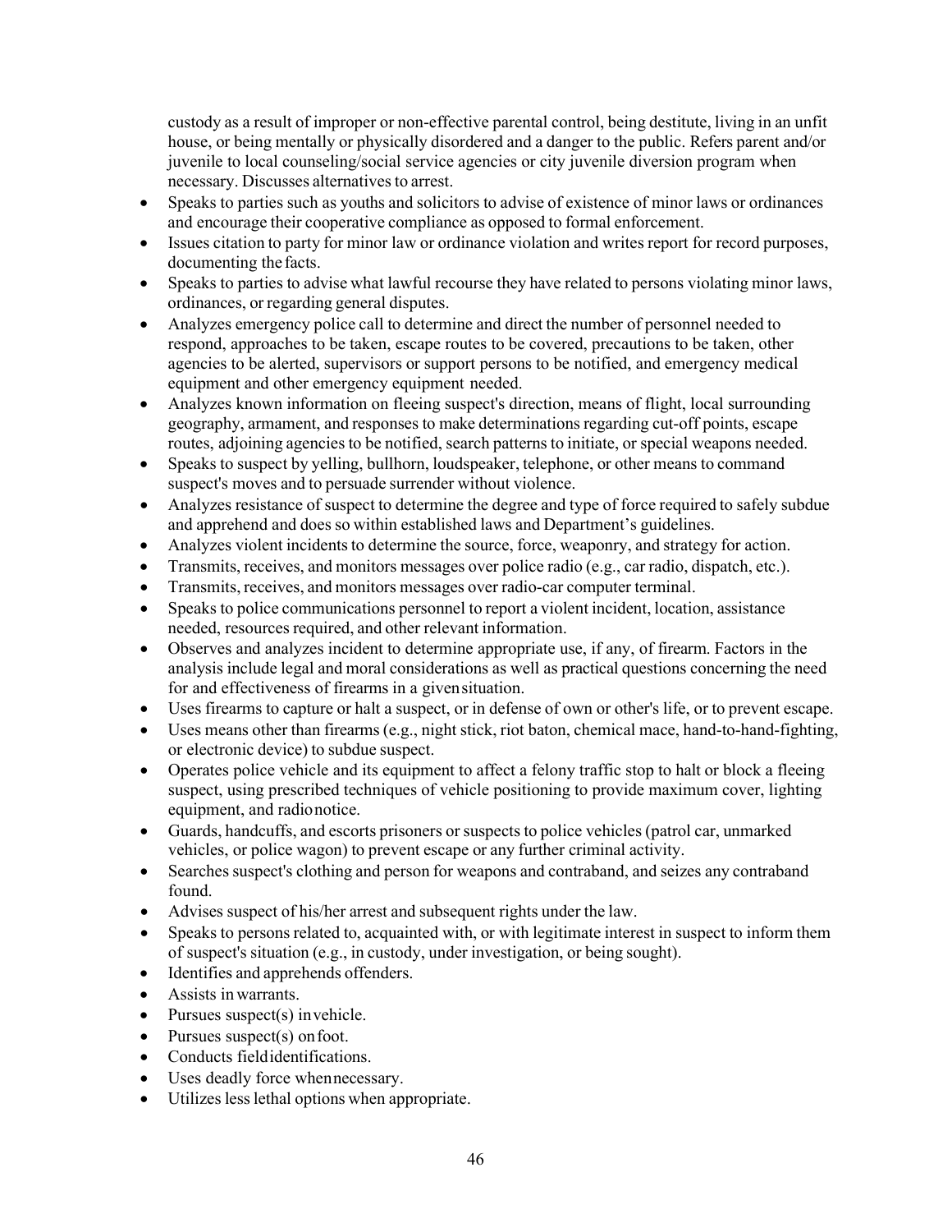custody as a result of improper or non-effective parental control, being destitute, living in an unfit house, or being mentally or physically disordered and a danger to the public. Refers parent and/or juvenile to local counseling/social service agencies or city juvenile diversion program when necessary. Discusses alternatives to arrest.

- Speaks to parties such as youths and solicitors to advise of existence of minor laws or ordinances and encourage their cooperative compliance as opposed to formal enforcement.
- Issues citation to party for minor law or ordinance violation and writes report for record purposes, documenting thefacts.
- Speaks to parties to advise what lawful recourse they have related to persons violating minor laws, ordinances, or regarding general disputes.
- Analyzes emergency police call to determine and direct the number of personnel needed to respond, approaches to be taken, escape routes to be covered, precautions to be taken, other agencies to be alerted, supervisors or support persons to be notified, and emergency medical equipment and other emergency equipment needed.
- Analyzes known information on fleeing suspect's direction, means of flight, local surrounding geography, armament, and responses to make determinations regarding cut-off points, escape routes, adjoining agencies to be notified, search patterns to initiate, or special weapons needed.
- Speaks to suspect by yelling, bullhorn, loudspeaker, telephone, or other means to command suspect's moves and to persuade surrender without violence.
- Analyzes resistance of suspect to determine the degree and type of force required to safely subdue and apprehend and does so within established laws and Department's guidelines.
- Analyzes violent incidents to determine the source, force, weaponry, and strategy for action.
- Transmits, receives, and monitors messages over police radio (e.g., car radio, dispatch, etc.).
- Transmits, receives, and monitors messages over radio-car computer terminal.
- Speaks to police communications personnel to report a violent incident, location, assistance needed, resources required, and other relevant information.
- Observes and analyzes incident to determine appropriate use, if any, of firearm. Factors in the analysis include legal and moral considerations as well as practical questions concerning the need for and effectiveness of firearms in a givensituation.
- Uses firearms to capture or halt a suspect, or in defense of own or other's life, or to prevent escape.
- Uses means other than firearms (e.g., night stick, riot baton, chemical mace, hand-to-hand-fighting, or electronic device) to subdue suspect.
- Operates police vehicle and its equipment to affect a felony traffic stop to halt or block a fleeing suspect, using prescribed techniques of vehicle positioning to provide maximum cover, lighting equipment, and radionotice.
- Guards, handcuffs, and escorts prisoners or suspects to police vehicles (patrol car, unmarked vehicles, or police wagon) to prevent escape or any further criminal activity.
- Searches suspect's clothing and person for weapons and contraband, and seizes any contraband found.
- Advises suspect of his/her arrest and subsequent rights under the law.
- Speaks to persons related to, acquainted with, or with legitimate interest in suspect to inform them of suspect's situation (e.g., in custody, under investigation, or being sought).
- Identifies and apprehends offenders.
- Assists in warrants.
- Pursues suspect(s) invehicle.
- Pursues suspect(s) on foot.
- Conducts fieldidentifications.
- Uses deadly force whennecessary.
- Utilizes lesslethal options when appropriate.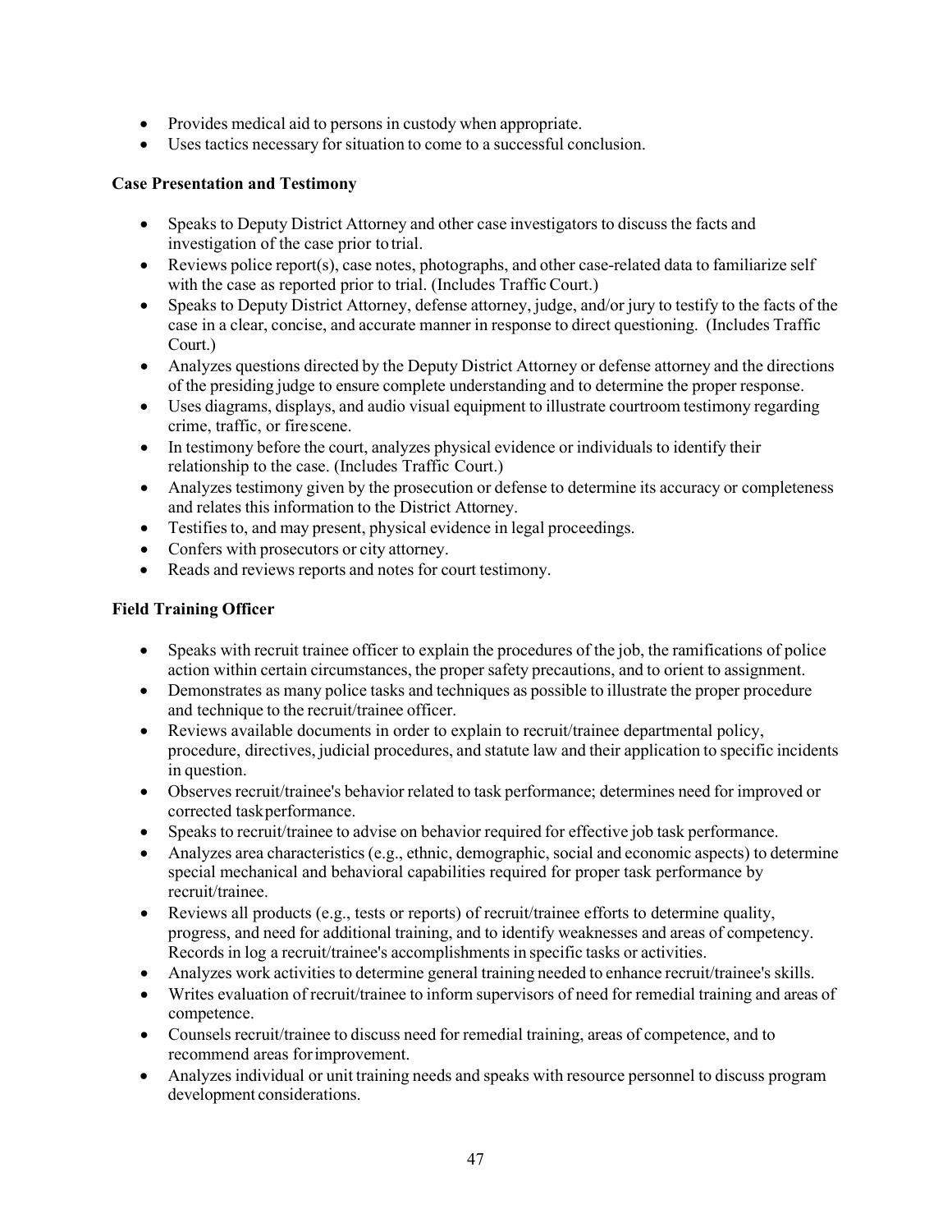- Provides medical aid to persons in custody when appropriate.
- Uses tactics necessary for situation to come to a successful conclusion.

#### **Case Presentation and Testimony**

- Speaks to Deputy District Attorney and other case investigators to discuss the facts and investigation of the case prior to trial.
- Reviews police report(s), case notes, photographs, and other case-related data to familiarize self with the case as reported prior to trial. (Includes Traffic Court.)
- Speaks to Deputy District Attorney, defense attorney, judge, and/or jury to testify to the facts of the case in a clear, concise, and accurate manner in response to direct questioning. (Includes Traffic Court.)
- Analyzes questions directed by the Deputy District Attorney or defense attorney and the directions of the presiding judge to ensure complete understanding and to determine the proper response.
- Uses diagrams, displays, and audio visual equipment to illustrate courtroom testimony regarding crime, traffic, or firescene.
- In testimony before the court, analyzes physical evidence or individuals to identify their relationship to the case. (Includes Traffic Court.)
- Analyzes testimony given by the prosecution or defense to determine its accuracy or completeness and relates this information to the District Attorney.
- Testifies to, and may present, physical evidence in legal proceedings.
- Confers with prosecutors or city attorney.
- Reads and reviews reports and notes for court testimony.

#### **Field Training Officer**

- Speaks with recruit trainee officer to explain the procedures of the job, the ramifications of police action within certain circumstances, the proper safety precautions, and to orient to assignment.
- Demonstrates as many police tasks and techniques as possible to illustrate the proper procedure and technique to the recruit/trainee officer.
- Reviews available documents in order to explain to recruit/trainee departmental policy, procedure, directives, judicial procedures, and statute law and their application to specific incidents in question.
- Observes recruit/trainee's behavior related to task performance; determines need for improved or corrected taskperformance.
- Speaks to recruit/trainee to advise on behavior required for effective job task performance.
- Analyzes area characteristics (e.g., ethnic, demographic, social and economic aspects) to determine special mechanical and behavioral capabilities required for proper task performance by recruit/trainee.
- Reviews all products (e.g., tests or reports) of recruit/trainee efforts to determine quality, progress, and need for additional training, and to identify weaknesses and areas of competency. Records in log a recruit/trainee's accomplishments in specific tasks or activities.
- Analyzes work activities to determine general training needed to enhance recruit/trainee's skills.
- Writes evaluation of recruit/trainee to inform supervisors of need for remedial training and areas of competence.
- Counsels recruit/trainee to discuss need for remedial training, areas of competence, and to recommend areas forimprovement.
- Analyzes individual or unit training needs and speaks with resource personnel to discuss program development considerations.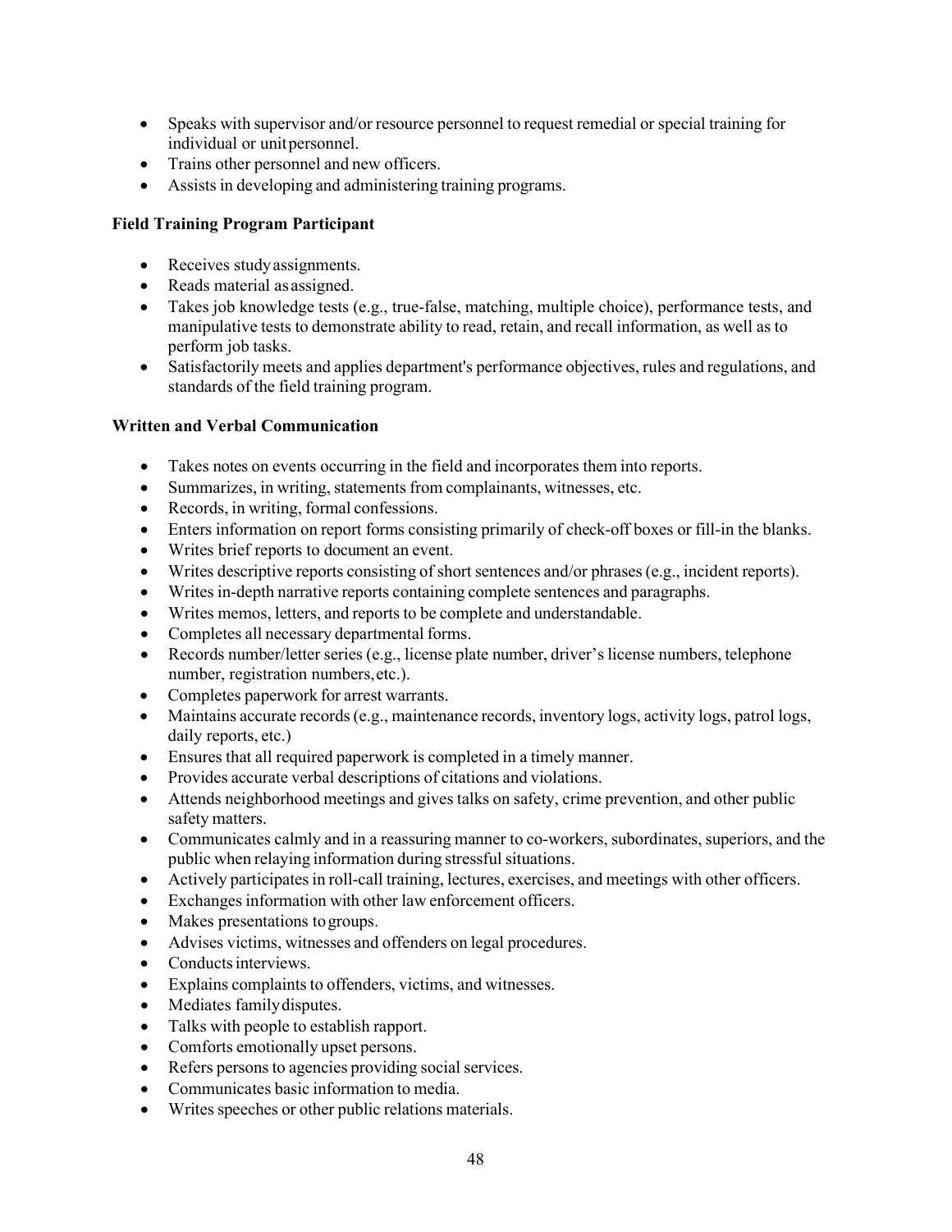- Speaks with supervisor and/or resource personnel to request remedial or special training for individual or unitpersonnel.
- Trains other personnel and new officers.
- Assists in developing and administering training programs.

#### **Field Training Program Participant**

- Receives studyassignments.
- Reads material as assigned.
- Takes job knowledge tests (e.g., true-false, matching, multiple choice), performance tests, and manipulative tests to demonstrate ability to read, retain, and recall information, as well as to perform job tasks.
- Satisfactorily meets and applies department's performance objectives, rules and regulations, and standards of the field training program.

#### **Written and Verbal Communication**

- Takes notes on events occurring in the field and incorporates them into reports.
- Summarizes, in writing, statements from complainants, witnesses, etc.
- Records, in writing, formal confessions.
- Enters information on report forms consisting primarily of check-off boxes or fill-in the blanks.
- Writes brief reports to document an event.
- Writes descriptive reports consisting of short sentences and/or phrases (e.g., incident reports).
- Writes in-depth narrative reports containing complete sentences and paragraphs.
- Writes memos, letters, and reports to be complete and understandable.
- Completes all necessary departmental forms.
- Records number/letter series (e.g., license plate number, driver's license numbers, telephone number, registration numbers,etc.).
- Completes paperwork for arrest warrants.
- Maintains accurate records(e.g., maintenance records, inventory logs, activity logs, patrol logs, daily reports, etc.)
- Ensures that all required paperwork is completed in a timely manner.
- Provides accurate verbal descriptions of citations and violations.
- Attends neighborhood meetings and gives talks on safety, crime prevention, and other public safety matters.
- Communicates calmly and in a reassuring manner to co-workers, subordinates, superiors, and the public when relaying information during stressful situations.
- Actively participates in roll-call training, lectures, exercises, and meetings with other officers.
- Exchanges information with other law enforcement officers.
- Makes presentations to groups.
- Advises victims, witnesses and offenders on legal procedures.
- Conducts interviews.
- Explains complaints to offenders, victims, and witnesses.
- Mediates familydisputes.
- Talks with people to establish rapport.
- Comforts emotionally upset persons.
- Refers persons to agencies providing social services.
- Communicates basic information to media.
- Writes speeches or other public relations materials.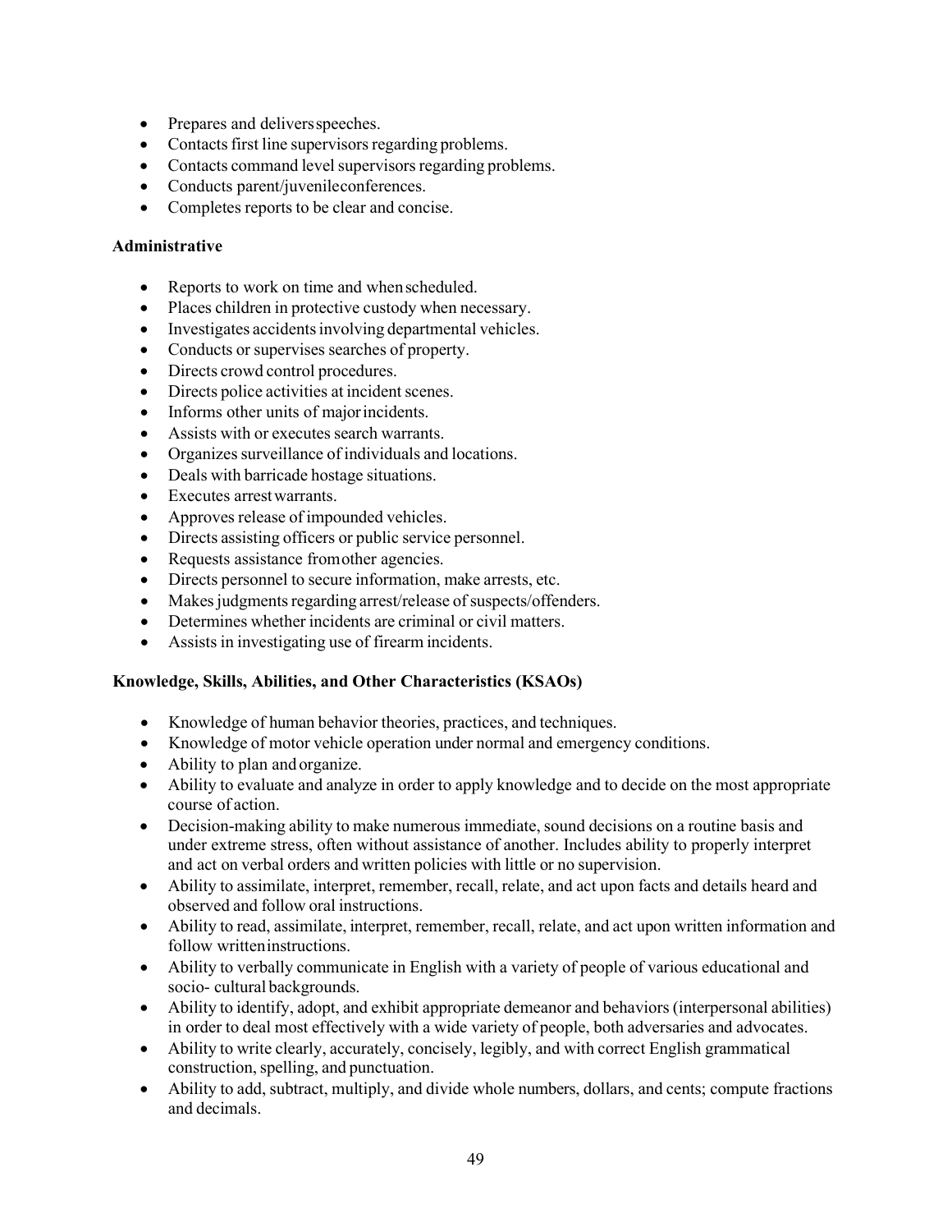- Prepares and delivers speeches.
- Contacts first line supervisors regarding problems.
- Contacts command level supervisors regarding problems.
- Conducts parent/juvenileconferences.
- Completes reports to be clear and concise.

#### **Administrative**

- Reports to work on time and when scheduled.
- Places children in protective custody when necessary.
- Investigates accidents involving departmental vehicles.
- Conducts or supervises searches of property.
- Directs crowd control procedures.
- Directs police activities at incident scenes.
- Informs other units of majorincidents.
- Assists with or executes search warrants.
- Organizes surveillance of individuals and locations.
- Deals with barricade hostage situations.
- Executes arrestwarrants.
- Approves release of impounded vehicles.
- Directs assisting officers or public service personnel.
- Requests assistance from other agencies.
- Directs personnel to secure information, make arrests, etc.
- Makes judgments regarding arrest/release of suspects/offenders.
- Determines whether incidents are criminal or civil matters.
- Assists in investigating use of firearm incidents.

#### **Knowledge, Skills, Abilities, and Other Characteristics (KSAOs)**

- Knowledge of human behavior theories, practices, and techniques.
- Knowledge of motor vehicle operation under normal and emergency conditions.
- Ability to plan and organize.
- Ability to evaluate and analyze in order to apply knowledge and to decide on the most appropriate course of action.
- Decision-making ability to make numerous immediate, sound decisions on a routine basis and under extreme stress, often without assistance of another. Includes ability to properly interpret and act on verbal orders and written policies with little or no supervision.
- Ability to assimilate, interpret, remember, recall, relate, and act upon facts and details heard and observed and follow oral instructions.
- Ability to read, assimilate, interpret, remember, recall, relate, and act upon written information and follow writteninstructions.
- Ability to verbally communicate in English with a variety of people of various educational and socio- cultural backgrounds.
- Ability to identify, adopt, and exhibit appropriate demeanor and behaviors (interpersonal abilities) in order to deal most effectively with a wide variety of people, both adversaries and advocates.
- Ability to write clearly, accurately, concisely, legibly, and with correct English grammatical construction, spelling, and punctuation.
- Ability to add, subtract, multiply, and divide whole numbers, dollars, and cents; compute fractions and decimals.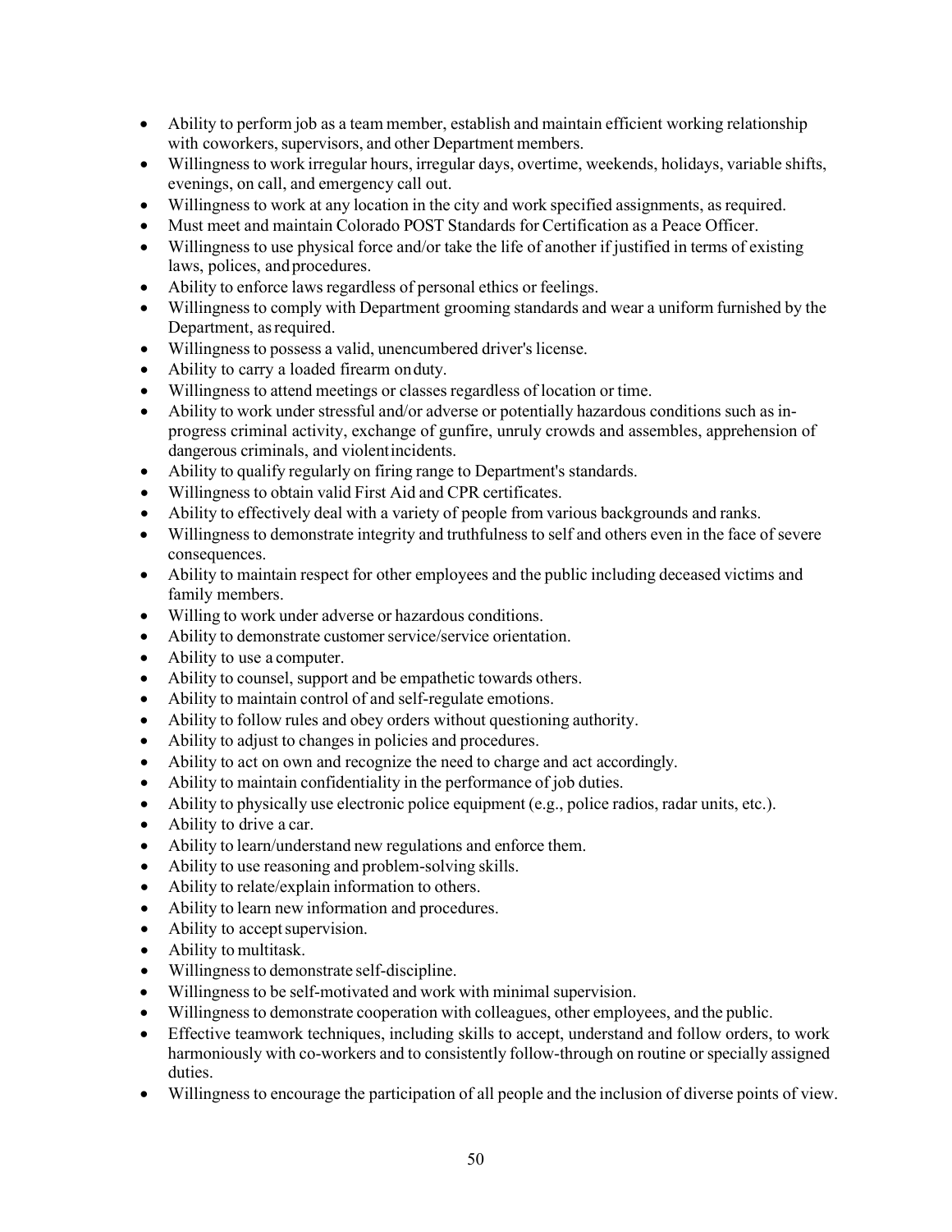- Ability to perform job as a team member, establish and maintain efficient working relationship with coworkers, supervisors, and other Department members.
- Willingness to work irregular hours, irregular days, overtime, weekends, holidays, variable shifts, evenings, on call, and emergency call out.
- Willingness to work at any location in the city and work specified assignments, as required.
- Must meet and maintain Colorado POST Standards for Certification as a Peace Officer.
- Willingness to use physical force and/or take the life of another if justified in terms of existing laws, polices, and procedures.
- Ability to enforce laws regardless of personal ethics or feelings.
- Willingness to comply with Department grooming standards and wear a uniform furnished by the Department, as required.
- Willingness to possess a valid, unencumbered driver's license.
- Ability to carry a loaded firearm onduty.
- Willingness to attend meetings or classes regardless of location or time.
- Ability to work under stressful and/or adverse or potentially hazardous conditions such as inprogress criminal activity, exchange of gunfire, unruly crowds and assembles, apprehension of dangerous criminals, and violentincidents.
- Ability to qualify regularly on firing range to Department's standards.
- Willingness to obtain valid First Aid and CPR certificates.
- Ability to effectively deal with a variety of people from various backgrounds and ranks.
- Willingness to demonstrate integrity and truthfulness to self and others even in the face of severe consequences.
- Ability to maintain respect for other employees and the public including deceased victims and family members.
- Willing to work under adverse or hazardous conditions.
- Ability to demonstrate customer service/service orientation.
- Ability to use a computer.
- Ability to counsel, support and be empathetic towards others.
- Ability to maintain control of and self-regulate emotions.
- Ability to follow rules and obey orders without questioning authority.
- Ability to adjust to changes in policies and procedures.
- Ability to act on own and recognize the need to charge and act accordingly.
- Ability to maintain confidentiality in the performance of job duties.
- Ability to physically use electronic police equipment (e.g., police radios, radar units, etc.).
- Ability to drive a car.
- Ability to learn/understand new regulations and enforce them.
- Ability to use reasoning and problem-solving skills.
- Ability to relate/explain information to others.
- Ability to learn new information and procedures.
- Ability to accept supervision.
- Ability to multitask.
- Willingness to demonstrate self-discipline.
- Willingness to be self-motivated and work with minimal supervision.
- Willingness to demonstrate cooperation with colleagues, other employees, and the public.
- Effective teamwork techniques, including skills to accept, understand and follow orders, to work harmoniously with co-workers and to consistently follow-through on routine or specially assigned duties.
- Willingness to encourage the participation of all people and the inclusion of diverse points of view.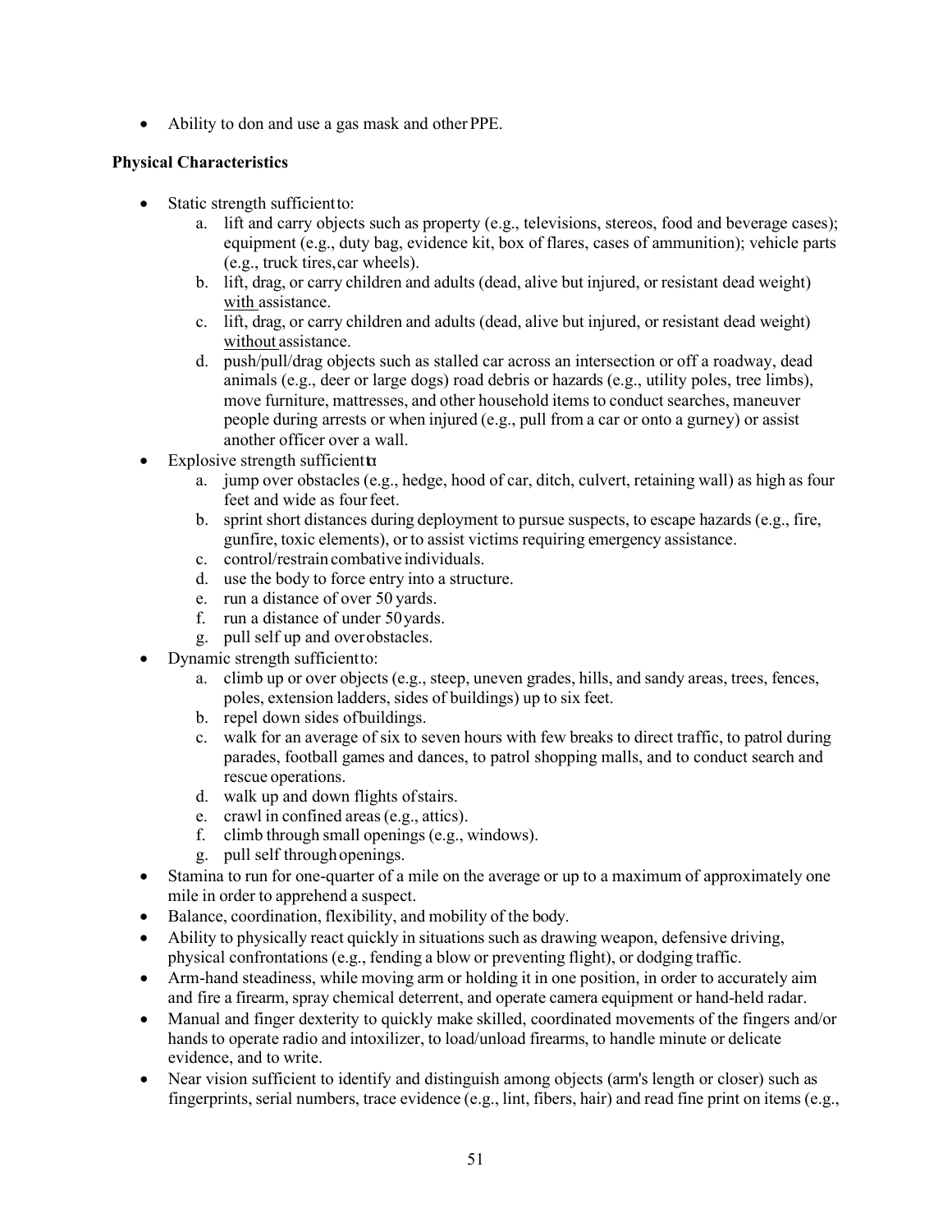• Ability to don and use a gas mask and other PPE.

#### **Physical Characteristics**

- Static strength sufficient to:
	- a. lift and carry objects such as property (e.g., televisions, stereos, food and beverage cases); equipment (e.g., duty bag, evidence kit, box of flares, cases of ammunition); vehicle parts (e.g., truck tires,car wheels).
	- b. lift, drag, or carry children and adults (dead, alive but injured, or resistant dead weight) with assistance.
	- c. lift, drag, or carry children and adults (dead, alive but injured, or resistant dead weight) without assistance.
	- d. push/pull/drag objects such as stalled car across an intersection or off a roadway, dead animals (e.g., deer or large dogs) road debris or hazards (e.g., utility poles, tree limbs), move furniture, mattresses, and other household items to conduct searches, maneuver people during arrests or when injured (e.g., pull from a car or onto a gurney) or assist another officer over a wall.
- Explosive strength sufficient  $\alpha$ 
	- a. jump over obstacles (e.g., hedge, hood of car, ditch, culvert, retaining wall) as high as four feet and wide as four feet.
	- b. sprint short distances during deployment to pursue suspects, to escape hazards (e.g., fire, gunfire, toxic elements), or to assist victims requiring emergency assistance.
	- c. control/restrain combative individuals.
	- d. use the body to force entry into a structure.
	- e. run a distance of over 50 yards.
	- f. run a distance of under 50yards.
	- g. pull self up and overobstacles.
- Dynamic strength sufficientto:
	- a. climb up or over objects (e.g., steep, uneven grades, hills, and sandy areas, trees, fences, poles, extension ladders, sides of buildings) up to six feet.
	- b. repel down sides ofbuildings.
	- c. walk for an average of six to seven hours with few breaks to direct traffic, to patrol during parades, football games and dances, to patrol shopping malls, and to conduct search and rescue operations.
	- d. walk up and down flights ofstairs.
	- e. crawl in confined areas(e.g., attics).
	- f. climb through small openings (e.g., windows).
	- g. pull self throughopenings.
- Stamina to run for one-quarter of a mile on the average or up to a maximum of approximately one mile in order to apprehend a suspect.
- Balance, coordination, flexibility, and mobility of the body.
- Ability to physically react quickly in situations such as drawing weapon, defensive driving, physical confrontations (e.g., fending a blow or preventing flight), or dodging traffic.
- Arm-hand steadiness, while moving arm or holding it in one position, in order to accurately aim and fire a firearm, spray chemical deterrent, and operate camera equipment or hand-held radar.
- Manual and finger dexterity to quickly make skilled, coordinated movements of the fingers and/or hands to operate radio and intoxilizer, to load/unload firearms, to handle minute or delicate evidence, and to write.
- Near vision sufficient to identify and distinguish among objects (arm's length or closer) such as fingerprints, serial numbers, trace evidence (e.g., lint, fibers, hair) and read fine print on items (e.g.,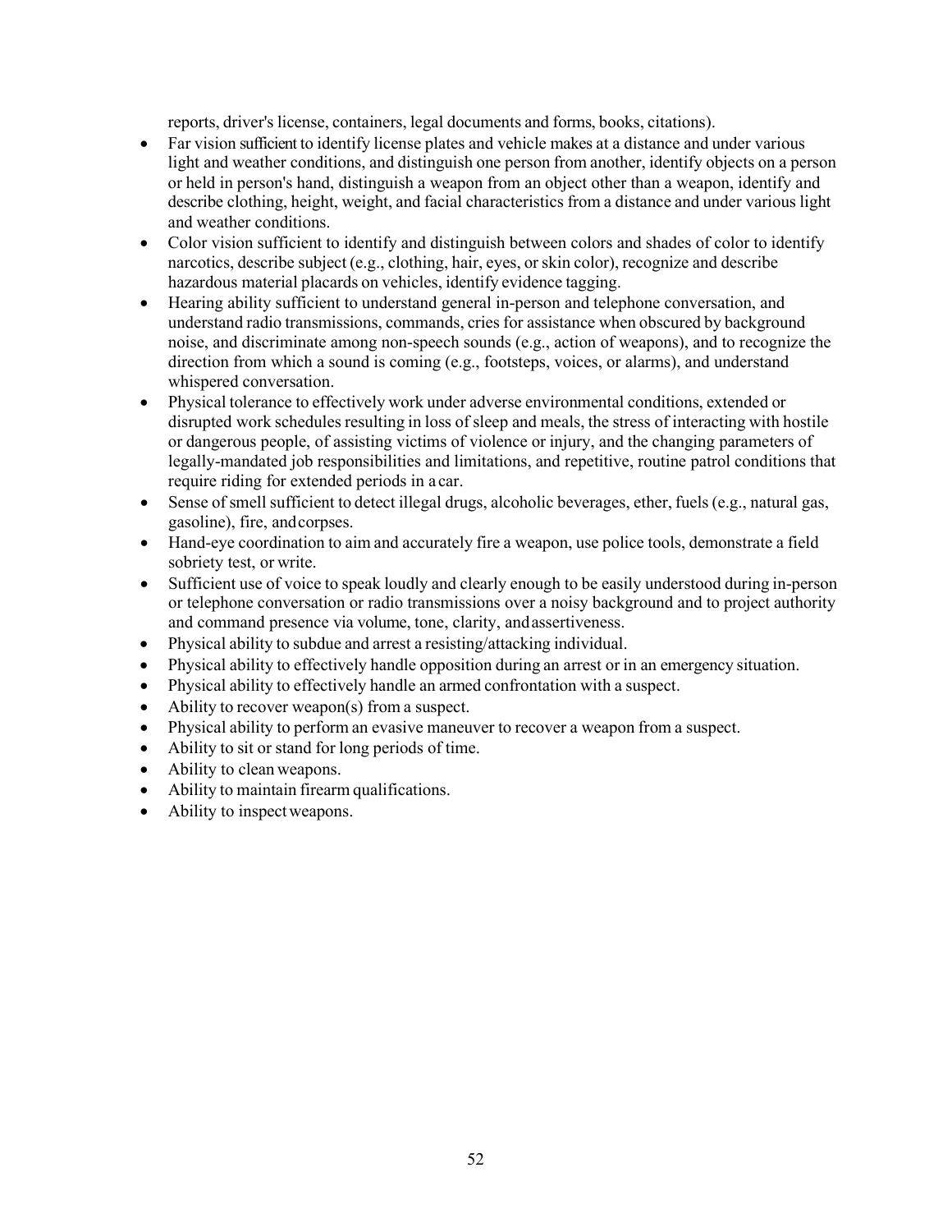reports, driver's license, containers, legal documents and forms, books, citations).

- Far vision sufficient to identify license plates and vehicle makes at a distance and under various light and weather conditions, and distinguish one person from another, identify objects on a person or held in person's hand, distinguish a weapon from an object other than a weapon, identify and describe clothing, height, weight, and facial characteristics from a distance and under various light and weather conditions.
- Color vision sufficient to identify and distinguish between colors and shades of color to identify narcotics, describe subject (e.g., clothing, hair, eyes, or skin color), recognize and describe hazardous material placards on vehicles, identify evidence tagging.
- Hearing ability sufficient to understand general in-person and telephone conversation, and understand radio transmissions, commands, cries for assistance when obscured by background noise, and discriminate among non-speech sounds (e.g., action of weapons), and to recognize the direction from which a sound is coming (e.g., footsteps, voices, or alarms), and understand whispered conversation.
- Physical tolerance to effectively work under adverse environmental conditions, extended or disrupted work schedules resulting in loss of sleep and meals, the stress of interacting with hostile or dangerous people, of assisting victims of violence or injury, and the changing parameters of legally-mandated job responsibilities and limitations, and repetitive, routine patrol conditions that require riding for extended periods in a car.
- Sense of smell sufficient to detect illegal drugs, alcoholic beverages, ether, fuels (e.g., natural gas, gasoline), fire, andcorpses.
- Hand-eye coordination to aim and accurately fire a weapon, use police tools, demonstrate a field sobriety test, or write.
- Sufficient use of voice to speak loudly and clearly enough to be easily understood during in-person or telephone conversation or radio transmissions over a noisy background and to project authority and command presence via volume, tone, clarity, andassertiveness.
- Physical ability to subdue and arrest a resisting/attacking individual.
- Physical ability to effectively handle opposition during an arrest or in an emergency situation.
- Physical ability to effectively handle an armed confrontation with a suspect.
- Ability to recover weapon(s) from a suspect.
- Physical ability to perform an evasive maneuver to recover a weapon from a suspect.
- Ability to sit or stand for long periods of time.
- Ability to clean weapons.
- Ability to maintain firearm qualifications.
- Ability to inspect weapons.